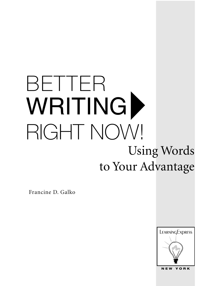## BETTER WRITING**)** RIGHT NOW! Using Words to Your Advantage

Francine D. Galko

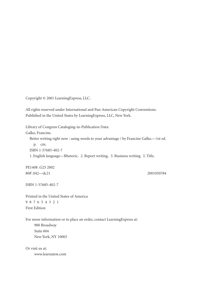Copyright © 2001 LearningExpress, LLC.

All rights reserved under International and Pan-American Copyright Conventions. Published in the United States by LearningExpress, LLC, New York.

Library of Congress Cataloging-in-Publication Data: Galko, Francine. Better writing right now : using words to your advantage / by Francine Galko.—1st ed. p. cm. ISBN 1-57685-402-7 1. English language—Rhetoric. 2. Report writing. 3. Business writing. I. Title. PE1408 .G25 2002 808'.042—dc21 2001050784 ISBN 1-57685-402-7 Printed in the United States of America 987654321 First Edition For more information or to place an order, contact LearningExpress at:

900 Broadway Suite 604 New York, NY 10003

Or visit us at: www.learnatest.com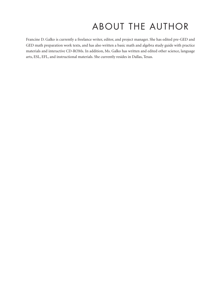#### ABOUT THE AUTHOR

Francine D. Galko is currently a freelance writer, editor, and project manager. She has edited pre-GED and GED math preparation work texts, and has also written a basic math and algebra study guide with practice materials and interactive CD-ROMs. In addition, Ms. Galko has written and edited other science, language arts, ESL, EFL, and instructional materials. She currently resides in Dallas, Texas.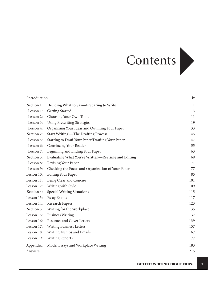

| Introduction |                                                     | ix             |
|--------------|-----------------------------------------------------|----------------|
| Section 1:   | Deciding What to Say—Preparing to Write             | $\mathbf{1}$   |
| Lesson 1:    | Getting Started                                     | $\mathfrak{Z}$ |
| Lesson 2:    | Choosing Your Own Topic                             | 11             |
| Lesson 3:    | Using Prewriting Strategies                         | 19             |
| Lesson 4:    | Organizing Your Ideas and Outlining Your Paper      | 33             |
| Section 2:   | <b>Start Writing!-The Drafting Process</b>          | 45             |
| Lesson 5:    | Starting to Draft Your Paper/Drafting Your Paper    | 47             |
| Lesson 6:    | Convincing Your Reader                              | 55             |
| Lesson 7:    | Beginning and Ending Your Paper                     | 63             |
| Section 3:   | Evaluating What You've Written-Revising and Editing | 69             |
| Lesson 8:    | Revising Your Paper                                 | 71             |
| Lesson 9:    | Checking the Focus and Organization of Your Paper   | 77             |
| Lesson 10:   | <b>Editing Your Paper</b>                           | 85             |
| Lesson 11:   | Being Clear and Concise                             | 101            |
| Lesson 12:   | Writing with Style                                  | 109            |
| Section 4:   | <b>Special Writing Situations</b>                   | 115            |
| Lesson 13:   | <b>Essay Exams</b>                                  | 117            |
| Lesson 14:   | Research Papers                                     | 123            |
| Section 5:   | Writing for the Workplace                           | 135            |
| Lesson 15:   | <b>Business Writing</b>                             | 137            |
| Lesson 16:   | Resumes and Cover Letters                           | 139            |
| Lesson 17:   | <b>Writing Business Letters</b>                     | 157            |
| Lesson 18:   | Writing Memos and Emails                            | 167            |
| Lesson 19:   | <b>Writing Reports</b>                              | 177            |
| Appendix:    | Model Essays and Workplace Writing                  | 183            |
| Answers      |                                                     | 215            |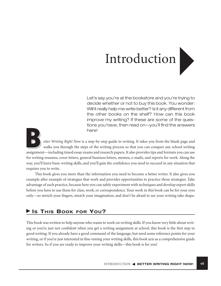# <span id="page-6-0"></span>Introduction

Let's say you're at the bookstore and you're trying to decide whether or not to buy this book. You wonder: Will it really help me write better? Is it any different from the other books on the shelf? How can this book improve my writing? If these are some of the questions you have, then read on—you'll find the answers here!

*etter Writing Right Now* is a step-by-step guide to writing. It takes you from the blank page and walks you through the steps of the writing process so that you can conquer any school writing assignment—including timed essay exams and research papers. It also provides tips and formats you can use and walks you through the steps of the writing process so that you can conquer any school writing assignment—includi for writing resumes, cover letters, general business letters, memos, e-mails, and reports for work. Along the way, you'll learn basic writing skills, and you'll gain the confidence you need to succeed in any situation that requires you to write.

This book gives you more than the information you need to become a better writer. It also gives you example after example of strategies that work and provides opportunities to practice those strategies. Take advantage of each practice, because here you can safely experiment with techniques and develop expert skills before you have to use them for class, work, or correspondence. Your work in this book can be for your eyes only—so stretch your fingers, stretch your imagination, and don't be afraid to see your writing take shape.

#### - **IS THIS BOOK FOR YOU?**

This book was written to help anyone who wants to work on writing skills. If you know very little about writing or you're just not confident when you get a writing assignment at school, this book is the first step to good writing. If you already have a good command of the language, but need some reference points for your writing, or if you're just interested in fine-tuning your writing skills, this book acts as a comprehensive guide for writers. So if you are ready to improve your writing skills—this book is for you!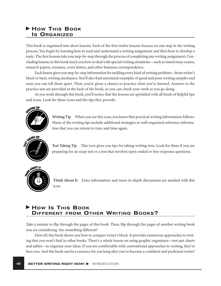#### - **HOW THIS BOOK IS ORGANIZED**

This book is organized into short lessons. Each of the first twelve lessons focuses on one step in the writing process. You begin by learning how to read and understand a writing assignment and then how to develop a topic. The first lessons take you step-by-step through the process of completing any writing assignment. Concluding lessons in this book teach you how to deal with special writing situations—such as timed essay exams, research papers, resumes, cover letters, and other business correspondence.

Each lesson gives you step-by-step information for tackling every kind of writing problem—from writer's block to basic writing mechanics. You'll also find annotated examples of good and poor writing samples and ways you can tell them apart. Then, you're given a chance to practice what you've learned. Answers to the practice sets are provided at the back of the book, so you can check your work as you go along.

As you work through this book, you'll notice that the lessons are sprinkled with all kinds of helpful tips and icons. Look for these icons and the tips they provide.



**Writing Tip** When you see this icon, you know that practical writing information follows. Many of the writing tips include additional strategies or well-organized reference information that you can return to time and time again.



**Test Taking Tip** This icon gives you tips for taking writing tests. Look for these if you are preparing for an essay test or a test that involves open-ended or free-response questions.



**Think About It** Extra information and more in-depth discussions are marked with this icon.

#### - **HOW IS THIS BOOK DIFFERENT FROM OTHER WRITING BOOKS?**

Take a minute to flip through the pages of this book. Then, flip through the pages of another writing book you are considering. See something different?

First off, this book shows you how to conquer writer's block. It provides numerous approaches to writing that you won't find in other books. There's a whole lesson on using graphic organizers—not just charts and tables—to organize your ideas. If you are comfortable with conventional approaches to writing, they're here, too. And this book can be a resource for you long after you've become a confident and proficient writer!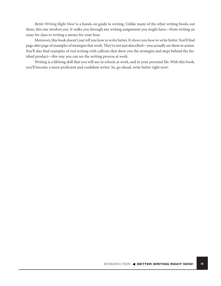*Better Writing Right Now!* is a hands-on guide to writing. Unlike many of the other writing books out there, this one involves *you*. It walks you through any writing assignment you might have—from writing an essay for class to writing a memo for your boss.

Moreover, this book doesn't just *tell* you how to write better. It *shows* you how to write better. You'll find page after page of examples of strategies that work. They're not just described—you actually see them in action. You'll also find examples of real writing with callouts that show you the strategies and steps behind the finished product—this way you can see the writing process at work.

Writing is a lifelong skill that you will use in school, at work, and in your personal life. With this book, you'll become a more proficient and confident writer. So, go ahead, write better right now!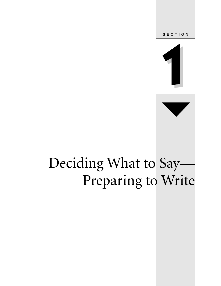**SECTION**

<span id="page-10-0"></span>

### Deciding What to Say-Preparing to Write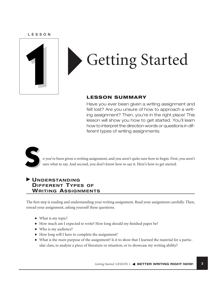<span id="page-12-0"></span>

## Getting Started

#### **LESSON SUMMARY**

Have you ever been given a writing assignment and felt lost? Are you unsure of how to approach a writing assignment? Then, you're in the right place! This lesson will show you how to get started. You'll learn how to interpret the direction words or questions in different types of writing assignments.



o you've been given a writing assignment, and you aren't quite sure how to begin. First, you aren't sure what to say. And second, you don't know how to say it. Here's how to get started.

#### $\blacktriangleright$  **UNDERSTANDING DIFFERENT TYPES OF WRITING ASSIGNMENTS**

The first step is reading and understanding your writing assignment. Read your assignment carefully. Then, reread your assignment, asking yourself these questions.

- What is my topic?
- How much am I expected to write? How long should my finished paper be?
- Who is my audience?
- How long will I have to complete the assignment?
- What is the *main* purpose of the assignment? Is it to show that I learned the material for a particular class, to analyze a piece of literature or situation, or to showcase my writing ability?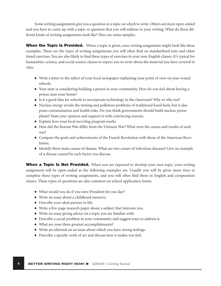Some writing assignments give you a question or a topic on which to write. Others are more open-ended and you have to come up with a topic or question that you will address in your writing. What do these different kinds of writing assignments look like? Here are some samples.

**When the Topic Is Provided.** When a topic is given, your writing assignment might look like these examples. These are the types of writing assignments you will often find on standardized tests and other timed exercises. You are also likely to find these types of exercises in your non-English classes. It's typical for humanities, science, and social science classes to expect you to write about the material you have covered in class.

- Write a letter to the editor of your local newspaper explaining your point of view on year-round schools.
- Your state is considering building a prison in your community. How do you feel about having a prison near your home?
- Is it a good idea for schools to incorporate technology in the classroom? Why or why not?
- Nuclear energy avoids the mining and pollution problems of traditional fossil fuels, but it also poses contamination and health risks. Do you think governments should build nuclear power plants? State your opinion and support it with convincing reasons.
- Explain how your local recycling program works.
- How did the Korean War differ from the Vietnam War? What were the causes and results of each war?
- Compare the goals and achievements of the French Revolution with those of the American Revolution.
- Identify three main causes of disease. What are two causes of infectious diseases? Give an example of a disease caused by each factor you discuss.

**When a Topic Is Not Provided.** When you are expected to develop your own topic, your writing assignment will be open-ended as the following examples are. Usually you will be given more time to complete these types of writing assignments, and you will often find them in English and composition classes. These types of questions are also common on school application forms.

- What would you do if you were President for one day?
- Write an essay about a childhood memory.
- Describe your ideal partner in life.
- Write a five-page research paper about a subject that interests you.
- Write an essay giving advice on a topic you are familiar with.
- Describe a social problem in your community and suggest ways to address it.
- What are your three greatest accomplishments?
- Write an editorial on an issue about which you have strong feelings.
- Describe a specific work of art and discuss how it makes you feel.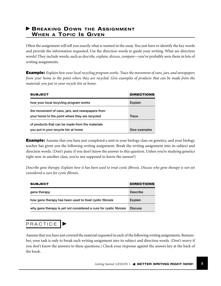#### - **BREAKING DOWN THE ASSIGNMENT WHEN A TOPIC IS GIVEN**

Often the assignment will tell you exactly what is wanted in the essay. You just have to identify the key words and provide the information requested. Use the direction words to guide your writing. What are direction words? They include words, such as *describe, explain, discuss, compare*—you've probably seen them in lots of writing assignments.

**Example:** *Explain how your local recycling program works. Trace the movement of cans, jars, and newspapers from your home to the point where they are recycled. Give examples of products that can be made from the materials you put in your recycle bin at home.*

| <b>SUBJECT</b>                                                                                    | <b>DIRECTIONS</b> |
|---------------------------------------------------------------------------------------------------|-------------------|
| how your local recycling program works                                                            | Explain           |
| the movement of cans, jars, and newspapers from<br>your home to the point where they are recycled | Trace             |
| of products that can be made from the materials<br>you put in your recycle bin at home            | Give examples     |

**Example:** Assume that you have just completed a unit in your biology class on genetics, and your biology teacher has given you the following writing assignment. Break the writing assignment into its subject and direction words. (Don't panic if you don't know the answer to this question. Unless you're studying genetics right now in another class, you're not supposed to know the answer!)

*Describe gene therapy. Explain how it has been used to treat cystic fibrosis. Discuss why gene therapy is not yet considered a cure for cystic fibrosis.*

| <b>SUBJECT</b>                                                    | <b>DIRECTIONS</b> |
|-------------------------------------------------------------------|-------------------|
| gene therapy                                                      | Describe          |
| how gene therapy has been used to treat cystic fibrosis           | Explain           |
| why gene therapy is yet not considered a cure for cystic fibrosis | <b>Discuss</b>    |

#### PRACTICE

Assume that you have just covered the material requested in each of the following writing assignments. Remember, your task is only to break each writing assignment into its subject and direction words. (Don't worry if you don't know the answers to these questions.) Check your response against the answer key at the back of the book.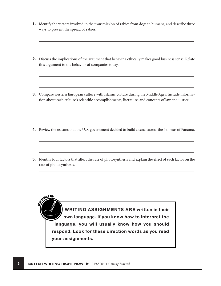- **1.** Identify the vectors involved in the transmission of rabies from dogs to humans, and describe three ways to prevent the spread of rabies.
- **2.** Discuss the implications of the argument that behaving ethically makes good business sense. Relate this argument to the behavior of companies today.
- **3.** Compare western European culture with Islamic culture during the Middle Ages. Include information about each culture's scientific accomplishments, literature, and concepts of law and justice.
- **4.** Review the reasons that the U.S. government decided to build a canal across the Isthmus of Panama.
- **5.** Identify four factors that affect the rate of photosynthesis and explain the effect of each factor on the rate of photosynthesis.

**WRITING ASSIGNMENTS ARE written in their own language. If you know how to interpret the language, you will usually know how you should respond. Look for these direction words as you read your assignments.** <u>I</u>

**C***A<b>MINGTIP* 

**TSET**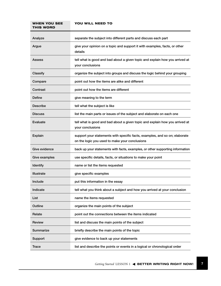**THIS WORD**

| Analyze           | separate the subject into different parts and discuss each part                                                               |  |
|-------------------|-------------------------------------------------------------------------------------------------------------------------------|--|
| Argue             | give your opinion on a topic and support it with examples, facts, or other<br>details                                         |  |
| <b>Assess</b>     | tell what is good and bad about a given topic and explain how you arrived at<br>your conclusions                              |  |
| Classify          | organize the subject into groups and discuss the logic behind your grouping                                                   |  |
| Compare           | point out how the items are alike and different                                                                               |  |
| Contrast          | point out how the items are different                                                                                         |  |
| <b>Define</b>     | give meaning to the term                                                                                                      |  |
| <b>Describe</b>   | tell what the subject is like                                                                                                 |  |
| <b>Discuss</b>    | list the main parts or issues of the subject and elaborate on each one                                                        |  |
| Evaluate          | tell what is good and bad about a given topic and explain how you arrived at<br>your conclusions                              |  |
| Explain           | support your statements with specific facts, examples, and so on; elaborate<br>on the logic you used to make your conclusions |  |
| Give evidence     | back up your statements with facts, examples, or other supporting information                                                 |  |
| Give examples     | use specific details, facts, or situations to make your point                                                                 |  |
| <b>Identify</b>   | name or list the items requested                                                                                              |  |
| <b>Illustrate</b> | give specific examples                                                                                                        |  |
| Include           | put this information in the essay                                                                                             |  |
| Indicate          | tell what you think about a subject and how you arrived at your conclusion                                                    |  |
| List              | name the items requested                                                                                                      |  |
| Outline           | organize the main points of the subject                                                                                       |  |
| Relate            | point out the connections between the items indicated                                                                         |  |
| Review            | list and discuss the main points of the subject                                                                               |  |
| Summarize         | briefly describe the main points of the topic                                                                                 |  |
| Support           | give evidence to back up your statements                                                                                      |  |
| Trace             | list and describe the points or events in a logical or chronological order                                                    |  |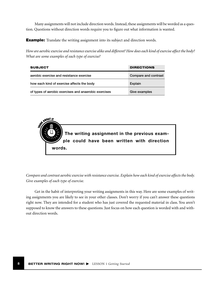Many assignments will not include direction words. Instead, these assignments will be worded as a question. Questions without direction words require you to figure out what information is wanted.

**Example:** Translate the writing assignment into its subject and direction words.

*How are aerobic exercise and resistance exercise alike and different? How does each kind of exercise affect the body? What are some examples of each type of exercise?*

| <b>SUBJECT</b>                                        | <b>DIRECTIONS</b>    |
|-------------------------------------------------------|----------------------|
| aerobic exercise and resistance exercise              | Compare and contrast |
| how each kind of exercise affects the body            | Explain              |
| of types of aerobic exercises and anaerobic exercises | Give examples        |



*Compare and contrast aerobic exercise with resistance exercise. Explain how each kind of exercise affects the body. Give examples of each type of exercise.*

Get in the habit of interpreting your writing assignments in this way. Here are some examples of writing assignments you are likely to see in your other classes. Don't worry if you can't answer these questions right now. They are intended for a student who has just covered the requested material in class. You aren't supposed to know the answers to these questions. Just focus on how each question is worded with and without direction words.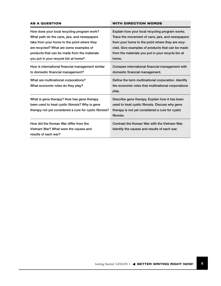| <b>AS A QUESTION</b>                                                                                                                                                                                                                                                         | <b>WITH DIRECTION WORDS</b>                                                                                                                                                                                                                                               |
|------------------------------------------------------------------------------------------------------------------------------------------------------------------------------------------------------------------------------------------------------------------------------|---------------------------------------------------------------------------------------------------------------------------------------------------------------------------------------------------------------------------------------------------------------------------|
| How does your local recycling program work?<br>What path do the cans, jars, and newspapers<br>take from your home to the point where they<br>are recycled? What are some examples of<br>products that can be made from the materials<br>you put in your recycle bin at home? | Explain how your local recycling program works.<br>Trace the movement of cans, jars, and newspapers<br>from your home to the point where they are recy-<br>cled. Give examples of products that can be made<br>from the materials you put in your recycle bin at<br>home. |
| How is international financial management similar<br>to domestic financial management?                                                                                                                                                                                       | Compare international financial management with<br>domestic financial management.                                                                                                                                                                                         |
| What are multinational corporations?<br>What economic roles do they play?                                                                                                                                                                                                    | Define the term <i>multinational corporation</i> . Identify<br>the economic roles that multinational corporations<br>play.                                                                                                                                                |
| What is gene therapy? How has gene therapy<br>been used to treat cystic fibrosis? Why is gene<br>therapy not yet considered a cure for cystic fibrosis?                                                                                                                      | Describe gene therapy. Explain how it has been<br>used to treat cystic fibrosis. Discuss why gene<br>therapy is not yet considered a cure for cystic<br>fibrosis.                                                                                                         |
| How did the Korean War differ from the<br>Vietnam War? What were the causes and<br>results of each war?                                                                                                                                                                      | Contrast the Korean War with the Vietnam War.<br>Identify the causes and results of each war.                                                                                                                                                                             |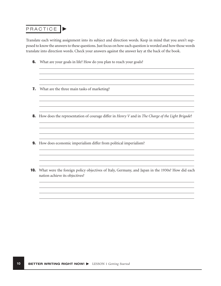#### PRACTICE P

Translate each writing assignment into its subject and direction words. Keep in mind that you aren't supposed to know the answers to these questions. Just focus on how each question is worded and how those words translate into direction words. Check your answers against the answer key at the back of the book.

- **6.** What are your goals in life? How do you plan to reach your goals?
- **7.** What are the three main tasks of marketing?
- **8.** How does the representation of courage differ in *Henry V* and in *The Charge of the Light Brigade*?
- **9.** How does economic imperialism differ from political imperialism?
- **10.** What were the foreign policy objectives of Italy, Germany, and Japan in the 1930s? How did each nation achieve its objectives?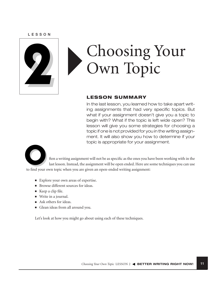<span id="page-20-0"></span>

## Choosing Your Own Topic

#### **LESSON SUMMARY**

In the last lesson, you learned how to take apart writing assignments that had very specific topics. But what if your assignment doesn't give you a topic to begin with? What if the topic is left wide open? This lesson will give you some strategies for choosing a topic if one is not provided for you in the writing assignment. It will also show you how to determine if your topic is appropriate for your assignment.



ften a writing assignment will not be as specific as the ones you have been working with in the last lesson. Instead, the assignment will be open ended. Here are some techniques you can use to find your dass<br>then a writing assignment will not be as specific as the ones you has<br>the assignment will be open-ended. Here are s<br>to find your own topic when you are given an open-ended writing assignment:

■ Explore your own areas of expertise.

- Browse different sources for ideas.
- Keep a clip file.
- Write in a journal.
- Ask others for ideas.
- Glean ideas from all around you.

Let's look at how you might go about using each of these techniques.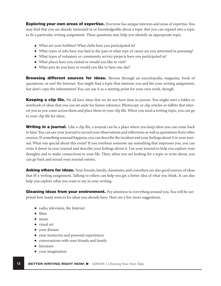**Exploring your own areas of expertise.** Everyone has unique interests and areas of expertise. You may find that you are already interested in or knowledgeable about a topic that you can expand into a topic to fit a particular writing assignment. These questions may help you identify an appropriate topic.

- What are your hobbies? What clubs have you participated in?
- What types of jobs have you had in the past or what type of career are you interested in pursuing?
- What types of volunteer or community service projects have you participated in?
- What places have you visited or would you like to visit?
- What pets do you have or would you like to have one day?

**Browsing different sources for ideas.** Browse through an encyclopedia, magazine, book of quotations, or surf the Internet. You might find a topic that interests you and fits your writing assignment, but don't copy the information! You can use it as a starting point for your own work, though.

**Keeping a clip file.** We all have ideas that we do not have time to pursue. You might start a folder or notebook of ideas that you can set aside for future reference. Photocopy or clip articles or tidbits that interest you as you come across them and place them in your clip file. When you need a writing topic, you can go to your clip file for ideas.

**Writing in a journal.** Like a clip file, a journal can be a place where you keep ideas you can come back to later.You can use your journal to record your observations and reflections as well as quotations from other sources. If something unusual happens, you can describe the incident and your feelings about it in your journal. What was special about this event? If you overhear someone say something that impresses you, you can write it down in your journal and describe your feelings about it. Use your journal to help you explore your thoughts and to make connections to your life. Then, when you are looking for a topic to write about, you can go back and reread your journal entries.

**Asking others for ideas.** Your friends, family, classmates, and coworkers are also good sources of ideas that fit a writing assignment. Talking to others can help you get a better idea of what you think. It can also help you explore what you want to say in your writing.

**Gleaning ideas from your environment.** Pay attention to everything around you. You will be surprised how many sources for ideas you already have. Here are a few more suggestions.

- radio, television, the Internet
- films
- music
- visual art
- your dreams
- your memories and personal experiences
- conversations with your friends and family
- literature
- your imagination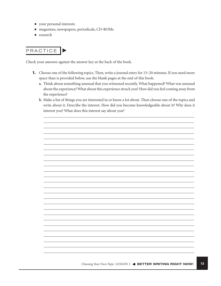- your personal interests
- magazines, newspapers, periodicals, CD-ROMs
- research

#### PRACTICE  $\blacktriangleright$

Check your answers against the answer key at the back of the book.

- **1.** Choose one of the following topics. Then, write a journal entry for 15–20 minutes. If you need more space than is provided below, use the blank pages at the end of this book.
	- **a.** Think about something unusual that you witnessed recently. What happened? What was unusual about the experience? What about this experience struck you? How did you feel coming away from the experience?
	- **b.** Make a list of things you are interested in or know a lot about. Then choose one of the topics and write about it. Describe the interest. How did you become knowledgeable about it? Why does it interest you? What does this interest say about you?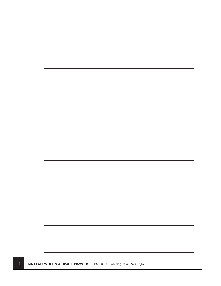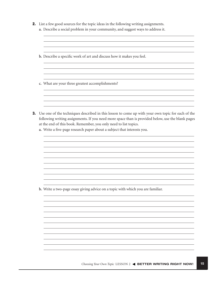|  | <b>2.</b> List a few good sources for the topic ideas in the following writing assignments. |  |  |  |  |  |
|--|---------------------------------------------------------------------------------------------|--|--|--|--|--|
|--|---------------------------------------------------------------------------------------------|--|--|--|--|--|

- **a.** Describe a social problem in your community, and suggest ways to address it.
- **b.** Describe a specific work of art and discuss how it makes you feel.
- **c.** What are your three greatest accomplishments?
- **3.** Use one of the techniques described in this lesson to come up with your own topic for each of the following writing assignments. If you need more space than is provided below, use the blank pages at the end of this book. Remember, you only need to list topics.
	- **a.** Write a five-page research paper about a subject that interests you.

**b.** Write a two-page essay giving advice on a topic with which you are familiar.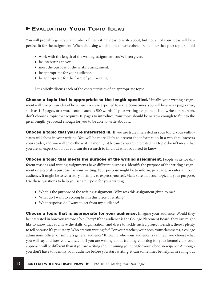#### - **EVALUATING YOUR TOPIC IDEAS**

You will probably generate a number of interesting ideas to write about, but not all of your ideas will be a perfect fit for the assignment. When choosing which topic to write about, remember that your topic should

- work with the length of the writing assignment you've been given.
- be interesting to you.
- meet the purpose of the writing assignment.
- be appropriate for your audience.
- be appropriate for the form of your writing.

Let's briefly discuss each of the characteristics of an appropriate topic.

**Choose a topic that is appropriate to the length specified.** Usually, your writing assignment will give you an idea of how much you are expected to write. Sometimes, you will be given a page range, such as 1–2 pages, or a word count, such as 500 words. If your writing assignment is to write a paragraph, don't choose a topic that requires 10 pages to introduce. Your topic should be narrow enough to fit into the given length, yet broad enough for you to be able to write about it.

**Choose a topic that you are interested in.** If you are truly interested in your topic, your enthusiasm will show in your writing. You will be more likely to present the information in a way that interests your reader, and you will enjoy the writing more. Just because you are interested in a topic doesn't mean that you are an expert on it, but you can do research to find out what you need to know.

**Choose a topic that meets the purpose of the writing assignment.** People write for different reasons and writing assignments have different purposes. Identify the purpose of the writing assignment or establish a purpose for your writing. Your purpose might be to inform, persuade, or entertain your audience. It might be to tell a story or simply to express yourself. Make sure that your topic fits your purpose. Use these questions to help you set a purpose for your writing.

- What is the purpose of the writing assignment? Why was this assignment given to me?
- What do I want to accomplish in this piece of writing?
- What response do I want to get from my audience?

**Choose a topic that is appropriate for your audience.** Imagine your audience. Would they be interested in how you restore a '57 Chevy? If the audience is the College Placement Board, they just might like to know that you have the skills, organization, and drive to tackle such a project. Besides, there's plenty to tell because it's *your* story. Who are you writing for? For your teacher, your boss, your classmates, a college admissions officer, or simply a general audience? Knowing who your audience is can help you choose what you will say and how you will say it. If you are writing about training your dog for your kennel club, your approach will be different than if you are writing about training your dog for your school newspaper. Although you don't have to identify your audience before you start writing, it can sometimes be helpful in ruling out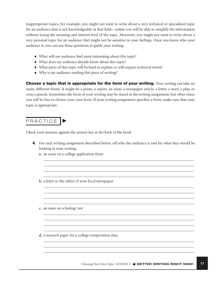inappropriate topics. For example, you might not want to write about a very technical or specialized topic for an audience that is not knowledgeable in that field—unless you will be able to simplify the information without losing the meaning and interest level of the topic. Moreover, you might not want to write about a very personal topic for an audience that might not be sensitive to your feelings. Once you know who your audience is, you can use these questions to guide your writing.

- What will my audience find most interesting about this topic?
- What does my audience already know about this topic?
- What parts of this topic will be hard to explain or will require technical terms?
- Why is my audience reading this piece of writing?

**Choose a topic that is appropriate for the form of your writing.** Your writing can take on many different forms. It might be a poem, a report, an essay, a newspaper article, a letter, a story, a play, or even a speech. Sometimes the form of your writing may be stated in the writing assignment, but other times you will be free to choose your own form. If your writing assignment specifies a form, make sure that your topic is appropriate.

#### PRACTICE

Check your answers against the answer key at the back of the book.

- **4.** For each writing assignment described below, tell who the audience is and for what they would be looking in your writing.
	- **a.** an essay on a college application form
	- **b.** a letter to the editor of your local newspaper

**c.** an essay on a biology test

**d.** a research paper for a college composition class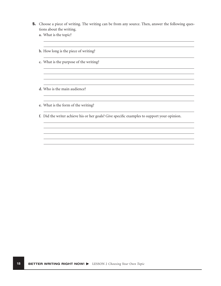- **5.** Choose a piece of writing. The writing can be from any source. Then, answer the following questions about the writing.
	- **a.** What is the topic?
	- **b.** How long is the piece of writing?
	- **c.** What is the purpose of the writing?
	- **d.** Who is the main audience?
	- **e.** What is the form of the writing?
	- **f.** Did the writer achieve his or her goals? Give specific examples to support your opinion.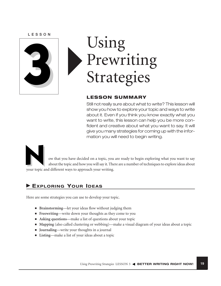<span id="page-28-0"></span>

### Using Prewriting Strategies

#### **LESSON SUMMARY**

Still not really sure about what to write? This lesson will show you how to explore your topic and ways to write about it. Even if you think you know exactly what you want to write, this lesson can help you be more confident and creative about what you want to say. It will give you many strategies for coming up with the information you will need to begin writing.



ow that you have decided on a topic, you are ready to begin exploring what you want to say about the topic and how you will say it. There are a number of techniques to explore ideas about we that you have decided on a topic, you about the topic and how you will say it. The your topic and different ways to approach your writing.

 $\blacktriangleright$ **EXPLORING YOUR IDEAS**

Here are some strategies you can use to develop your topic.

- **Brainstorming—let** your ideas flow without judging them
- **Freewriting—write down your thoughts as they come to you**
- **Asking questions**—make a list of questions about your topic
- **Mapping** (also called clustering or webbing)—make a visual diagram of your ideas about a topic
- **Journaling—write your thoughts in a journal**
- **Listing—make a list of your ideas about a topic**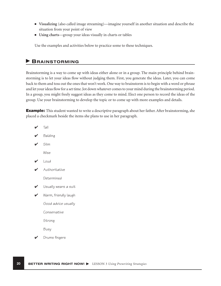- **Visualizing** (also called image streaming)—imagine yourself in another situation and describe the situation from your point of view
- **Using charts**—group your ideas visually in charts or tables

Use the examples and activities below to practice some to these techniques.

#### $\blacktriangleright$ **BRAINSTORMING**

Brainstorming is a way to come up with ideas either alone or in a group. The main principle behind brainstorming is to let your ideas flow without judging them. First, you generate the ideas. Later, you can come back to them and toss out the ones that won't work. One way to brainstorm is to begin with a word or phrase and let your ideas flow for a set time. Jot down whatever comes to your mind during the brainstorming period. In a group, you might freely suggest ideas as they come to mind. Elect one person to record the ideas of the group. Use your brainstorming to develop the topic or to come up with more examples and details.

**Example:** This student wanted to write a descriptive paragraph about her father. After brainstorming, she placed a checkmark beside the items she plans to use in her paragraph.

✔ Tall **Balding** Slim Wise Loud **Authoritative** Determined  $\vee$  Usually wears a suit  $\vee$  Warm, friendly laugh Good advice usually Conservative Strong Busy Drums fingers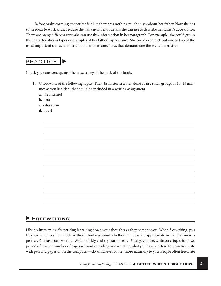Before brainstorming, the writer felt like there was nothing much to say about her father. Now she has some ideas to work with, because she has a number of details she can use to describe her father's appearance. There are many different ways she can use this information in her paragraph. For example, she could group the characteristics as types or examples of her father's appearance. She could even pick out one or two of the most important characteristics and brainstorm anecdotes that demonstrate these characteristics.

#### PRACTICE **D**

Check your answers against the answer key at the back of the book.

- **1.** Choose one of the following topics. Then, brainstorm either alone or in a small group for 10–15 minutes as you list ideas that could be included in a writing assignment.
	- **a.** the Internet
	- **b.** pets
	- **c.** education
	- **d.** travel

#### - **FREEWRITING**

Like brainstorming, freewriting is writing down your thoughts as they come to you. When freewriting, you let your sentences flow freely without thinking about whether the ideas are appropriate or the grammar is perfect. You just start writing. Write quickly and try not to stop. Usually, you freewrite on a topic for a set period of time or number of pages without rereading or correcting what you have written. You can freewrite with pen and paper or on the computer—do whichever comes more naturally to you. People often freewrite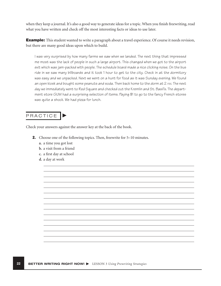when they keep a journal. It's also a good way to generate ideas for a topic. When you finish freewriting, read what you have written and check off the most interesting facts or ideas to use later.

**Example:** This student wanted to write a paragraph about a travel experience. Of course it needs revision, but there are many good ideas upon which to build.

I was very surprised by how many farms we saw when we landed. The next thing that impressed me most was the lack of people in such a large airport. This changed when we got to the airport exit which was jam-packed with people. The schedule board made a nice clicking noise. On the bus ride in we saw many billboards and it took 1 hour to get to the city. Check in at the dormitory was easy and we unpacked. Next we went on a hunt for food as it was Sunday evening. We found an open kiosk and bought some peanuts and soda. Then back home to the dorm at 2 AM. The next day we immediately went to Red Square and checked out the Kremlin and St. Basil's. The department store GUM had a surprising selection of items. Paying \$1 to go to the fancy French stores was quite a shock. We had pizza for lunch.

#### PRACTICE

Check your answers against the answer key at the back of the book.

- **2.** Choose one of the following topics. Then, freewrite for 5–10 minutes.
	- **a.** a time you got lost
	- **b.** a visit from a friend
	- **c.** a first day at school
	- **d.** a day at work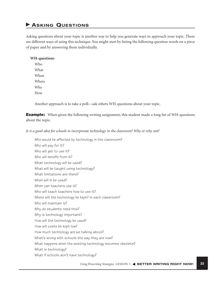#### - **ASKING QUESTIONS**

Asking questions about your topic is another way to help you generate ways to approach your topic. There are different ways of using this technique. You might start by listing the following question words on a piece of paper and by answering them individually.

#### **WH-questions**

Who What When Where Why How

Another approach is to take a poll—ask others WH-questions about your topic.

**Example:** When given the following writing assignment, this student made a long list of WH-questions about the topic.

*Is it a good idea for schools to incorporate technology in the classroom? Why or why not?*

Who would be affected by technology in the classroom? Who will pay for it? Who will get to use it? Who will benefit from it? What technology will be used? What will be taught using technology? What limitations are there? When will it be used? When can teachers use it? Who will teach teachers how to use it? Where will the technology be kept? In each classroom? Who will maintain it? Why do students need this? Why is technology important? How will the technology be used? How will costs be kept low? How much technology are we talking about? What's wrong with schools the way they are now? What happens when the existing technology becomes obsolete? What is technology? What if schools don't have technology?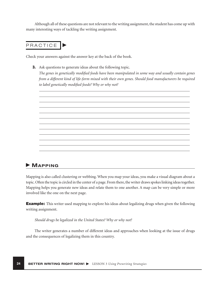Although all of these questions are not relevant to the writing assignment, the student has come up with many interesting ways of tackling the writing assignment.

#### PRACTICE

Check your answers against the answer key at the back of the book.

**3.** Ask questions to generate ideas about the following topic.

*The genes in genetically modified foods have been manipulated in some way and usually contain genes from a different kind of life-form mixed with their own genes. Should food manufacturers be required to label genetically modified foods? Why or why not?*



#### **MAPPING**

Mapping is also called clustering or webbing. When you map your ideas, you make a visual diagram about a topic. Often the topic is circled in the center of a page. From there, the writer draws spokes linking ideas together. Mapping helps you generate new ideas and relate them to one another. A map can be very simple or more involved like the one on the next page.

**Example:** This writer used mapping to explore his ideas about legalizing drugs when given the following writing assignment.

*Should drugs be legalized in the United States? Why or why not?*

The writer generates a number of different ideas and approaches when looking at the issue of drugs and the consequences of legalizing them in this country.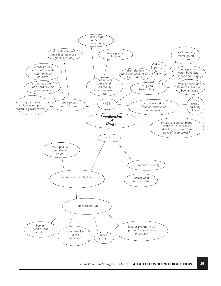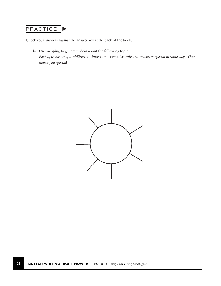#### PRACTICE  $\blacktriangleright$

Check your answers against the answer key at the back of the book.

**4.** Use mapping to generate ideas about the following topic. *Each of us has unique abilities, aptitudes, or personality traits that makes us special in some way. What makes you special?*

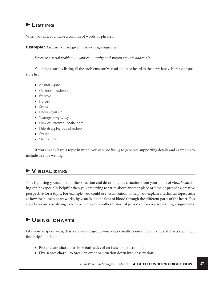#### $\blacktriangleright$ **LISTING**

When you list, you make a column of words or phrases.

**Example:** Assume you are given this writing assignment.

*Describe a social problem in your community and suggest ways to address it.*

You might start by listing all the problems you've read about or heard in the news lately. Here's one possible list.

- Animal rights
- Violence in schools
- Poverty
- Hunger
- Crime
- Unemployment
- Teenage pregnancy
- Lack of universal healthcare
- Kids dropping out of school
- Gangs
- Child abuse

If you already have a topic in mind, you can use *listing* to generate supporting details and examples to include in your writing.

## **VISUALIZING**

This is putting yourself in another situation and describing the situation from your point of view. Visualizing can be especially helpful when you are trying to write about another place or time or provide a creative perspective for a topic. For example, you could use visualization to help you explain a technical topic, such as how the human heart works, by visualizing the flow of blood through the different parts of the heart. You could also use visualizing to help you imagine another historical period or for creative writing assignments.

## **USING CHARTS**

Like word maps or webs, charts are ways to group your ideas visually. Some different kinds of charts you might find helpful include

- **Pro and con chart—to show both sides of an issue or an action plan**
- **Five senses chart—to break an event or situation down into observations**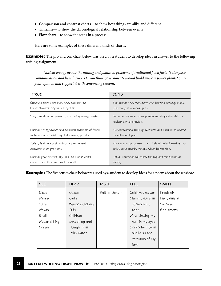- **Comparison and contrast charts**—to show how things are alike and different
- **Timeline**—to show the chronological relationship between events
- **Flow chart**—to show the steps in a process

Here are some examples of these different kinds of charts.

**Example:** The pro and con chart below was used by a student to develop ideas in answer to the following writing assignment.

*Nuclear energy avoids the mining and pollution problems of traditional fossil fuels. It also poses contamination and health risks. Do you think governments should build nuclear power plants? State your opinion and support it with convincing reasons.*

| PROS                                                   | CONS                                                                            |
|--------------------------------------------------------|---------------------------------------------------------------------------------|
| Once the plants are built, they can provide            | Sometimes they melt down with horrible consequences.                            |
| low-cost electricity for a long time.                  | (Chernobyl is one example.)                                                     |
| They can allow us to meet our growing energy needs.    | Communities near power plants are at greater risk for<br>nuclear contamination. |
| Nuclear energy avoids the pollution problems of fossil | Nuclear wastes build up over time and have to be stored                         |
| fuels and won't add to global warming problems.        | for millions of years.                                                          |
| Safety features and protocols can prevent              | Nuclear energy causes other kinds of pollution-thermal                          |
| contamination problems.                                | pollution to nearby waters, which harms fish.                                   |
| Nuclear power is virtually unlimited, so it won't      | Not all countries will follow the highest standards of                          |
| run out over time as fossil fuels will.                | safety.                                                                         |

**Example:** The five senses chart below was used by a student to develop ideas for a poem about the seashore.

| <b>SEE</b>    | <b>HEAR</b>    | <b>TASTE</b>    | <b>FEEL</b>     | <b>SMELL</b> |
|---------------|----------------|-----------------|-----------------|--------------|
| Birds         | 0cean          | Salt in the air | Cold, wet water | Fresh air    |
| <b>Waves</b>  | Gulls          |                 | Clammy sand in  | Fishy smells |
| Sand          | Waves crashing |                 | between my      | Salty air    |
| Waves         | Tide           |                 | toes            | Sea breeze   |
| <b>Shells</b> | Children       |                 | Wind blowing my |              |
| Water ebbing  | Splashing and  |                 | hair in my eyes |              |
| Ocean         | laughing in    |                 | Scratchy broken |              |
|               | the water      |                 | shells on the   |              |
|               |                |                 | bottoms of my   |              |
|               |                |                 | feet            |              |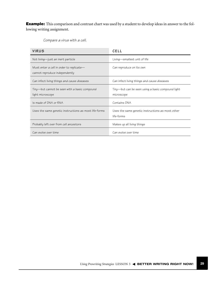**Example:** This comparison and contrast chart was used by a student to develop ideas in answer to the following writing assignment.

*Compare a virus with a cell.*

| <b>VIRUS</b>                                                               | CELL                                                            |
|----------------------------------------------------------------------------|-----------------------------------------------------------------|
| Not living—just an inert particle                                          | Living—smallest unit of life                                    |
| Must enter a cell in order to replicate-<br>cannot reproduce independently | Can reproduce on its own                                        |
| Can infect living things and cause diseases                                | Can infect living things and cause diseases                     |
| Tiny—but cannot be seen with a basic compound<br>light microscope          | Tiny—but can be seen using a basic compound light<br>microscope |
| Is made of DNA or RNA                                                      | Contains DNA                                                    |
| Uses the same genetic instructions as most life-forms                      | Uses the same genetic instructions as most other<br>life-forms  |
| Probably left over from cell ancestors                                     | Makes up all living things                                      |
| Can evolve over time                                                       | Can evolve over time                                            |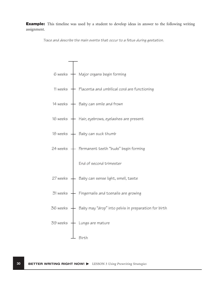**Example:** This timeline was used by a student to develop ideas in answer to the following writing assignment.

*Trace and describe the main events that occur to a fetus during gestation.*



**30 BETTER WRITING RIGHT NOW!** LESSON 3 *Using Prewriting Strategies*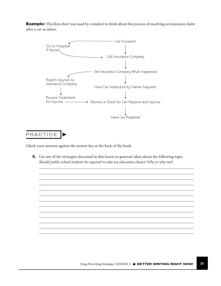**Example:** This flow chart was used by a student to think about the process of resolving an insurance claim after a car accident.



PRACTICE

Check your answers against the answer key at the back of the book.

**5.** Use any of the strategies discussed in this lesson to generate ideas about the following topic. *Should public school students be required to take sex education classes? Why or why not?*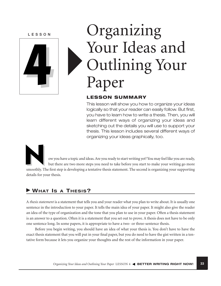

# LESSON **Organizing** Your Ideas and Outlining Your Paper

## **LESSON SUMMARY**

This lesson will show you how to organize your ideas logically so that your reader can easily follow. But first, you have to learn how to write a thesis. Then, you will learn different ways of organizing your ideas and sketching out the details you will use to support your thesis. This lesson includes several different ways of organizing your ideas graphically, too.

ow you have a topic and ideas. Are you ready to start writing yet? You may feel like you are ready, but there are two more steps you need to take before you start to make your writing go more smoothly. The first step is developing a tentative thesis statement. The second is organizing your supporting details for your thesis. **N**<br>Smoothly T

## - **WHAT IS A THESIS?**

A *thesis statement* is a statement that tells you and your reader what you plan to write about. It is usually one sentence in the introduction to your paper. It tells the main idea of your paper. It might also give the reader an idea of the type of organization and the tone that you plan to use in your paper. Often a thesis statement is an answer to a question. Often it is a statement that you set out to prove. A thesis does not have to be only one sentence long. In some papers, it is appropriate to have a two- or three-sentence thesis.

Before you begin writing, you should have an idea of what your thesis is. You don't have to have the exact thesis statement that you will put in your final paper, but you do need to have the gist written in a tentative form because it lets you organize your thoughts and the rest of the information in your paper.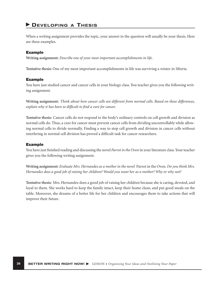## - **DEVELOPING A THESIS**

When a writing assignment provides the topic, your answer to the question will usually be your thesis. Here are three examples.

### **Example**

**Writing assignment:** *Describe one of your most important accomplishments in life.*

**Tentative thesis:** One of my most important accomplishments in life was surviving a winter in Siberia.

### **Example**

You have just studied cancer and cancer cells in your biology class. You teacher gives you the following writing assignment.

**Writing assignment:** *Think about how cancer cells are different from normal cells. Based on these differences, explain why it has been so difficult to find a cure for cancer.*

**Tentative thesis:** Cancer cells do not respond to the body's ordinary controls on cell growth and division as normal cells do. Thus, a cure for cancer must prevent cancer cells from dividing uncontrollably while allowing normal cells to divide normally. Finding a way to stop cell growth and division in cancer cells without interfering in normal cell division has proved a difficult task for cancer researchers.

### **Example**

You have just finished reading and discussing the novel *Parrot in the Oven* in your literature class.Your teacher gives you the following writing assignment.

**Writing assignment:** *Evaluate Mrs. Hernandez as a mother in the novel* Parrot in the Oven*. Do you think Mrs. Hernandez does a good job of raising her children? Would you want her as a mother? Why or why not?*

**Tentative thesis:** Mrs. Hernandez does a good job of raising her children because she is caring, devoted, and loyal to them. She works hard to keep the family intact, keep their home clean, and put good meals on the table. Moreover, she dreams of a better life for her children and encourages them to take actions that will improve their future.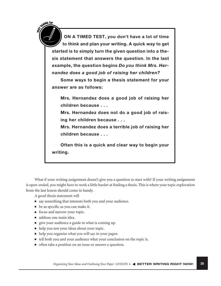**ON A TIMED TEST, you don't have a lot of time to think and plan your writing. A quick way to get started is to simply turn the given question into a thesis statement that answers the question. In the last example, the question begins** *Do you think Mrs. Hernandez does a good job of raising her children?* **Some ways to begin a thesis statement for your answer are as follows: Mrs. Hernandez does a good job of raising her children because . . . Mrs. Hernandez does not do a good job of raising her children because . . . Mrs. Hernandez does a terrible job of raising her children because . . . Often this is a quick and clear way to begin your writing. CANUMG TIP TSET** <u>I</u>

What if your writing assignment doesn't give you a question to start with? If your writing assignment is open-ended, you might have to work a little harder at finding a thesis. This is where your topic exploration from the last lesson should come in handy.

A good thesis statement will

- say something that interests both you and your audience.
- be as specific as you can make it.
- focus and narrow your topic.
- address one main idea.
- give your audience a guide to what is coming up.
- help you test your ideas about your topic.
- help you organize what you will say in your paper.
- tell both you and your audience what your conclusion on the topic is.
- often take a position on an issue or answer a question.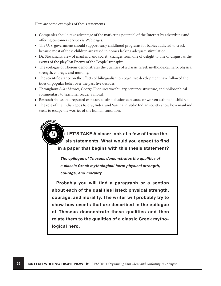Here are some examples of thesis statements.

**<sup>O</sup>U<sup>T</sup> <sup>I</sup><sup>T</sup> <sup>B</sup><sup>A</sup> <sup>K</sup>**

**IN HT**

- Companies should take advantage of the marketing potential of the Internet by advertising and offering customer service via Web pages.
- The U.S. government should support early childhood programs for babies addicted to crack because most of these children are raised in homes lacking adequate stimulation.
- Dr. Stockman's view of mankind and society changes from one of delight to one of disgust as the events of the play "An Enemy of the People" transpire.
- The epilogue of Theseus demonstrates the qualities of a classic Greek mythological hero: physical strength, courage, and morality.
- The scientific stance on the effects of bilingualism on cognitive development have followed the tides of popular belief over the past five decades.
- Throughout *Silas Marner*, George Eliot uses vocabulary, sentence structure, and philosophical commentary to teach her reader a moral*.*
- Research shows that repeated exposure to air pollution can cause or worsen asthma in children.
- The role of the Indian gods Rudra, Indra, and Varuna in Vedic Indian society show how mankind seeks to escape the worries of the human condition.

**LET'S TAKE A closer look at a few of these thesis statements. What would you expect to find in a paper that begins with this thesis statement?**

*The epilogue of Theseus demonstrates the qualities of a classic Greek mythological hero: physical strength, courage, and morality.*

**Probably you will find a paragraph or a section about each of the qualities listed: physical strength, courage, and morality. The writer will probably try to show how events that are described in the epilogue of Theseus demonstrate these qualities and then relate them to the qualities of a classic Greek mythological hero.**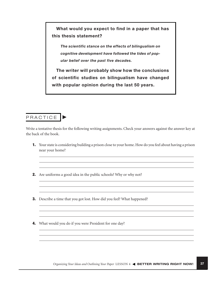**What would you expect to find in a paper that has this thesis statement?**

*The scientific stance on the effects of bilingualism on cognitive development have followed the tides of popular belief over the past five decades.*

**The writer will probably show how the conclusions of scientific studies on bilingualism have changed with popular opinion during the last 50 years.**

## PRACTICE

Write a tentative thesis for the following writing assignments. Check your answers against the answer key at the back of the book.

- **1.** Your state is considering building a prison close to your home. How do you feel about having a prison near your home?
- **2.** Are uniforms a good idea in the public schools? Why or why not?
- **3.** Describe a time that you got lost. How did you feel? What happened?
- **4.** What would you do if you were President for one day?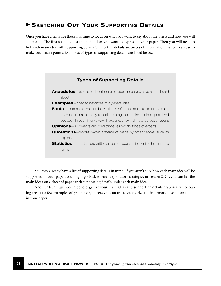## - **SKETCHING OU T YOUR SUPPORTING DETAILS**

Once you have a tentative thesis, it's time to focus on what you want to say about the thesis and how you will support it. The first step is to list the main ideas you want to express in your paper. Then you will need to link each main idea with supporting details. Supporting details are pieces of information that you can use to make your main points. Examples of types of supporting details are listed below.



You may already have a list of supporting details in mind. If you aren't sure how each main idea will be supported in your paper, you might go back to your exploratory strategies in Lesson 2. Or, you can list the main ideas on a sheet of paper with supporting details under each main idea.

Another technique would be to organize your main ideas and supporting details graphically. Following are just a few examples of graphic organizers you can use to categorize the information you plan to put in your paper.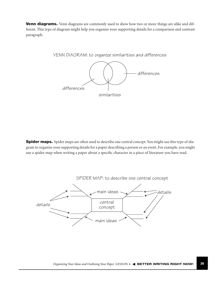**Venn diagrams.** Venn diagrams are commonly used to show how two or more things are alike and different. This type of diagram might help you organize your supporting details for a comparison and contrast paragraph.



**Spider maps.** Spider maps are often used to describe one central concept. You might use this type of diagram to organize your supporting details for a paper describing a person or an event. For example, you might use a spider map when writing a paper about a specific character in a piece of literature you have read.

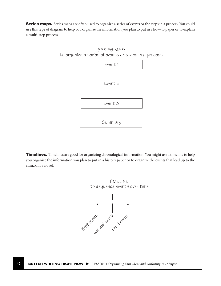**Series maps.** Series maps are often used to organize a series of events or the steps in a process. You could use this type of diagram to help you organize the information you plan to put in a how-to paper or to explain a multi-step process.



**Timelines.** Timelines are good for organizing chronological information. You might use a timeline to help you organize the information you plan to put in a history paper or to organize the events that lead up to the climax in a novel.

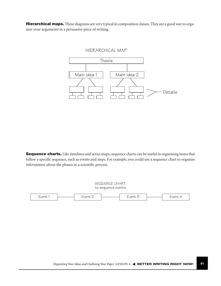**Hierarchical maps.** These diagrams are very typical in composition classes. They are a good way to organize your arguments in a persuasive piece of writing.



**Sequence charts.** Like timelines and series maps, sequence charts can be useful in organizing items that follow a specific sequence, such as events and steps. For example, you could use a sequence chart to organize information about the phases in a scientific process.

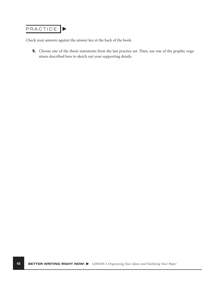# PRACTICE P

Check your answers against the answer key at the back of the book.

**5.** Choose one of the thesis statements from the last practice set. Then, use one of the graphic organizers described here to sketch out your supporting details.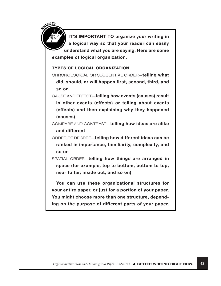**NRITING TIP** 

**IT'S IMPORTANT TO organize your writing in a logical way so that your reader can easily understand what you are saying. Here are some examples of logical organization.**

### **TYPES OF LOGICAL ORGANIZATION**

CHRONOLOGICAL OR SEQUENTIAL ORDER—**telling what did, should, or will happen first, second, third, and so on**

CAUSE AND EFFECT—**telling how events (causes) result in other events (effects) or telling about events (effects) and then explaining why they happened (causes)**

COMPARE AND CONTRAST—**telling how ideas are alike and different**

ORDER OF DEGREE—**telling how different ideas can be ranked in importance, familiarity, complexity, and so on**

SPATIAL ORDER—**telling how things are arranged in space (for example, top to bottom, bottom to top, near to far, inside out, and so on)**

**You can use these organizational structures for your entire paper, or just for a portion of your paper. You might choose more than one structure, depending on the purpose of different parts of your paper.**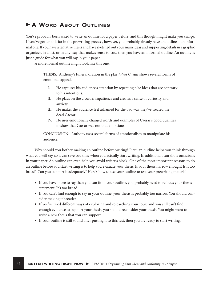#### $\blacktriangleright$ **A WORD ABOUT OUTLINES**

You've probably been asked to write an outline for a paper before, and this thought might make you cringe. If you've gotten this far in the prewriting process, however, you probably already have an outline—an informal one. If you have a tentative thesis and have sketched out your main ideas and supporting details in a graphic organizer, in a list, or in any way that makes sense to you, then you have an informal outline. An outline is just a guide for what you will say in your paper.

A more formal outline might look like this one.

THESIS: Anthony's funeral oration in the play *Julius Caesar* shows several forms of emotional appeal.

- I. He captures his audience's attention by repeating nice ideas that are contrary to his intentions.
- II. He plays on the crowd's impatience and creates a sense of curiosity and anxiety.
- III. He makes the audience feel ashamed for the bad way they've treated the dead Caesar.
- IV. He uses emotionally charged words and examples of Caesar's good qualities to show that Caesar was not that ambitious.

CONCLUSION: Anthony uses several forms of emotionalism to manipulate his audience.

Why should you bother making an outline before writing? First, an outline helps you think through what you will say, so it can save you time when you actually start writing. In addition, it can show omissions in your paper. An outline can even help you avoid writer's block! One of the most important reasons to do an outline before you start writing is to help you evaluate your thesis. Is your thesis narrow enough? Is it too broad? Can you support it adequately? Here's how to use your outline to test your prewriting material.

- If you have more to say than you can fit in your outline, you probably need to refocus your thesis statement. It's too broad.
- If you can't find enough to say in your outline, your thesis is probably too narrow. You should consider making it broader.
- If you've tried different ways of exploring and researching your topic and you still can't find enough evidence to support your thesis, you should reconsider your thesis. You might want to write a new thesis that you can support.
- If your outline is still sound after putting it to this test, then you are ready to start writing.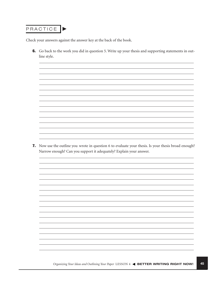## PRACTICE P

Check your answers against the answer key at the back of the book.

**6.** Go back to the work you did in question 5. Write up your thesis and supporting statements in outline style.

**7.** Now use the outline you wrote in question 6 to evaluate your thesis. Is your thesis broad enough? Narrow enough? Can you support it adequately? Explain your answer.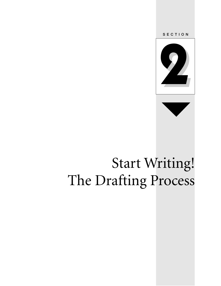**SECTION**



# Start Writing! The Drafting Process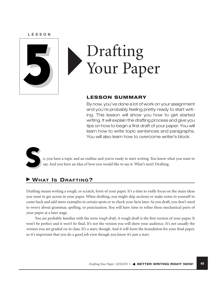

# Drafting Your Paper

## **LESSON SUMMARY**

By now, you've done a lot of work on your assignment and you're probably feeling pretty ready to start writing. This lesson will show you how to get started writing. It will explain the drafting process and give you tips on how to begin a first draft of your paper. You will learn how to write topic sentences and paragraphs. You will also learn how to overcome writer's block.



o, you have a topic and an outline and you're ready to start writing. You know what you want to say. And you have an idea of how you would like to say it. What's next? Drafting.

## - **WHAT IS DRAFTING?**

Drafting means writing a rough, or scratch, form of your paper. It's a time to really focus on the main ideas you want to get across in your paper. When drafting, you might skip sections or make notes to yourself to come back and add more examples in certain spots or to check your facts later. As you draft, you don't need to worry about grammar, spelling, or punctuation. You will have time to refine these mechanical parts of your paper at a later stage.

You are probably familiar with the term *rough draft*. A rough draft is the first version of your paper. It won't be perfect and it won't be final. It's not the version you will show your audience. It's not usually the version you are graded on in class. It's a start, though. And it will form the foundation for your final paper, so it's important that you do a good job even though you know it's just a start.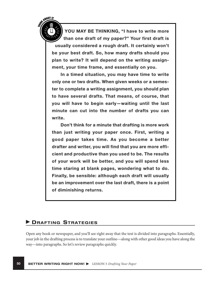

**YOU MAY BE THINKING, "I have to write more than one draft of my paper?" Your first draft is usually considered a rough draft. It certainly won't be your best draft. So, how many drafts should you plan to write? It will depend on the writing assignment, your time frame, and essentially on you.**

**In a timed situation, you may have time to write only one or two drafts. When given weeks or a semester to complete a writing assignment, you should plan to have several drafts. That means, of course, that you will have to begin early—waiting until the last minute can cut into the number of drafts you can write.**

**Don't think for a minute that drafting is more work than just writing your paper once. First, writing a good paper takes time. As you become a better drafter and writer, you will find that you are more efficient and productive than you used to be. The results of your work will be better, and you will spend less time staring at blank pages, wondering what to do. Finally, be sensible: although each draft will usually be an improvement over the last draft, there is a point of diminishing returns.**

## - **DRAFTING STRATEGIES**

Open any book or newspaper, and you'll see right away that the text is divided into paragraphs. Essentially, your job in the drafting process is to translate your outline—along with other good ideas you have along the way—into paragraphs. So let's review paragraphs quickly.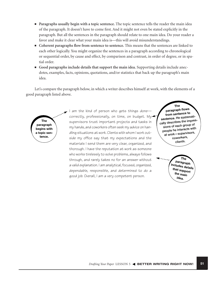- **Paragraphs usually begin with a topic sentence.** The topic sentence tells the reader the main idea of the paragraph. It doesn't have to come first. And it might not even be stated explicitly in the paragraph. But all the sentences in the paragraph should relate to one main idea. Do your reader a favor and make it clear what your main idea is—this will avoid misunderstandings.
- **Coherent paragraphs flow from sentence to sentence.** This means that the sentences are linked to each other logically. You might organize the sentences in a paragraph according to chronological or sequential order, by cause and effect, by comparison and contrast, in order of degree, or in spatial order.
- **Good paragraphs include details that support the main idea.** Supporting details include anecdotes, examples, facts, opinions, quotations, and/or statistics that back up the paragraph's main idea.

Let's compare the paragraph below, in which a writer describes himself at work, with the elements of a good paragraph listed above.



I am the kind of person who gets things donecorrectly, professionally, on time, on budget. My $\blacktriangleleft$ supervisors trust important projects and tasks in my hands, and coworkers often seek my advice on handling situations at work. Clients with whom I work outside my office say that my expectations and the materials I send them are very clear, organized, and thorough. I have the reputation at work as someone who works tirelessly to solve problems, always follows through, and rarely takes no for an answer without a valid explanation. I am analytical, focused, organized, dependable, responsible, and determined to do a good job. Overall, I am a very competent person.

**The paragraph flows from sentence to sentence. He systematically describes the impressions of each group of people he interacts with at work—supervisors, coworkers, clients.**

> **The paragraph includes details that support the main idea.**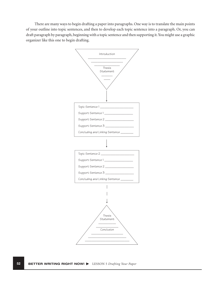There are many ways to begin drafting a paper into paragraphs. One way is to translate the main points of your outline into topic sentences, and then to develop each topic sentence into a paragraph. Or, you can draft paragraph by paragraph, beginning with a topic sentence and then supporting it.You might use a graphic organizer like this one to begin drafting.

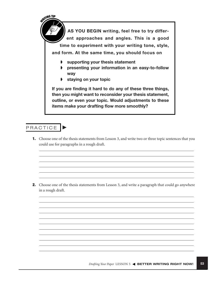

## PRACTICE

**1.** Choose one of the thesis statements from Lesson 3, and write two or three topic sentences that you could use for paragraphs in a rough draft.

**2.** Choose one of the thesis statements from Lesson 3, and write a paragraph that could go anywhere in a rough draft.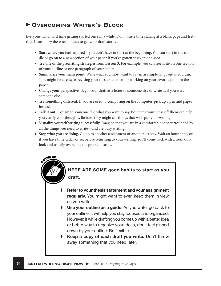Everyone has a hard time getting started once in a while. Don't waste time staring at a blank page and fretting. Instead, try these techniques to get your draft started.

- **Start where you feel inspired—you don't have to start at the beginning. You can start in the mid**dle or go on to a new section of your paper if you've gotten stuck in one spot.
- **Try one of the prewriting strategies from Lesson 3.** For example, you can freewrite on one section of your outline or one paragraph of your paper.
- **Summarize your main point.** Write what you most want to say in as simple language as you can. This might be as easy as revising your thesis statement or working on your favorite point in the paper.
- **Change your perspective.** Begin your draft as a letter to someone else or write as if you were someone else.
- **Try something different.** If you are used to composing on the computer, pick up a pen and paper instead.
- **Talk it out.** Explain to someone else what you want to say. Bouncing your ideas off them can help you clarify your thoughts. Besides, they might say things that will spur your writing.
- **Visualize yourself writing successfully.** Imagine that you are in a comfortable spot surrounded by all the things you need to write—and are busy writing.
- **Stop what you are doing.** Go on to another assignment or another activity. Wait an hour or so, or if you have time, a day or so, before returning to your writing. You'll come back with a fresh outlook and usually overcome the problem easily.

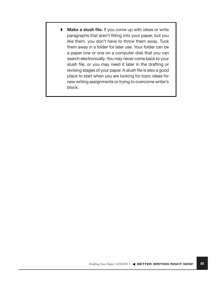**Make a slush file.** If you come up with ideas or write paragraphs that aren't fitting into your paper, but you like them, you don't have to throw them away. Tuck them away in a folder for later use. Your folder can be a paper one or one on a computer disk that you can search electronically. You may never come back to your slush file, or you may need it later in the drafting or revising stages of your paper. A slush file is also a good place to start when you are looking for topic ideas for new writing assignments or trying to overcome writer's block.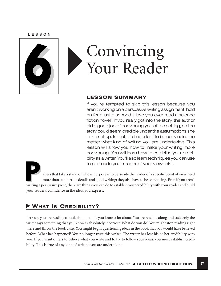

# Convincing Your Reader

## **LESSON SUMMARY**

If you're tempted to skip this lesson because you aren't working on a persuasive writing assignment, hold on for a just a second. Have you ever read a science fiction novel? If you really got into the story, the author did a good job of convincing you of the setting, so the story could seem credible under the assumptions she or he set up. In fact, it's important to be convincing no matter what kind of writing you are undertaking. This lesson will show you how to make your writing more convincing. You will learn how to establish your credibility as a writer. You'll also learn techniques you can use to persuade your reader of your viewpoint.

apers that take a stand or whose purpose is to persuade the reader of a specific point of view need more than supporting details and good writing; they also have to be convincing. Even if you aren't Fourty as a writer. Four halso learn tech in liques you can tuse<br>to persuade your reader of your viewpoint.<br>
apers that take a stand or whose purpose is to persuade the reader of a specific point of view need<br>
more than su your reader's confidence in the ideas you express.

## - **WHAT IS CREDIBILITY?**

Let's say you are reading a book about a topic you know a lot about. You are reading along and suddenly the writer says something that you know is absolutely incorrect! What do you do? You might stop reading right there and throw the book away. You might begin questioning ideas in the book that you would have believed before. What has happened? You no longer trust this writer. The writer has lost his or her credibility with you. If you want others to believe what you write and to try to follow your ideas, you must establish credibility. This is true of any kind of writing you are undertaking.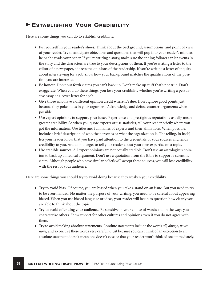Here are some things you can do to establish credibility.

- **Put yourself in your reader's shoes.** Think about the background, assumptions, and point of view of your reader. Try to anticipate objections and questions that will pop into your reader's mind as he or she reads your paper. If you're writing a story, make sure the ending follows earlier events in the story and the characters are true to your descriptions of them. If you're writing a letter to the editor of a newspaper, address the opinions of the readership. If you're writing a letter of inquiry about interviewing for a job, show how your background matches the qualifications of the position you are interested in.
- **Be honest.** Don't put forth claims you can't back up. Don't make up stuff that's not true. Don't exaggerate. When you do these things, you lose your credibility whether you're writing a persuasive essay or a cover letter for a job.
- Give those who have a different opinion credit where it's due. Don't ignore good points just because they poke holes in your argument. Acknowledge and defuse counter-arguments when possible.
- **Use expert opinions to support your ideas.** Experience and prestigious reputations usually mean greater credibility. So when you quote experts or use statistics, tell your reader briefly where you got the information. Use titles and full names of experts and their affiliations. When possible, include a brief description of who the person is or what the organization is. The telling, in itself, lets your reader know that you have paid attention to the credentials of your sources and lends credibility to you. And don't forget to tell your reader about your own expertise on a topic.
- **Use credible sources.** All expert opinions are not equally credible. Don't use an astrologist's opinion to back up a medical argument. Don't use a quotation from the Bible to support a scientific claim. Although people who have similar beliefs will accept these sources, you will lose credibility with the rest of your audience.

Here are some things you should try to avoid doing because they weaken your credibility.

- **Try to avoid bias.** Of course, you are biased when you take a stand on an issue. But you need to try to be even-handed. No matter the purpose of your writing, you need to be careful about appearing biased. When you use biased language or ideas, your reader will begin to question how clearly you are able to think about the topic.
- **Try to avoid offending your audience.** Be sensitive in your choice of words and in the ways you characterize others. Show respect for other cultures and opinions even if you do not agree with them.
- **Try to avoid making absolute statements.** Absolute statements include the words *all, always, never, none,* and so on. Use these words very carefully. Just because you can't think of an exception to an absolute statement doesn't mean one doesn't exist or that your reader won't think of one immediately.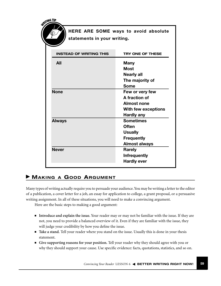**HERE ARE SOME ways to avoid absolute statements in your writing.**

| <b>INSTEAD OF WRITING THIS</b> | <b>TRY ONE OF THESE</b> |
|--------------------------------|-------------------------|
| All                            | <b>Many</b>             |
|                                | <b>Most</b>             |
|                                | <b>Nearly all</b>       |
|                                | The majority of         |
|                                | <b>Some</b>             |
| <b>None</b>                    | Few or very few         |
|                                | A fraction of           |
|                                | <b>Almost none</b>      |
|                                | With few exceptions     |
|                                | <b>Hardly any</b>       |
| <b>Always</b>                  | <b>Sometimes</b>        |
|                                | <b>Often</b>            |
|                                | <b>Usually</b>          |
|                                | <b>Frequently</b>       |
|                                | <b>Almost always</b>    |
| <b>Never</b>                   | <b>Rarely</b>           |
|                                | <b>Infrequently</b>     |
|                                | <b>Hardly ever</b>      |

## - **MAKING A GOOD ARGUMENT**

**RITING TIP** 

**W**

Many types of writing actually require you to persuade your audience.You may be writing a letter to the editor of a publication, a cover letter for a job, an essay for application to college, a grant proposal, or a persuasive writing assignment. In all of these situations, you will need to make a convincing argument.

Here are the basic steps to making a good argument:

- **Introduce and explain the issue.** Your reader may or may not be familiar with the issue. If they are not, you need to provide a balanced overview of it. Even if they are familiar with the issue, they will judge your credibility by how you define the issue.
- **Take a stand.** Tell your reader where you stand on the issue. Usually this is done in your thesis statement.
- **Give supporting reasons for your position.** Tell your reader why they should agree with you or why they should support your cause. Use specific evidence: facts, quotations, statistics, and so on.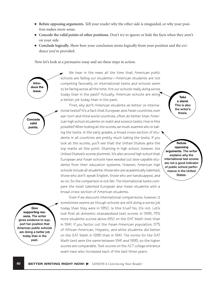- **Refute opposing arguments.** Tell your reader why the other side is misguided, or why your position makes more sense.
- **Concede the valid points of other positions.** Don't try to ignore or hide the facts when they aren't on your side.
- **Conclude logically.** Show how your conclusion stems logically from your position and the evidence you've provided.

Now let's look at a persuasive essay and see these steps in action.



We hear in the news all the time that American public schools are failing our students—American students are not competing favorably on international tests and schools seem to be faring worse all the time. Are our schools really doing worse today than in the past? Actually, American schools are doing a better job today than in the past.



First, why don't American students do better on international tests? It's a fact that European and Asian countries, even war-torn and third-world countries, often do better than American high school students on math and science tests. How is this possible? When looking at the scores, we must examine who is taking the tests. In the early grades, a broad cross section of students in all countries are pretty much taking the tests. If you look at the scores, you'll see that the United States gets the top marks at this point. Starting in high school, however, the United States's scores plummet. It's also around high school that European and Asian schools have weeded out less-capable students from their education systems. However, American high schools include all students: those who are academically talented, those who don't speak English, those who are handicapped, and so on. So the comparison is not fair. The international tests compare the most talented European and Asian students with a broad cross section of American students.

**Take a stand. This is also the writer's thesis.**

**Refute opposing arguments. The writer explains why the international test scores are not a good indicator of public school performance in the United States.**

**Give supporting reasons. The writer gives evidence to support her position that American public schools are doing a better job today than in the past.**

Even if we discount international comparisons, however, it sometimes seems as though schools are still doing a worse job today than they were in 1950. Is this true? No, it's not. Let's look first at domestic standardized test scores. In 1995, 75% more students scored above 650 on the SAT Math test than in 1941. If you factor out the Asian-American population, 57% of African-American, Hispanic, and white students did better on the SAT Math in 1995 than in 1941. The norms for the SAT Math test were the same between 1941 and 1995, so the higher scores are comparable. Test scores on the ACT college entrance exam have also increased each of the last three years.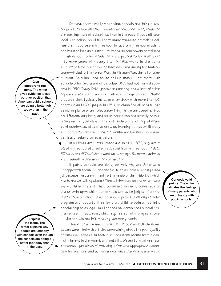Do test scores really mean that schools are doing a better job? Let's look at other indicators of success. First, students are learning more at school now than in the past. If you visit your local high school, you'll find that many students are taking college credit courses in high school. In fact, a high school student can begin college as a junior just based on coursework completed in high school. Today, students are expected to learn at least fifty more years of history than in 1950—and in the same amount of time. Major events have occurred during the last 50 years—including the Korean War, the Vietnam War, the fall of communism. Calculus used to be college math—now most high schools offer two years of Calculus. DNA had not been discovered in 1950. Today, DNA, genetic engineering, and a host of other topics are standard fare in a first-year biology course—that's a course that typically includes a textbook with more than 50 chapters and 1000 pages. In 1950, we classified all living things as either plants or animals; today, living things are classified into six different kingdoms, and some scientists are already postulating as many as eleven different kinds of life. On top of standard academics, students are also learning computer literacy and computer programming. Students are learning more academically today than ever before.

In addition, graduation rates are rising. In 1870, only about 3% of high school students graduated from high school. In 1995, 83% did, and 60% of those went on to college. So more students are graduating and going to college, too.

If public schools are doing so well, why are Americans unhappy with them? Americans feel that schools are doing a bad job because they aren't meeting the needs of their kids. But which needs are we talking about? That all depends on the child—and every child is different. The problem is there is no consensus on the criteria upon which our schools are to be judged. If a child is athletically inclined, a school should provide a strong athletic program and opportunities for that child to gain an athletic scholarship to college. Handicapped students need special programs, too. In fact, every child requires something special, and so the schools are left meeting too many needs.

This is not a new issue. Even in the 1950s and 1960s, newspapers were filled with articles complaining about the poor quality of American schools. In fact, our discontent stems from a conflict inherent in the American mentality. We are torn between our democratic principles of providing a free and appropriate education for everyone and achieving excellence. As Americans, we do

**Concede valid Concede valid points. The writer points. The writer validates the feelings validates the feelings of many parents who of many parents who are unhappy with are unhappy with public schools. public schools.**

**supporting reasons. The writer gives evidence to support her position that American public schools are doing a better job today than in the past.**

**Give**

**Explain the issue. The writer explains why people are unhappy with schools even though the schools are doing a better job today than in the past.**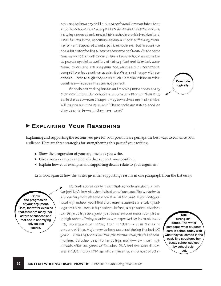not want to leave any child out, and so federal law mandates that all public schools must accept all students and meet their needs, including non-academic needs. Public schools provide breakfast and lunch for students, accommodations and self-sufficiency training for handicapped students; public schools even bathe students and administer feeding tubes to those who can't eat. At the same time, we want the best for our children. Public schools are expected to provide special education, athletic, gifted and talented, vocational, music, and art programs, too, whereas our international competitors focus only on academics. We are not happy with our schools—even though they do so much more than those in other countries—because they are not perfect.

**Conclude logically.**

Schools are working harder and meeting more needs today than ever before. Our schools are doing a better job than they did in the past—even though it may sometimes seem otherwise. Will Rogers summed it up well: "The schools are not as good as they used to be—and they never were."

## - **EXPLAINING YOUR REASONING**

Explaining and supporting the reasons you give for your position are perhaps the best ways to convince your audience. Here are three strategies for strengthening this part of your writing.

- Show the progression of your argument as you write.
- Give strong examples and details that support your position.
- Explain how your examples and supporting details relate to your argument.

Let's look again at how the writer gives her supporting reasons in one paragraph from the last essay.



Do test scores really mean that schools are doing a better job? Let's look at other indicators of success. First, students are learning more at school now than in the past. If you visit your local high school, you'll find that many students are taking college credit courses in high school. In fact, a high school student can begin college as a junior just based on coursework completed in high school. Today, students are expected to learn at least fifty more years of history than in 1950—and in the same amount of time. Major events have occurred during the last 50 years—including the Korean War, the Vietnam War, the fall of communism. Calculus used to be college math—now most high schools offer two years of Calculus. DNA had not been discovered in 1950. Today, DNA, genetic engineering, and a host of other

**Use strong evidence. The writer compares what students learn in school today with what they've learned in the past. She structures her essay school subject by school subject.**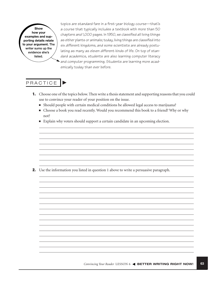**Show how your examples and supporting details relate to your argument. The writer sums up the evidence she's listed.**

topics are standard fare in a first-year biology course—that's a course that typically includes a textbook with more than 50 chapters and 1,000 pages. In 1950, we classified all living things as either plants or animals; today, living things are classified into six different kingdoms, and some scientists are already postulating as many as eleven different kinds of life. On top of standard academics, students are also learning computer literacy and computer programming. Students are learning more academically today than ever before.

## PRACTICE

- **1.** Choose one of the topics below. Then write a thesis statement and supporting reasons that you could use to convince your reader of your position on the issue.
	- Should people with certain medical conditions be allowed legal access to marijuana?
	- Choose a book you read recently. Would you recommend this book to a friend? Why or why not?
	- Explain why voters should support a certain candidate in an upcoming election.

**2.** Use the information you listed in question 1 above to write a persuasive paragraph.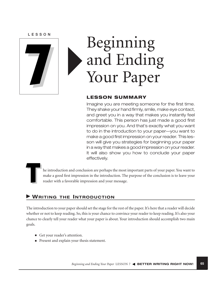

**T**

# Beginning and Ending Your Paper

### **LESSON SUMMARY**

Imagine you are meeting someone for the first time. They shake your hand firmly, smile, make eye contact, and greet you in a way that makes you instantly feel comfortable. This person has just made a good first impression on you. And that's exactly what you want to do in the introduction to your paper—you want to make a good first impression on your reader. This lesson will give you strategies for beginning your paper in a way that makes a good impression on your reader. It will also show you how to conclude your paper effectively.

he introduction and conclusion are perhaps the most important parts of your paper. You want to make a good first impression in the introduction. The purpose of the conclusion is to leave your reader with a favorable impression and your message.

#### - **WRITING THE INTRODUCTION**

The introduction to your paper should set the stage for the rest of the paper. It's here that a reader will decide whether or not to keep reading. So, this is your chance to convince your reader to keep reading. It's also your chance to clearly tell your reader what your paper is about. Your introduction should accomplish two main goals.

- Get your reader's attention.
- Present and explain your thesis statement.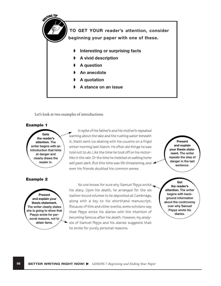

Let's look at two examples of introductions.



**Gets the reader's attention. The writer begins with an introduction that hints at danger and clearly draws the reader in.**

In spite of his father's and his mother's repeated warning about the lake and the rushing water beneath it, Matt went ice skating with his cousins on a frigid winter morning last March. He often did things he was told not to do. Like the time he took off on his motorbike in the rain. Or the time he insisted on walking home well past dark. But this time was life threatening, and even his friends doubted his common sense.

**Present and explain your thesis statement. The writer repeats the idea of danger in the last sentence.**

#### **Example 2**

**Present and explain your thesis statement. The writer clearly states she is going to show that Pepys wrote for personal reasons, not to attain fame.** 

No one knows for sure why Samuel Pepys wrote his diary. Upon his death, he arranged for the six leather-bound volumes to be deposited at Cambridge, along with a key to his shorthand manuscript. Because of this and other events, some scholars say that Pepys wrote his diaries with the intention of becoming famous after his death. However, my analysis of Samuel Pepys and his diaries suggests that he wrote for purely personal reasons.

**Get the reader's attention. The writer begins with background information about the controversy over why Samuel Pepys wrote his diaries.**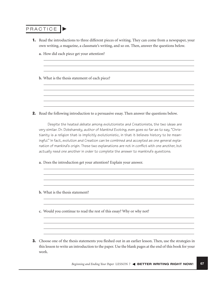## PRACTICE P

- **1.** Read the introductions to three different pieces of writing. They can come from a newspaper, your own writing, a magazine, a classmate's writing, and so on. Then, answer the questions below.
	- **a.** How did each piece get your attention?
	- **b.** What is the thesis statement of each piece?

**2.** Read the following introduction to a persuasive essay. Then answer the questions below.

Despite the heated debate among evolutionists and Creationists, the two ideas are very similar. Dr. Dobzhansky, author of *Mankind Evolving*, even goes so far as to say, "Christianity is a religion that is implicitly evolutionistic, in that it believes history to be meaningful." In fact, evolution and Creation can be combined and accepted as one general explanation of mankind's origin. These two explanations are not in conflict with one another, but actually need one another in order to complete the answer to mankind's questions.

- **a.** Does the introduction get your attention? Explain your answer.
- **b.** What is the thesis statement?
- **c.** Would you continue to read the rest of this essay? Why or why not?
- **3.** Choose one of the thesis statements you fleshed out in an earlier lesson. Then, use the strategies in this lesson to write an introduction to the paper. Use the blank pages at the end of this book for your work.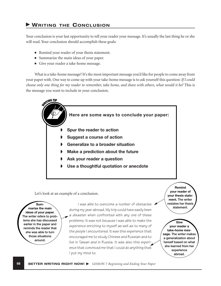Your conclusion is your last opportunity to tell your reader your message. It's usually the last thing he or she will read. Your conclusion should accomplish these goals:

- Remind your reader of your thesis statement.
- Summarize the main ideas of your paper.
- Give your reader a take-home message.

What is a take-home message? It's the most important message you'd like for people to come away from your paper with. One way to come up with your take-home message is to ask yourself this question: *If I could choose only one thing for my reader to remember, take home, and share with others, what would it be?* This is the message you want to include in your conclusion.



Let's look at an example of a conclusion.

 $\overline{r}$ 

**Summarize the main ideas of your paper. The writer refers to problems she has discussed earlier in the paper and reminds the reader that she was able to turn those situations around.**

I was able to overcome a number of obstacles during my year abroad. My trip could have easily been a disaster when confronted with any one of these problems. It was not because I was able to make the experience enriching to myself as well as to many of the people I encountered. It was this experience that encouraged me to study Chinese and Russian and to live in Taiwan and in Russia. It was also this experience that convinced me that I could do anything that I put my mind to.

**Remind your reader of your thesis statement. The writer restates her thesis statement.**

**Give your reader a take-home message. The writer makes a generalization about herself based on what she learned from her experience abroad.**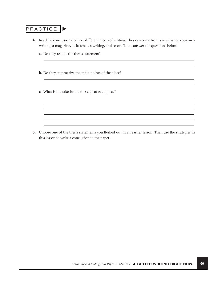#### PRACTICE  $\blacktriangleright$

**4.** Read the conclusions to three different pieces of writing. They can come from a newspaper, your own writing, a magazine, a classmate's writing, and so on. Then, answer the questions below.

- **a.** Do they restate the thesis statement?
- **b.** Do they summarize the main points of the piece?
- **c.** What is the take-home message of each piece?

**5.** Choose one of the thesis statements you fleshed out in an earlier lesson. Then use the strategies in this lesson to write a conclusion to the paper.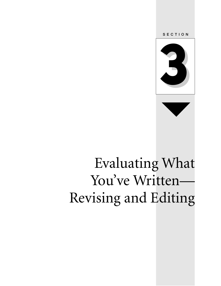**SECTION**



# Evaluating What You've Written— Revising and Editing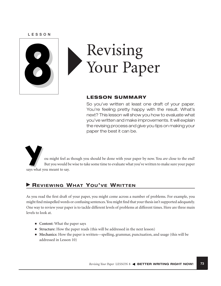

# Revising Your Paper

### **LESSON SUMMARY**

So you've written at least one draft of your paper. You're feeling pretty happy with the result. What's next? This lesson will show you how to evaluate what you've written and make improvements. It will explain the revising process and give you tips on making your paper the best it can be.

ou might feel as though you should be done with your paper by now. You *are* close to the end! But you would be wise to take some time to evaluate what you've written to make sure your paper **Says what you might feel as But you would b**<br>says what you meant to say.

## **EXEMING WHAT YOU'VE WRITTEN**

As you read the first draft of your paper, you might come across a number of problems. For example, you might find misspelled words or confusing sentences.You might find that your thesis isn't supported adequately. One way to review your paper is to tackle different levels of problems at different times. Here are three main levels to look at.

- **Content**: What the paper says
- **Structure**: How the paper reads (this will be addressed in the next lesson)
- **Mechanics**: How the paper is written—spelling, grammar, punctuation, and usage (this will be addressed in Lesson 10)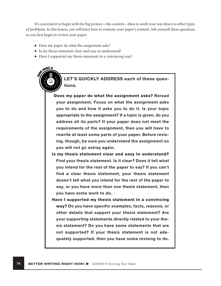It's convenient to begin with the big picture—the content—then to work your way down to other types of problems. In this lesson, you will learn how to evaluate your paper's content. Ask yourself these questions as you first begin to review your paper.

■ Does my paper do what the assignment asks?

**<sup>O</sup>U<sup>T</sup> <sup>I</sup><sup>T</sup> <sup>B</sup><sup>A</sup> <sup>K</sup>**

**IN HT**

- Is my thesis statement clear and easy to understand?
- Have I supported my thesis statement in a convincing way?

**LET'S QUICKLY ADDRESS each of these questions.**

**Does my paper do what the assignment asks? Reread your assignment. Focus on what the assignment asks you to do and how it asks you to do it. Is your topic appropriate to the assignment? If a topic is given, do you address all its parts? If your paper does not meet the requirements of the assignment, then you will have to rewrite at least some parts of your paper. Before revising, though, be sure you understand the assignment so you will not go astray again.**

**Is my thesis statement clear and easy to understand? Find your thesis statement. Is it clear? Does it tell what you intend for the rest of the paper to say? If you can't find a clear thesis statement, your thesis statement doesn't tell what you intend for the rest of the paper to say, or you have more than one thesis statement, then you have some work to do.**

**Have I supported my thesis statement in a convincing way? Do you have specific examples, facts, reasons, or other details that support your thesis statement? Are your supporting statements directly related to your thesis statement? Do you have some statements that are not supported? If your thesis statement is not adequately supported, then you have some revising to do.**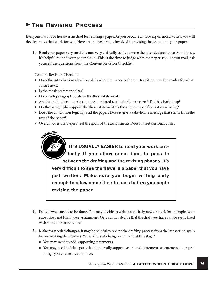## $\blacktriangleright$  The Revising Process

Everyone has his or her own method for revising a paper. As you become a more experienced writer, you will develop ways that work for you. Here are the basic steps involved in revising the content of your paper.

**1. Read your paper very carefully and very critically as if you were the intended audience.** Sometimes, it's helpful to read your paper aloud. This is the time to judge what the paper says. As you read, ask yourself the questions from the Content Revision Checklist.

#### **Content Revision Checklist**

- Does the introduction clearly explain what the paper is about? Does it prepare the reader for what comes next?
- Is the thesis statement clear?
- Does each paragraph relate to the thesis statement?
- Are the main ideas—topic sentences—related to the thesis statement? Do they back it up?
- Do the paragraphs support the thesis statement? Is the support specific? Is it convincing?
- Does the conclusion logically end the paper? Does it give a take-home message that stems from the rest of the paper?
- Overall, does the paper meet the goals of the assignment? Does it meet personal goals?

**IT'S USUALLY EASIER to read your work critically if you allow some time to pass in between the drafting and the revising phases. It's very difficult to see the flaws in a paper that you have just written. Make sure you begin writing early enough to allow some time to pass before you begin revising the paper. NRITING TIP** 

- **2. Decide what needs to be done.** You may decide to write an entirely new draft, if, for example, your paper does not fulfill your assignment. Or, you may decide that the draft you have can be easily fixed with some minor revisions.
- **3. Make the needed changes.** It may be helpful to review the drafting process from the last section again before making the changes. What kinds of changes are made at this stage?
	- You may need to add supporting statements.
	- You may need to delete parts that don't really support your thesis statement or sentences that repeat things you've already said once.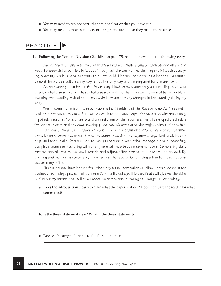- You may need to replace parts that are not clear or that you have cut.
- You may need to move sentences or paragraphs around so they make more sense.

## **PRACTICE**

#### **1.** Following the Content Revision Checklist on page 75, read, then evaluate the following essay.

As I exited the plane with my classmates, I realized that relying on each other's strengths would be essential to our visit in Russia. Throughout the ten months that I spent in Russia, studying, traveling, working, and adapting to a new world, I learned some valuable lessons—assumptions differ across cultures, my way is not the only way, and be prepared for the unknown.

As an exchange student in St. Petersburg, I had to overcome daily cultural, linguistic, and physical challenges. Each of these challenges taught me the important lesson of being flexible in planning when dealing with others. I was able to witness many changes in the country during my stay.

When I came home from Russia, I was elected President of the Russian Club. As President, I took on a project to record a Russian textbook to cassette tapes for students who are visually impaired. I recruited 15 volunteers and trained them on the recorders. Then, I developed a schedule for the volunteers and set down reading guidelines. We completed the project ahead of schedule.

I am currently a Team Leader at work. I manage a team of customer service representatives. Being a team leader has honed my communication, management, organizational, leadership, and team skills. Deciding how to reorganize teams with other managers and successfully complete team restructuring with changing staff has become commonplace. Completing daily reports has allowed me to track trends and adjust office procedures or teams as needed. By training and mentoring coworkers, I have gained the reputation of being a trusted resource and leader in my office.

The skills that I have learned from the many trips I have taken will allow me to succeed in the business technology program at Johnson Community College. This certificate will give me the skills to further my career, and I will be an asset to companies in managing changes in technology.

- **a.** Does the introduction clearly explain what the paper is about? Does it prepare the reader for what comes next?
- **b.** Is the thesis statement clear? What is the thesis statement?
- **c.** Does each paragraph relate to the thesis statement?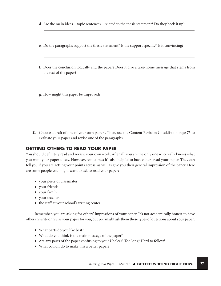- **d.** Are the main ideas—topic sentences—related to the thesis statement? Do they back it up?
- **e.** Do the paragraphs support the thesis statement? Is the support specific? Is it convincing?
- **f.** Does the conclusion logically end the paper? Does it give a take-home message that stems from the rest of the paper?
- **g.** How might this paper be improved?

**2.** Choose a draft of one of your own papers. Then, use the Content Revision Checklist on page 75 to evaluate your paper and revise one of the paragraphs.

#### **GETTING OTHERS TO READ YOUR PAPER**

You should definitely read and review your own work. After all, you are the only one who really knows what you want your paper to say. However, sometimes it's also helpful to have others read your paper. They can tell you if you are getting your points across, as well as give you their general impression of the paper. Here are some people you might want to ask to read your paper:

- your peers or classmates
- your friends
- your family
- your teachers
- the staff at your school's writing center

Remember, you are asking for others' impressions of your paper. It's not academically honest to have others rewrite or revise your paper for you, but you might ask them these types of questions about your paper:

- What parts do you like best?
- What do you think is the main message of the paper?
- Are any parts of the paper confusing to you? Unclear? Too long? Hard to follow?
- What could I do to make this a better paper?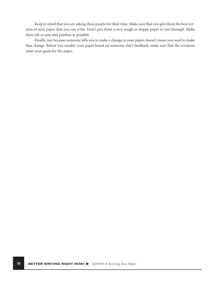Keep in mind that you are asking these people for their time. Make sure that you give them the best version of your paper that you can write. Don't give them a very rough or sloppy paper to sort through. Make their job as easy and painless as possible.

Finally, just because someone tells you to make a change in your paper, doesn't mean you need to make that change. Before you modify your paper based on someone else's feedback, make sure that the revisions meet your goals for the paper.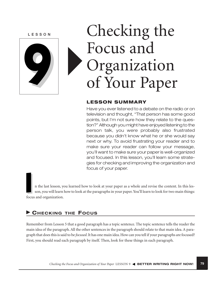

# LESSON **Checking the** Focus and Organization of Your Paper

#### **LESSON SUMMARY**

Have you ever listened to a debate on the radio or on television and thought, "That person has some good points, but I'm not sure how they relate to the question?" Although you might have enjoyed listening to the person talk, you were probably also frustrated because you didn't know what he or she would say next or why. To avoid frustrating your reader and to make sure your reader can follow your message, you'll want to make sure your paper is well-organized and focused. In this lesson, you'll learn some strategies for checking and improving the organization and focus of your paper.

n the last lesson, you learned how to look at your paper as a whole and revise the content. In this lesson, you will learn how to look at the paragraphs in your paper.You'll learn to look for two main things: focus and organization. **I**<br>**I**<br>**I**<br>**I**<br>**I** 

## **CHECKING THE FOCUS**

Remember from Lesson 5 that a good paragraph has a topic sentence. The topic sentence tells the reader the main idea of the paragraph. All the other sentences in the paragraph should relate to that main idea. A paragraph that does this is said to be *focused*. It has one main idea. How can you tell if your paragraphs are focused? First, you should read each paragraph by itself. Then, look for these things in each paragraph.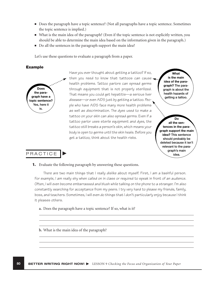- Does the paragraph have a topic sentence? (Not all paragraphs have a topic sentence. Sometimes the topic sentence is implied.)
- What is the main idea of the paragraph? (Even if the topic sentence is not explicitly written, you should be able to determine the main idea based on the information given in the paragraph.)
- Do all the sentences in the paragraph support the main idea?

Let's use these questions to evaluate a paragraph from a paper.

#### **Example**



Have you ever thought about getting a tattoo? If so, then you need to know that tattoos can cause health problems. Tattoo parlors can spread germs through equipment that is not properly sterilized. That means you could get hepatitis—a serious liver disease—or even AIDS just by getting a tattoo. People who have AIDS face many more health problems as well as discrimination. The dyes used to make a tattoo on your skin can also spread germs. Even if a tattoo parlor uses sterile equipment and dyes, the tattoo still breaks a person's skin, which means your body is open to germs until the skin heals. Before you get a tattoo, think about the health risks.

**What is the main idea of the paragraph? The paragraph is about the health hazards of getting a tattoo.**

**Do all the sentences in the paragraph support the main idea? This sentence should probably be deleted because it isn't relevant to the paragraph's main idea.**

## PRACTICE

**1.** Evaluate the following paragraph by answering these questions.

There are two main things that I really dislike about myself. First, I am a bashful person. For example, I am really shy when called on in class or required to speak in front of an audience. Often, I will even become embarrassed and blush while talking on the phone to a stranger. I'm also constantly searching for acceptance from my peers. I try very hard to please my friends, family, boss, and teachers. Sometimes, I will even do things that I don't particularly enjoy because I think it pleases others.

- **a.** Does the paragraph have a topic sentence? If so, what is it?
- **b.** What is the main idea of the paragraph?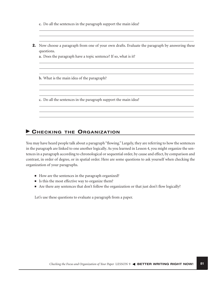**c.** Do all the sentences in the paragraph support the main idea?

**2.** Now choose a paragraph from one of your own drafts. Evaluate the paragraph by answering these questions.

**a.** Does the paragraph have a topic sentence? If so, what is it?

**b.** What is the main idea of the paragraph?

**c.** Do all the sentences in the paragraph support the main idea?

### - **CHECKING THE ORGANIZATION**

You may have heard people talk about a paragraph "flowing." Largely, they are referring to how the sentences in the paragraph are linked to one another logically. As you learned in Lesson 4, you might organize the sentences in a paragraph according to chronological or sequential order, by cause and effect, by comparison and contrast, in order of degree, or in spatial order. Here are some questions to ask yourself when checking the organization of your paragraphs.

- How are the sentences in the paragraph organized?
- Is this the most effective way to organize them?
- Are there any sentences that don't follow the organization or that just don't flow logically?

Let's use these questions to evaluate a paragraph from a paper.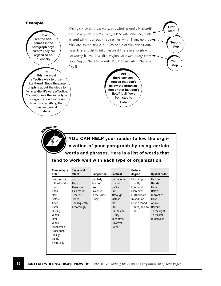#### **Example**

**How are the sentences in the paragraph organized? They are organized sequentially.**

**this the most effective way to organize them? Since the paragraph is about the steps to flying a kite, it's very effective. You might use the same type of organization to explain how to do anything that has sequential steps.**

**Is**

**RITING TIP** 

**W**

Go fly a kite. Sounds easy, but what is really involved? Here's a quick how-to. To fly a kite with one line, first, stand with your back facing the wind. Then, hold up $\blacktriangleleft$ . the kite by its bridle, and let some of the string out. Your kite should fly into the air if there is enough wind to carry it. As the kite begins to move away from  $\blacktriangleleft$ you, tug on the string until the kite is high in the sky. Try it! **Third step Second step First step**

> **Is Are** there any sen**effective way to tences that don't organize them? follow the organiza-Since the paragraph tion or that just don't is about the flow? It all flows events that from step to lead up step.**

**YOU CAN HELP your reader follow the organization of your paragraph by using certain words and phrases. Here is a list of words that tend to work well with each type of organization.**

| Chronological<br>order                                                                                                                                                              | <b>Cause and</b><br>effect                                                                                     | <b>Comparison</b>                                              | <b>Contrast</b>                                                                                                                          | Order of<br>degree                                                                                                                 | <b>Spatial order</b>                                                                                                                     |
|-------------------------------------------------------------------------------------------------------------------------------------------------------------------------------------|----------------------------------------------------------------------------------------------------------------|----------------------------------------------------------------|------------------------------------------------------------------------------------------------------------------------------------------|------------------------------------------------------------------------------------------------------------------------------------|------------------------------------------------------------------------------------------------------------------------------------------|
| First, second,<br>third, and so<br>on<br>Then<br>Next<br>Before<br>After<br>Later<br>During<br>When<br>Until<br>While<br>Meanwhile<br>Since then<br>Finally<br>Lastly<br>Eventually | So<br><b>Thus</b><br><b>Therefore</b><br>As a result<br><b>Because</b><br>Hence<br>Consequently<br>Accordingly | Similarly<br>Just as<br>Like<br>Likewise<br>In the same<br>way | On the other<br>hand<br>Unlike<br>But<br>Although<br>Instead<br>Yet<br>Still<br>On the con-<br>trary<br>In contrast<br>However<br>Rather | Most impor-<br>tantly<br>Foremost<br>Moreover<br><b>Furthermore</b><br>In addition<br>First, second,<br>third, and so<br><b>on</b> | Next to<br><b>Beside</b><br>Under<br><b>Below</b><br>In front of<br>Near<br>Above<br>Beyond<br>To the right<br>To the left<br>In between |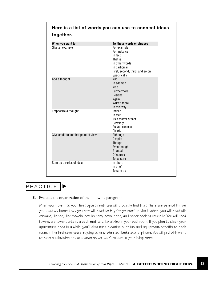|                                      | Here is a list of words you can use to connect ideas                                                                                                                  |
|--------------------------------------|-----------------------------------------------------------------------------------------------------------------------------------------------------------------------|
| together.                            |                                                                                                                                                                       |
| When you want to<br>Give an example  | Try these words or phrases<br>For example<br>For instance<br>In fact<br>That is<br>In other words<br>In particular<br>First, second, third, and so on<br>Specifically |
| Add a thought                        | And<br>In addition<br>Also<br><b>Furthermore</b><br><b>Besides</b><br>Again<br>What's more<br>In this way                                                             |
| Emphasize a thought                  | Indeed<br>In fact<br>As a matter of fact<br>Certainly<br>As you can see<br>Clearly                                                                                    |
| Give credit to another point of view | Although<br>Despite<br>Though<br>Even though<br>Granted<br>Of course<br>To be sure                                                                                    |
| Sum up a series of ideas             | In short<br>In brief<br>To sum up                                                                                                                                     |

## PRACTICE ▶

#### **3.** Evaluate the organization of the following paragraph.

When you move into your first apartment, you will probably find that there are several things you used at home that you now will need to buy for yourself. In the kitchen, you will need silverware, dishes, dish towels, pot holders, pots, pans, and other cooking utensils. You will need towels, a shower curtain, a bath mat, and toiletries in your bathroom. If you plan to clean your apartment once in a while, you'll also need cleaning supplies and equipment specific to each room. In the bedroom, you are going to need sheets, blankets, and pillows. You will probably want to have a television set or stereo as well as furniture in your living room.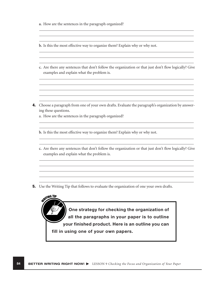**a.** How are the sentences in the paragraph organized?

**b.** Is this the most effective way to organize them? Explain why or why not.

- **c.** Are there any sentences that don't follow the organization or that just don't flow logically? Give examples and explain what the problem is.
- **4.** Choose a paragraph from one of your own drafts. Evaluate the paragraph's organization by answering these questions.

a. How are the sentences in the paragraph organized?

**b.** Is this the most effective way to organize them? Explain why or why not.

- **c.** Are there any sentences that don't follow the organization or that just don't flow logically? Give examples and explain what the problem is.
- **5.** Use the Writing Tip that follows to evaluate the organization of one your own drafts.

**One strategy for checking the organization of all the paragraphs in your paper is to outline your finished product. Here is an outline you can fill in using one of your own papers.**

**NRITING TIP**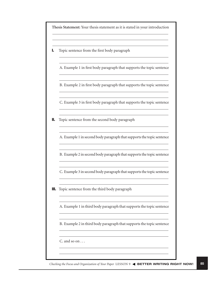**Thesis Statement:** Your thesis statement as it is stated in your introduction

**I.** Topic sentence from the first body paragraph

A. Example 1 in first body paragraph that supports the topic sentence

B. Example 2 in first body paragraph that supports the topic sentence

C. Example 3 in first body paragraph that supports the topic sentence

**II.** Topic sentence from the second body paragraph

A. Example 1 in second body paragraph that supports the topic sentence

B. Example 2 in second body paragraph that supports the topic sentence

C. Example 3 in second body paragraph that supports the topic sentence

**III.** Topic sentence from the third body paragraph

A. Example 1 in third body paragraph that supports the topic sentence

B. Example 2 in third body paragraph that supports the topic sentence

 $C.$  and so on  $\ldots$ 

**Checking the Focus and Organization of Your Paper LESSON 9 < BETTER WRITING RIGHT NOW!** 85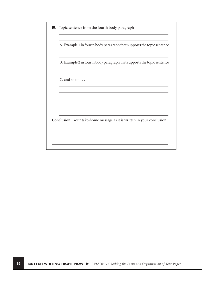**IV.** Topic sentence from the fourth body paragraph

A. Example 1 in fourth body paragraph that supports the topic sentence

B. Example 2 in fourth body paragraph that supports the topic sentence

C. and so on . . .

**Conclusion:** Your take-home message as it is written in your conclusion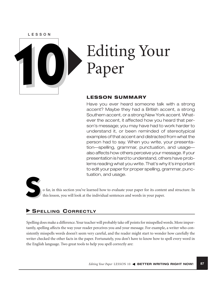**LESSON**



# Editing Your Paper

### **LESSON SUMMARY**

Have you ever heard someone talk with a strong accent? Maybe they had a British accent, a strong Southern accent, or a strong New York accent. Whatever the accent, it affected how you heard that person's message; you may have had to work harder to understand it, or been reminded of stereotypical examples of that accent and distracted from what the person had to say. When you write, your presentation—spelling, grammar, punctuation, and usage also affects how others perceive your message. If your presentation is hard to understand, others have problems reading what you write. That's why it's important to edit your paper for proper spelling, grammar, punctuation, and usage.

o far, in this section you've learned how to evaluate your paper for its content and structure. In this lesson, you will look at the individual sentences and words in your paper. **S**

## - **SPELLING CORRECTLY**

Spelling does make a difference. Your teacher will probably take off points for misspelled words. More importantly, spelling affects the way your reader perceives you and your message. For example, a writer who consistently misspells words doesn't seem very careful, and the reader might start to wonder how carefully the writer checked the other facts in the paper. Fortunately, you don't have to know how to spell every word in the English language. Two great tools to help you spell correctly are: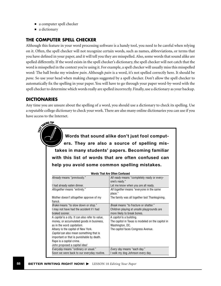- a computer spell checker
- a dictionary

#### **THE COMPUTER SPELL CHECKER**

Although this feature in your word processing software is a handy tool, you need to be careful when relying on it. Often, the spell checker will not recognize certain words, such as names, abbreviations, or terms that you have defined in your paper, and it will tell you they are misspelled. Also, some words that sound alike are spelled differently. If the word exists in the spell checker's dictionary, the spell checker will not catch that the word is misspelled in the context you're using it. For example, a spell checker will usually miss this misspelled word: The ball broke my window *pain*. Although *pain* is a word, it's not spelled correctly here. It should be *pane.* So use your head when making changes suggested by a spell checker. Don't allow the spell checker to automatically fix the spelling in your paper. You will have to go through your paper word-by-word with the spell checker to determine which words really are spelled incorrectly. Finally, use a dictionary as your backup.

#### **DICTIONARIES**

**TSET**

**C***A<b>MINGTIP* 

Any time you are unsure about the spelling of a word, you should use a dictionary to check its spelling. Use a reputable college dictionary to check your work. There are also many online dictionaries you can use if you have access to the Internet.

> **Words that sound alike don't just fool computers. They are also a source of spelling mistakes in many students' papers. Becoming familiar with this list of words that are often confused can help you avoid some common spelling mistakes.** <u>I</u>

| <b>Words That Are Often Confused</b>                    |                                                   |  |
|---------------------------------------------------------|---------------------------------------------------|--|
| Already means "previously."                             | All ready means "completely ready or every-       |  |
|                                                         | one's ready."                                     |  |
| l had already eaten dinner.                             | Let me know when you are all ready.               |  |
| Altogether means "entirely."                            | All together means "everyone in the same          |  |
|                                                         | place."                                           |  |
| Mother doesn't altogether approve of my                 | The family was all together last Thanksgiving.    |  |
| fiancé.                                                 |                                                   |  |
| <i>Brake</i> means "to slow down or stop."              | <i>Break</i> means "to fracture or shatter."      |  |
| I may not have had the accident if I had                | Children playing at unsafe playgrounds are        |  |
| braked sooner.                                          | more likely to break bones.                       |  |
| A <i>capital</i> is a city. It can also refer to value, | A <i>capitol</i> is a building.                   |  |
| money, or accumulated goods in business,                | The capitol in Texas is modeled on the capitol in |  |
| as in the word <i>capitalism</i> .                      | Washington, DC.                                   |  |
| Albany is the capital of New York.                      | The capitol faces Congress Avenue.                |  |
| <i>Capital</i> can also mean something that is          |                                                   |  |
| important or that is punishable by death.               |                                                   |  |
| Rape is a capital crime.                                |                                                   |  |
| John proposed a capital idea!                           |                                                   |  |
| <i>Everyday</i> means "ordinary or usual."              | <i>Every day</i> means "each day."                |  |
| Soon we were back to our everyday routine.              | I walk my dog Johnson every day.                  |  |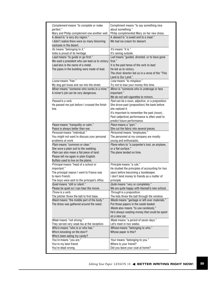| Complement means "to complete or make                            | Compliment means "to say something nice                                 |
|------------------------------------------------------------------|-------------------------------------------------------------------------|
| perfect."                                                        | about something."                                                       |
| Mary and Philip complement one another well.                     | Philip complimented Mary on her new dress.                              |
| A desert is "a very dry region."                                 | A dessert is "a sweet end to a meal."                                   |
| I didn't realize there were so many blooming                     | We had ice cream for dessert.                                           |
| cactuses in the desert.                                          |                                                                         |
| /ts means "belonging to it."                                     | It's means "it is."                                                     |
| India is proud of its heritage.                                  | It's raining outside.                                                   |
| Lead means "to guide or go first."                               | Led means "guided, directed, or to have gone                            |
| We want a president who can lead us to victory.                  | first."                                                                 |
| Lead also is the name of a metal.                                | It is the past tense of the verb to lead.                               |
| The pipes in the building were made of lead.                     | He led us to victory.                                                   |
|                                                                  | The choir director led us in a verse of the "This                       |
|                                                                  | Land is Our Land."                                                      |
| Loose means "free."                                              | Lose means "to misplace."                                               |
| My dog got loose and ran into the street.                        | Try not to lose your money this time.                                   |
| Miner means "someone who works in a mine."                       | Minor is "someone who is underage or less                               |
| A miner's job can be very dangerous.                             | important."                                                             |
|                                                                  | We do not sell cigarettes to minors.                                    |
| Passed is a verb.                                                | Past can be a noun, adjective, or a preposition.                        |
| He passed me just before I crossed the finish                    | She drove past (preposition) the bank before                            |
| line.                                                            | she realized it.                                                        |
|                                                                  | It's important to remember the past (noun).                             |
|                                                                  | Past (adjective) performance is often used to                           |
| Peace means "tranquility or calm."                               | predict future performance.                                             |
|                                                                  | Piece means a "part."                                                   |
| Peace is always better than war.<br>Personal means "individual." | She cut the fabric into several pieces.<br>Personnel means "employees." |
| You might not want to discuss your personal                      | The personnel at my company are mostly                                  |
| problems at work.                                                | young and enthusiastic.                                                 |
| Plain means "common or clear."                                   | Plane refers to "a carpenter's tool, an airplane,                       |
| She wore a plain suit to the wedding.                            | or a flat surface."                                                     |
| Plain can also mean a flat piece of land.                        | The plane landed on time.                                               |
| Please tell me again in plain English.                           |                                                                         |
| Buffalo used to live on the plains.                              |                                                                         |
| Principal means "head of a school or                             | Principle means "a rule."                                               |
| important."                                                      | He studied the principles of accounting for two                         |
| The principal reason I went to France was                        | years before becoming a bookkeeper.                                     |
| to learn French.                                                 | I don't lend money to friends as a matter of                            |
| The boys were sent to the principal's office.                    | principle.                                                              |
| Quiet means "still or silent."                                   | Quite means "very or completely."                                       |
| Please be quiet so I can hear the movie.                         | We are quite happy with Hannah's new school.                            |
| Threw is a verb.                                                 | Through is a preposition.                                               |
| The pitcher threw the ball to first base.                        | The kids threw the ball through the window.                             |
| Waist means "the middle part of the body."                       | Waste means "garbage or left-over materials."                           |
| The dress was gathered around the waist.                         | Put those papers in the waste basket.                                   |
|                                                                  | Waste also means "to use carelessly."                                   |
|                                                                  | He's always wasting money that could be spent                           |
| Weak means "not strong."                                         | on a new car.<br>Week means "a period of seven days."                   |
| They served very weak tea at the reception.                      | Let's meet in two weeks.                                                |
| Who's means "who is or who has."                                 | Whose means "belonging to who."                                         |
| Who's knocking on the door?                                      | Whose paper is this?                                                    |
| Who's been eating my candy?                                      |                                                                         |
| You're means "you are."                                          | Your means "belonging to you."                                          |
| You're my best friend.                                           | Where is your friend?                                                   |
| You're dead wrong.                                               | Did you leave your coat at home?                                        |
|                                                                  |                                                                         |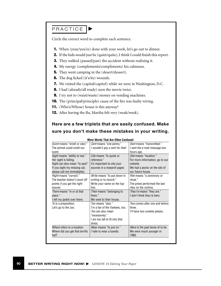#### PRACTICE  $\blacktriangleright$

Circle the correct word to complete each sentence.

- **1.** When (your/you're) done with your work, let's go out to dinner.
- **2.** If the kids would just be (quiet/quite), I think I could finish this report.
- **3.** They walked (passed/past) the accident without realizing it.
- **4.** My energy (complements/compliments) his calmness.
- **5.** They went camping in the (desert/dessert).
- **6.** The dog licked (it's/its) wounds.
- **7.** We visited the (capital/capitol) while we were in Washington, D.C.
- **8.** I had (already/all ready) seen the movie twice.
- **9.** I try not to (waist/waste) money on vending machines.
- **10.** The (principal/principle) cause of the fire was faulty wiring.
- **11.** (Who's/Whose) house is this anyway?
- **12.** After having the flu, Martha felt very (weak/week).

## **Here are a few triplets that are easily confused. Make sure you don't make these mistakes in your writing.**

| More Words That Are Often Confused |                                 |                                  |
|------------------------------------|---------------------------------|----------------------------------|
| Scent means "smell or odor."       | Cent means "one penny."         | Sent means "transmitted."        |
| The animal could smell our         | I wouldn't pay a cent for that! | I sent the e-mail message two    |
| scent.                             |                                 | hours ago.                       |
| Sight means "ability to see."      | Cite means "to quote or         | <i>Site</i> means "location."    |
| Her sight is failing.              | reference."                     | For more information, go to our  |
| Sight can also mean "to spot"      | It's important to cite your     | website.                         |
| If you sight my missing cat,       | sources in a research paper.    | We had a picnic on the site of   |
| please call me immediately.        |                                 | our future house.                |
| Right means "correct."             | Write means "to put down in     | Rite means "a ceremony or        |
| The teacher doesn't count off      | writing or to record."          | ritual."                         |
| points if you get the right        | Write your name on the top      | The priest performed the last    |
| answer.                            | line.                           | rites on the victims.            |
| There means "in or at that         | Their means "belonging to       | <i>They're</i> means "they are." |
| place."                            | them."                          | I don't think they're here.      |
| I left my jacket over there.       | We went to their house.         |                                  |
| To is a preposition.               | Too means "also."               | Two comes after one and before   |
| Let's go to the zoo.               | I'm a fan of the Yankees, too.  | three.                           |
|                                    | Too can also mean               | I'll have two cookies please.    |
|                                    | "excessively."                  |                                  |
|                                    | I am too tall to fit into that  |                                  |
|                                    | dress.                          |                                  |
| Where refers to a location.        | Wear means "to put on."         | Were is the past tense of to be. |
| Where did you get that terrific    | I hate to wear a tuxedo.        | We were much younger in          |
| hat?                               |                                 | 1985.                            |

**More Words That Are Often Confused**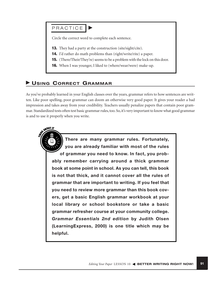### PRACTICE  $\blacktriangleright$

Circle the correct word to complete each sentence.

- **13.** They had a party at the construction (site/sight/cite).
- **14.** I'd rather do math problems than (right/write/rite) a paper.
- **15.** (There/Their/They're) seems to be a problem with the lock on this door.
- **16.** When I was younger, I liked to (where/wear/were) make-up.

## - **USING CORRECT GRAMMAR**

**<sup>O</sup>U<sup>T</sup> <sup>I</sup><sup>T</sup> <sup>B</sup><sup>A</sup> <sup>K</sup>**

**IN HT**

As you've probably learned in your English classes over the years, grammar refers to how sentences are written. Like poor spelling, poor grammar can doom an otherwise very good paper. It gives your reader a bad impression and takes away from your credibility. Teachers usually penalize papers that contain poor grammar. Standardized tests often test basic grammar rules, too. So, it's very important to know what good grammar is and to use it properly when you write.

> **There are many grammar rules. Fortunately, you are already familiar with most of the rules of grammar you need to know. In fact, you probably remember carrying around a thick grammar book at some point in school. As you can tell, this book is not that thick, and it cannot cover all the rules of grammar that are important to writing. If you feel that you need to review more grammar than this book covers, get a basic English grammar workbook at your local library or school bookstore or take a basic grammar refresher course at your community college.** *Grammar Essentials 2nd edition* **by Judith Olsen (LearningExpress, 2000) is one title which may be helpful.**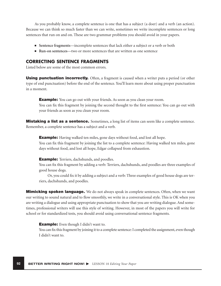As you probably know, a complete sentence is one that has a subject (a doer) and a verb (an action). Because we can think so much faster than we can write, sometimes we write incomplete sentences or long sentences that run on and on. These are two grammar problems you should avoid in your papers.

- **Sentence fragments**—incomplete sentences that lack either a subject or a verb or both
- **Run-on sentences—two or more sentences that are written as one sentence**

#### **CORRECTING SENTENCE FRAGMENTS**

Listed below are some of the most common errors.

**Using punctuation incorrectly.** Often, a fragment is caused when a writer puts a period (or other type of end punctuation) before the end of the sentence. You'll learn more about using proper punctuation in a moment.

**Example:** You can go out with your friends. As soon as you clean your room. You can fix this fragment by joining the second thought to the first sentence: You can go out with your friends as soon as you clean your room.

**Mistaking a list as a sentence.** Sometimes, a long list of items can seem like a complete sentence. Remember, a complete sentence has a subject and a verb.

**Example:** Having walked ten miles, gone days without food, and lost all hope. You can fix this fragment by joining the list to a complete sentence: Having walked ten miles, gone days without food, and lost all hope, Edgar collapsed from exhaustion.

**Example:** Terriers, dachshunds, and poodles.

You can fix this fragment by adding a verb: Terriers, dachshunds, and poodles are three examples of good house dogs.

Or, you could fix it by adding a subject and a verb: Three examples of good house dogs are terriers, dachshunds, and poodles.

**Mimicking spoken language.** We do not always speak in complete sentences. Often, when we want our writing to sound natural and to flow smoothly, we write in a conversational style. This is OK when you are writing a dialogue and using appropriate punctuation to show that you are writing dialogue. And sometimes, professional writers will use this style of writing. However, in most of the papers you will write for school or for standardized tests, you should avoid using conversational sentence fragments.

#### **Example:** Even though I didn't want to.

You can fix this fragment by joining it to a complete sentence: I completed the assignment, even though I didn't want to.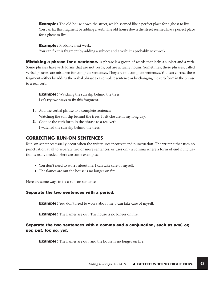**Example:** The old house down the street, which seemed like a perfect place for a ghost to live. You can fix this fragment by adding a verb: The old house down the street seemed like a perfect place for a ghost to live.

**Example:** Probably next week. You can fix this fragment by adding a subject and a verb: It's probably next week.

**Mistaking a phrase for a sentence.** A phrase is a group of words that lacks a subject and a verb. Some phrases have verb forms that are not verbs, but are actually nouns. Sometimes, these phrases, called verbal phrases, are mistaken for complete sentences. They are not complete sentences. You can correct these fragments either by adding the verbal phrase to a complete sentence or by changing the verb form in the phrase to a real verb.

**Example:** Watching the sun slip behind the trees. Let's try two ways to fix this fragment.

- **1.** Add the verbal phrase to a complete sentence: Watching the sun slip behind the trees, I felt closure in my long day.
- **2.** Change the verb form in the phrase to a real verb: I watched the sun slip behind the trees.

### **CORRECTING RUN-ON SENTENCES**

Run-on sentences usually occur when the writer uses incorrect end punctuation. The writer either uses no punctuation at all to separate two or more sentences, or uses only a comma where a form of end punctuation is really needed. Here are some examples:

- You don't need to worry about me, I can take care of myself.
- The flames are out the house is no longer on fire.

Here are some ways to fix a run-on sentence.

#### **Separate the two sentences with a period.**

**Example:** You don't need to worry about me. I can take care of myself.

**Example:** The flames are out. The house is no longer on fire.

#### **Separate the two sentences with a comma and a conjunction, such as** *and, or, nor, but, for, so, yet***.**

**Example:** The flames are out, and the house is no longer on fire.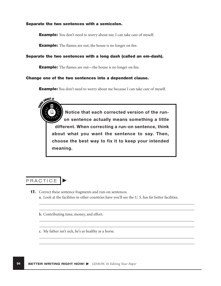#### **Separate the two sentences with a semicolon.**

**Example:** You don't need to worry about me; I can take care of myself.

**Example:** The flames are out; the house is no longer on fire.

#### **Separate the two sentences with a long dash (called an em-dash).**

**Example:** The flames are out—the house is no longer on fire.

#### **Change one of the two sentences into a dependent clause.**

**Example:** You don't need to worry about me because I can take care of myself.

**Notice that each corrected version of the runon sentence actually means something a little different. When correcting a run-on sentence, think about what you want the sentence to say. Then, choose the best way to fix it to keep your intended meaning.**

## PRACTICE

**<sup>O</sup>U<sup>T</sup> <sup>I</sup><sup>T</sup> <sup>B</sup><sup>A</sup> <sup>K</sup>**

**IN HT**

**17.** Correct these sentence fragments and run-on sentences. **a.** Look at the facilities in other countries have you'll see the U. S. has far better facilities.

**b.** Contributing time, money, and effort.

**c.** My father isn't sick, he's as healthy as a horse.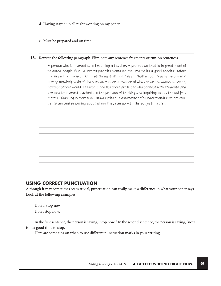**d.** Having stayed up all night working on my paper.

**e.** Must be prepared and on time.

**18.** Rewrite the following paragraph. Eliminate any sentence fragments or run-on sentences.

A person who is interested in becoming a teacher. A profession that is in great need of talented people. Should investigate the elements required to be a good teacher before making a final decision. On first thought, it might seem that a good teacher is one who is very knowledgeable of the subject matter, a master of what he or she wants to teach, however others would disagree. Good teachers are those who connect with students and are able to interest students in the process of thinking and inquiring about the subject matter. Teaching is more than knowing the subject matter it's understanding where students are and dreaming about where they can go with the subject matter.

#### **USING CORRECT PUNCTUATION**

Although it may sometimes seem trivial, punctuation can really make a difference in what your paper says. Look at the following examples.

Don't! Stop now! Don't stop now.

In the first sentence, the person is saying,"stop now!" In the second sentence, the person is saying,"now isn't a good time to stop."

Here are some tips on when to use different punctuation marks in your writing.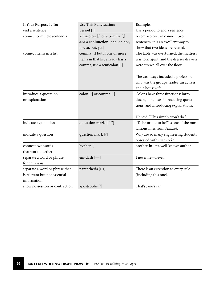| If Your Purpose Is To:         | <b>Use This Punctuation:</b>     | Example:                                                                                           |
|--------------------------------|----------------------------------|----------------------------------------------------------------------------------------------------|
| end a sentence                 | period [.]                       | Use a period to end a sentence.                                                                    |
| connect complete sentences     | semicolon [;] or a comma [,]     | A semi-colon can connect two                                                                       |
|                                | and a conjunction [and, or, nor, | sentences; it is an excellent way to                                                               |
|                                | for, so, but, yet]               | show that two ideas are related.                                                                   |
| connect items in a list        | comma [,] but if one or more     | The table was overturned, the mattress                                                             |
|                                | items in that list already has a | was torn apart, and the dresser drawers                                                            |
|                                | comma, use a semicolon [;]       | were strewn all over the floor.                                                                    |
|                                |                                  | The castaways included a professor,<br>who was the group's leader; an actress;<br>and a housewife. |
| introduce a quotation          | colon [:] or comma [,]           | Colons have three functions: intro-                                                                |
| or explanation                 |                                  | ducing long lists, introducing quota-                                                              |
|                                |                                  | tions, and introducing explanations.                                                               |
|                                |                                  | He said, "This simply won't do."                                                                   |
| indicate a quotation           | quotation marks [""]             | "To be or not to be?" is one of the most                                                           |
|                                |                                  | famous lines from Hamlet.                                                                          |
| indicate a question            | question mark [?]                | Why are so many engineering students                                                               |
|                                |                                  | obsessed with Star Trek?                                                                           |
| connect two words              | hyphen $[-]$                     | brother-in-law, well-known author                                                                  |
| that work together             |                                  |                                                                                                    |
| separate a word or phrase      | em-dash $[-]$                    | I never lie-never.                                                                                 |
| for emphasis                   |                                  |                                                                                                    |
| separate a word or phrase that | parenthesis [()]                 | There is an exception to every rule                                                                |
| is relevant but not essential  |                                  | (including this one).                                                                              |
| information                    |                                  |                                                                                                    |
| show possession or contraction | apostrophe <sup>[']</sup>        | That's Jane's car.                                                                                 |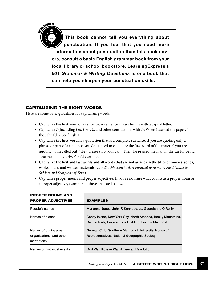**This book cannot tell you everything about punctuation. If you feel that you need more information about punctuation than this book covers, consult a basic English grammar book from your local library or school bookstore. LearningExpress's** *501 Grammar & Writing Questions* **is one book that can help you sharpen your punctuation skills.**

### **CAPITALIZING THE RIGHT WORDS**

**ABOUT IT** 

**IN HT**

Here are some basic guidelines for capitalizing words.

- **Capitalize the first word of a sentence:** A sentence always begins with a capital letter.
- **Capitalize** *I* (including *I'm*, *I've*, *I'd*, and other contractions with *I*): When I started the paper, I thought I'd never finish it.
- **Capitalize the first word in a quotation that is a complete sentence.** If you are quoting only a phrase or part of a sentence, you don't need to capitalize the first word of the material you are quoting: John called out, "Hey, please stop your car!" Then, he praised the man in the car for being "the most polite driver" he'd ever met.
- **Capitalize the first and last words and all words that are not articles in the titles of movies, songs, works of art, and written materials:** *To Kill a Mockingbird, A Farewell to Arms, A Field Guide to Spiders and Scorpions of Texas*
- **Capitalize proper nouns and proper adjectives.** If you're not sure what counts as a proper noun or a proper adjective, examples of these are listed below.

| PROPER NOUNS AND                                                 |                                                                                                                       |
|------------------------------------------------------------------|-----------------------------------------------------------------------------------------------------------------------|
| <b>PROPER ADJECTIVES</b>                                         | <b>EXAMPLES</b>                                                                                                       |
| People's names                                                   | Marianne Jones, John F. Kennedy, Jr., Georgianne O'Reilly                                                             |
| Names of places                                                  | Coney Island, New York City, North America, Rocky Mountains,<br>Central Park, Empire State Building, Lincoln Memorial |
| Names of businesses.<br>organizations, and other<br>institutions | German Club, Southern Methodist University, House of<br>Representatives, National Geographic Society                  |
| Names of historical events                                       | Civil War, Korean War, American Revolution                                                                            |

# **PROPER NOUNS AND**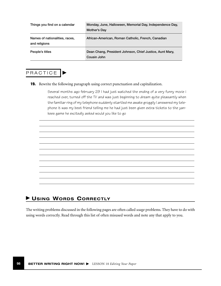| Things you find on a calendar                   | Monday, June, Halloween, Memorial Day, Independence Day,<br>Mother's Day |
|-------------------------------------------------|--------------------------------------------------------------------------|
| Names of nationalities, races,<br>and religions | African-American, Roman Catholic, French, Canadian                       |
| People's titles                                 | Dean Chang, President Johnson, Chief Justice, Aunt Mary,<br>Cousin John  |

## PRACTICE **| >**

#### **19.** Rewrite the following paragraph using correct punctuation and capitalization.

Several months ago february 29 I had just watched the ending of a very funny movie i reached over, turned off the TV and was just beginning to dream quite pleasantly when the familiar ring of my telephone suddenly startled me awake groggily I answered my telephone it was my best friend telling me he had just been given extra tickets to the yankees game he excitedly asked would you like to go

## - **USING WORDS CORRECTLY**

The writing problems discussed in the following pages are often called *usage* problems. They have to do with using words correctly. Read through this list of often misused words and note any that apply to you.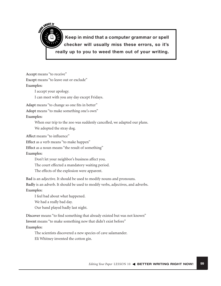

**Accept** means "to receive" **Except** means "to leave out or exclude" **Examples:**

I accept your apology.

I can meet with you any day except Fridays.

**Adapt** means "to change so one fits in better"

**Adopt** means "to make something one's own"

**Examples:**

When our trip to the zoo was suddenly cancelled, we adapted our plans. We adopted the stray dog.

**Affect** means "to influence"

**Effect** as a verb means "to make happen"

**Effect** as a noun means "the result of something"

**Examples:**

Don't let your neighbor's business affect you. The court effected a mandatory waiting period.

The effects of the explosion were apparent.

**Bad** is an adjective. It should be used to modify nouns and pronouns.

**Badly** is an adverb. It should be used to modify verbs, adjectives, and adverbs. **Examples:**

I feel bad about what happened. We had a really bad day. Our band played badly last night.

**Discover** means "to find something that already existed but was not known" **Invent** means "to make something new that didn't exist before" **Examples:**

The scientists discovered a new species of cave salamander. Eli Whitney invented the cotton gin.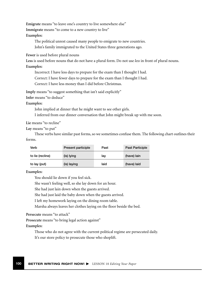**Emigrate** means "to leave one's country to live somewhere else"

**Immigrate** means "to come to a new country to live"

## **Examples:**

The political unrest caused many people to emigrate to new countries.

John's family immigrated to the United States three generations ago.

**Fewer** is used before plural nouns

**Less** is used before nouns that do not have a plural form. Do not use *less* in front of plural nouns. **Examples:**

Incorrect: I have less days to prepare for the exam than I thought I had.

Correct: I have fewer days to prepare for the exam than I thought I had.

Correct: I have less money than I did before Christmas.

**Imply** means "to suggest something that isn't said explicitly"

**Infer** means "to deduce"

**Examples:**

John implied at dinner that he might want to see other girls.

I inferred from our dinner conversation that John might break up with me soon.

**Lie** means "to recline"

**Lay** means "to put"

These verbs have similar past forms, so we sometimes confuse them. The following chart outlines their forms.

| Verb             | Present participle | Past | <b>Past Participle</b> |
|------------------|--------------------|------|------------------------|
| to lie (recline) | (is) lying         | lay  | (have) lain            |
| to lay (put)     | (is) laying        | laid | (have) laid            |

### **Examples:**

You should lie down if you feel sick.

She wasn't feeling well, so she lay down for an hour.

She had just lain down when the guests arrived.

She had just laid the baby down when the guests arrived.

I left my homework laying on the dining room table.

Marsha always leaves her clothes laying on the floor beside the bed.

## **Persecute** means "to attack"

**Prosecute** means "to bring legal action against"

## **Examples:**

Those who do not agree with the current political regime are persecuted daily.

It's our store policy to prosecute those who shoplift.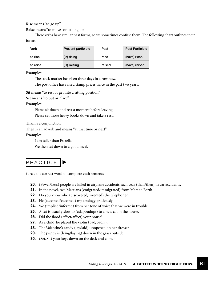**Rise** means "to go up"

**Raise** means "to move something up"

These verbs have similar past forms, so we sometimes confuse them. The following chart outlines their forms.

| Verb     | Present participle | Past   | <b>Past Participle</b> |
|----------|--------------------|--------|------------------------|
| to rise  | (is) rising        | rose   | (have) risen           |
| to raise | (is) raising       | raised | (have) raised          |

## **Examples:**

The stock market has risen three days in a row now.

The post office has raised stamp prices twice in the past two years.

**Sit** means "to rest or get into a sitting position"

**Set** means "to put or place"

## **Examples:**

Please sit down and rest a moment before leaving. Please set those heavy books down and take a rest.

**Than** is a conjunction

Then is an adverb and means "at that time or next"

## **Examples:**

I am taller than Estrella.

We then sat down to a good meal.

# PRACTICE

Circle the correct word to complete each sentence.

- **20.** (Fewer/Less) people are killed in airplane accidents each year (than/then) in car accidents.
- **21.** In the novel, two Martians (emigrated/immigrated) from Mars to Earth.
- **22.** Do you know who (discovered/invented) the telephone?
- **23.** He (accepted/excepted) my apology graciously.
- **24.** We (implied/inferred) from her tone of voice that we were in trouble.
- **25.** A cat is usually slow to (adapt/adopt) to a new cat in the house.
- **26.** Did the flood (effect/affect) your house?
- **27.** As a child, he played the violin (bad/badly).
- **28.** The Valentine's candy (lay/laid) unopened on her dresser.
- **29.** The puppy is (lying/laying) down in the grass outside.
- **30.** (Set/Sit) your keys down on the desk and come in.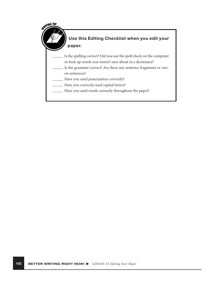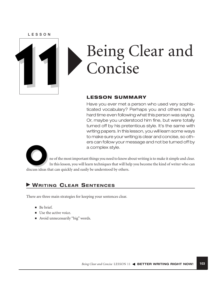

# Being Clear and Concise

# **LESSON SUMMARY**

Have you ever met a person who used very sophisticated vocabulary? Perhaps you and others had a hard time even following what this person was saying. Or, maybe you understood him fine, but were totally turned off by his pretentious style. It's the same with writing papers. In this lesson, you will learn some ways to make sure your writing is clear and concise, so others can follow your message and not be turned off by a complex style.



ne of the most important things you need to know about writing is to make it simple and clear. In this lesson, you will learn techniques that will help you become the kind of writer who can discuss ideas that can quickly and easily be understood by others.

# - **WRITING CLEAR SENTENCES**

There are three main strategies for keeping your sentences clear.

- Be brief.
- Use the active voice.
- Avoid unnecessarily "big" words.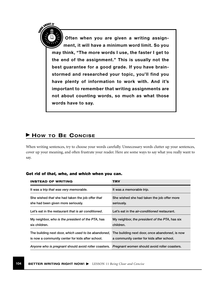**Often when you are given a writing assignment, it will have a minimum word limit. So you may think, "The more words I use, the faster I get to the end of the assignment." This is usually not the best guarantee for a good grade. If you have brainstormed and researched your topic, you'll find you have plenty of information to work with. And it's important to remember that writing assignments are not about counting words, so much as what those words have to say.**

# - **HOW TO BE CONCISE**

**D** 

**IN HT**

When writing sentences, try to choose your words carefully. Unnecessary words clutter up your sentences, cover up your meaning, and often frustrate your reader. Here are some ways to say what you really want to say.

## **Get rid of** *that, who,* **and** *which* **when you can.**

| <b>INSTEAD OF WRITING</b>                                                                               | <b>TRY</b>                                                                                  |
|---------------------------------------------------------------------------------------------------------|---------------------------------------------------------------------------------------------|
| It was a trip that was very memorable.                                                                  | It was a memorable trip.                                                                    |
| She wished that she had taken the job offer that<br>she had been given more seriously.                  | She wished she had taken the job offer more<br>seriously.                                   |
| Let's eat in the restaurant that is air conditioned.                                                    | Let's eat in the air-conditioned restaurant.                                                |
| My neighbor, who is the president of the PTA, has<br>six children.                                      | My neighbor, the president of the PTA, has six<br>children.                                 |
| The building next door, which used to be abandoned,<br>is now a community center for kids after school. | The building next door, once abandoned, is now<br>a community center for kids after school. |
| Anyone who is pregnant should avoid roller coasters. Pregnant women should avoid roller coasters.       |                                                                                             |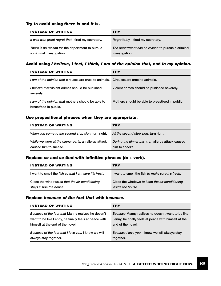## **Try to avoid using** *there is* **and** *it is***.**

| <b>INSTEAD OF WRITING</b>                           | <b>TRY</b>                                        |
|-----------------------------------------------------|---------------------------------------------------|
| It was with great regret that I fired my secretary. | Regrettably, I fired my secretary.                |
| There is no reason for the department to pursue     | The department has no reason to pursue a criminal |
| a criminal investigation.                           | investigation.                                    |

## **Avoid using** *I believe, I feel, I think, I am of the opinion that,* **and** *in my opinion.*

| <b>INSTEAD OF WRITING</b>                                                              | TRY                                             |
|----------------------------------------------------------------------------------------|-------------------------------------------------|
| I am of the opinion that circuses are cruel to animals. Circuses are cruel to animals. |                                                 |
| I believe that violent crimes should be punished<br>severely.                          | Violent crimes should be punished severely.     |
| I am of the opinion that mothers should be able to<br>breastfeed in public.            | Mothers should be able to breastfeed in public. |

## **Use prepositional phrases when they are appropriate.**

| <b>INSTEAD OF WRITING</b>                                                     | <b>TRY</b>                                                          |
|-------------------------------------------------------------------------------|---------------------------------------------------------------------|
| When you come to the second stop sign, turn right.                            | At the second stop sign, turn right.                                |
| While we were at the dinner party, an allergy attack<br>caused him to sneeze. | During the dinner party, an allergy attack caused<br>him to sneeze. |

## **Replace** *so* **and** *so that* **with infinitive phrases (***to* **+ verb).**

| <b>INSTEAD OF WRITING</b>                                                 | <b>TRY</b>                                                                 |
|---------------------------------------------------------------------------|----------------------------------------------------------------------------|
| I want to smell the fish so that I am sure it's fresh.                    | I want to smell the fish to make sure it's fresh.                          |
| Close the windows so that the air conditioning<br>stays inside the house. | Close the windows to keep the air conditioning<br><i>inside the house.</i> |

## **Replace** *because of the fact that* **with** *because***.**

| <b>INSTEAD OF WRITING</b>                             | <b>TRY</b>                                           |
|-------------------------------------------------------|------------------------------------------------------|
| Because of the fact that Manny realizes he doesn't    | Because Manny realizes he doesn't want to be like    |
| want to be like Lenny, he finally feels at peace with | Lenny, he finally feels at peace with himself at the |
| himself at the end of the novel.                      | end of the novel.                                    |
| Because of the fact that I love you, I know we will   | Because I love you, I know we will always stay       |
| always stay together.                                 | together.                                            |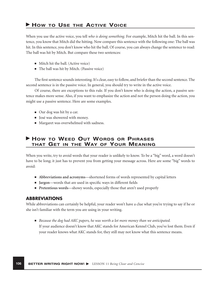# - **HOW TO USE THE ACTIVE VOICE**

When you use the active voice, you tell *who is doing something*. For example, Mitch hit the ball. In this sentence, you know that Mitch did the hitting. Now compare this sentence with the following one: The ball was hit. In this sentence, you don't know who hit the ball. Of course, you can always change the sentence to read: The ball was hit by Mitch. But compare these two sentences:

- Mitch hit the ball. (Active voice)
- The ball was hit by Mitch. (Passive voice)

The first sentence sounds interesting. It's clear, easy to follow, and briefer than the second sentence. The second sentence is in the passive voice. In general, you should try to write in the active voice.

Of course, there are exceptions to this rule. If you don't know who is doing the action, a passive sentence makes more sense. Also, if you want to emphasize the action and not the person doing the action, you might use a passive sentence. Here are some examples.

- Our dog was hit by a car.
- José was showered with money.
- Margaret was overwhelmed with sadness.

# $\blacktriangleright$  How to Weed Out Words or Phrases **THAT GET IN THE WAY OF YOUR MEANING**

When you write, try to avoid words that your reader is unlikely to know. To be a "big" word, a word doesn't have to be long; it just has to prevent you from getting your message across. Here are some "big" words to avoid:

- **Abbreviations and acronyms—shortened forms of words represented by capital letters**
- **Jargon**—words that are used in specific ways in different fields
- **Pretentious words**—showy words, especially those that aren't used properly

## **ABBREVIATIONS**

While abbreviations can certainly be helpful, your reader won't have a clue what you're trying to say if he or she isn't familiar with the term you are using in your writing.

■ *Because the dog had AKC papers, he was worth a lot more money than we anticipated.* If your audience doesn't know that AKC stands for American Kennel Club, you've lost them. Even if your reader knows what AKC stands for, they still may not know what this sentence means.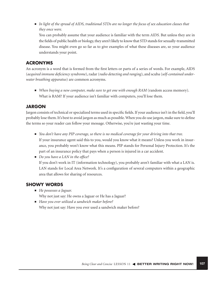■ *In light of the spread of AIDS, traditional STDs are no longer the focus of sex education classes that they once were.*

You can probably assume that your audience is familiar with the term *AIDS.* But unless they are in the fields of public health or biology, they aren't likely to know that STD stands for sexually-transmitted disease. You might even go so far as to give examples of what these diseases are, so your audience understands your point.

# **ACRONYMS**

An acronym is a word that is formed from the first letters or parts of a series of words. For example, AIDS (*acquired immune deficiency syndrome*), radar (*radio detecting and ranging*), and scuba (*self-contained underwater breathing apparatus*) are common acronyms.

■ *When buying a new computer, make sure to get one with enough RAM* (random access memory). What is RAM? If your audience isn't familiar with computers, you'll lose them.

# **JARGON**

Jargon consists of technical or specialized terms used in specific fields. If your audience isn't in the field, you'll probably lose them. It's best to avoid jargon as much as possible. When you do use jargon, make sure to define the terms so your reader can follow your message. Otherwise, you're just wasting your time.

- *You don't have any PIP coverage, so there is no medical coverage for your driving into that tree.* If your insurance agent said this to you, would you know what it means? Unless you work in insurance, you probably won't know what this means. PIP stands for Personal Injury Protection. It's the part of an insurance policy that pays when a person is injured in a car accident.
- *Do you have a LAN in the office?* If you don't work in IT (information technology), you probably aren't familiar with what a LAN is. LAN stands for Local Area Network. It's a configuration of several computers within a geographic area that allows for sharing of resources.

# **SHOWY WORDS**

- *He possesses a Jaguar.*
	- Why not just say: He owns a Jaguar or He has a Jaguar?
- *Have you ever utilized a sandwich maker before?* Why not just say: Have you ever used a sandwich maker before?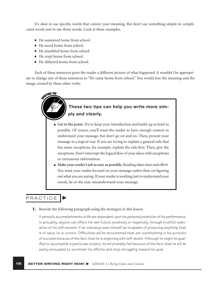It's okay to use specific words that convey your meaning. But don't say something simple in complicated words just to use those words. Look at these examples.

- He sauntered home from school.
- He raced home from school.
- He stumbled home from school.
- He crept home from school.

**NRITING TIP** 

■ He slithered home from school.

Each of these sentences gives the reader a different picture of what happened. It wouldn't be appropriate to change any of these sentences to "He came home from school." You would lose the meaning and the image created by these other verbs.

> **ply and clearly.** ■ **Get to the point.** Try to keep your introduction and build-up as brief as possible. Of course, you'll want the reader to have enough context to

**These two tips can help you write more sim-**

understand your message, but don't go on and on. Then, present your message in a logical way. If you are trying to explain a general rule that has some exceptions, for example, explain the rule first. Then, give the exceptions. Don't interrupt the logical flow of your ideas with exceptions or extraneous information.

■ Make your reader's job as easy as possible. Reading takes time and effort. You want your reader focused on your message rather than on figuring out what you are saying. If your reader is working just to understand your words, he or she may misunderstand your message.

# PRACTICE

**1.** Rewrite the following paragraph using the strategies in this lesson.

A person's accomplishments in life are dependent upon his personal prediction of his performance. In actuality, anyone can effect his own future, positively or negatively, through truthful evaluation of his self-esteem. If an individual sees himself as incapable of producing anything that is of value, he is correct. Difficulties will be encountered that are overwhelming in his pursuits of success because of the fact that he is beginning with self-doubt. Although he might be qualified to accomplish a particular project, he will probably fail because of the fact that he will be easily persuaded to surrender his efforts and stop struggling toward his goal.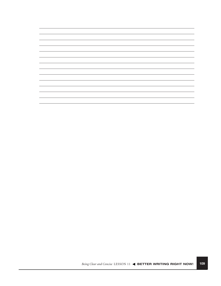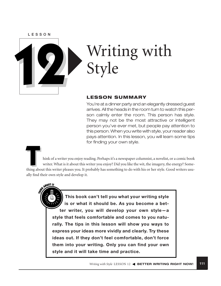**LESSON**



**<sup>O</sup>U<sup>T</sup> <sup>I</sup><sup>T</sup> <sup>B</sup><sup>A</sup> <sup>K</sup>**

**IN HT**

# Writing with Style

## **LESSON SUMMARY**

You're at a dinner party and an elegantly dressed guest arrives. All the heads in the room turn to watch this person calmly enter the room. This person has style. They may not be the most attractive or intelligent person you've ever met, but people pay attention to this person. When you write with style, your reader also pays attention. In this lesson, you will learn some tips for finding your own style.

hink of a writer you enjoy reading. Perhaps it's a newspaper columnist, a novelist, or a comic book writer. What is it about this writer you enjoy? Did you like the wit, the imagery, the energy? Somethe thing about this writer you enjoy reading. Perhaps it's a newspaper columnist, a novelist, or a comic book<br>thing about this writer pleases you. It probably has something to do with his or her style. Good writers usually find their own style and develop it.

> **This book can't tell you what your writing style is or what it should be. As you become a better writer, you will develop your own style—a style that feels comfortable and comes to you naturally. The tips in this lesson will show you ways to express your ideas more vividly and clearly. Try these ideas out. If they don't feel comfortable, don't force them into your writing. Only you can find your own style and it will take time and practice.**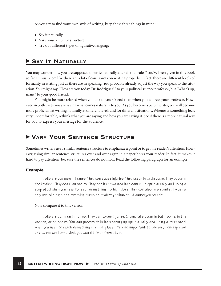As you try to find your own style of writing, keep these three things in mind:

- Say it naturally.
- Vary your sentence structure.
- Try out different types of figurative language.

## - **SAY IT NATURALLY**

You may wonder how you are supposed to write naturally after all the "rules" you've been given in this book so far. It must seem like there are a lot of constraints on writing properly. In fact, there are different levels of formality in writing just as there are in speaking. You probably already adjust the way you speak to the situation. You might say,"How are you today, Dr. Rodriguez?" to your political science professor, but "What's up, man?" to your good friend.

You might be more relaxed when you talk to your friend than when you address your professor. However, in both cases you are saying what comes naturally to you. As you become a better writer, you will become more proficient at writing naturally at different levels and for different situations. Whenever something feels very uncomfortable, rethink what you are saying and how you are saying it. See if there is a more natural way for you to express your message for the audience.

## - **VARY YOUR SENTENCE STRUCTURE**

Sometimes writers use a similar sentence structure to emphasize a point or to get the reader's attention. However, using similar sentence structures over and over again in a paper bores your reader. In fact, it makes it hard to pay attention, because the sentences do not flow. Read the following paragraph for an example.

## **Example**

Falls are common in homes. They can cause injuries. They occur in bathrooms. They occur in the kitchen. They occur on stairs. They can be prevented by cleaning up spills quickly and using a step stool when you need to reach something in a high place. They can also be prevented by using only non-slip rugs and removing items on stairways that could cause you to trip.

## Now compare it to this version.

Falls are common in homes. They can cause injuries. Often, falls occur in bathrooms, in the kitchen, or on stairs. You can prevent falls by cleaning up spills quickly and using a step stool when you need to reach something in a high place. It's also important to use only non-slip rugs and to remove items that you could trip on from stairs.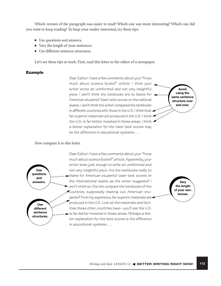Which version of the paragraph was easier to read? Which one was more interesting? Which one did you want to keep reading? To keep your reader interested, try these tips:

- Use questions and answers.
- Vary the length of your sentences.
- Use different sentence structures.

Let's see these tips at work. First, read this letter to the editor of a newspaper.

## **Example**

Dear Editor: I have a few comments about your "Know much about science books?" article. I think your writer wrote an uninformed and not very insightful piece. I don't think the textbooks are to blame for American students' lower test scores on the national exams. I don't think the writer compared the textbooks in different countries with those in the U.S. I think that far superior materials are produced in the U.S. I think the U.S. is far better invested in these areas. I think a better explanation for the lower test scores may be the difference in educational systems . . .



## Now compare it to this letter.

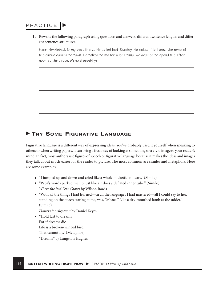

**1.** Rewrite the following paragraph using questions and answers, different sentence lengths and different sentence structures.

Henri Henklebeck is my best friend. He called last Sunday. He asked if I'd heard the news of the circus coming to town. He talked to me for a long time. We decided to spend the afternoon at the circus. We said good-bye.

# **FIGURATIVE LANGUAGE**

Figurative language is a different way of expressing ideas. You've probably used it yourself when speaking to others or when writing papers. It can bring a fresh way of looking at something or a vivid image to your reader's mind. In fact, most authors use figures of speech or figurative language because it makes the ideas and images they talk about much easier for the reader to picture. The most common are similes and metaphors. Here are some examples.

- "I jumped up and down and cried like a whole bucketful of tears." (Simile)
- "Papa's words perked me up just like air does a deflated inner tube." (Simile) *Where the Red Fern Grows* by Wilson Rawls
- "With all the things I had learned—in all the languages I had mastered—all I could say to her, standing on the porch staring at me, was, "Maaaa." Like a dry-mouthed lamb at the udder." (Simile)
	- *Flowers for Algernon* by Daniel Keyes
- "Hold fast to dreams For if dreams die Life is a broken-winged bird That cannot fly." (Metaphor) "Dreams" by Langston Hughes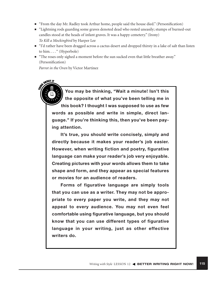- "From the day Mr. Radley took Arthur home, people said the house died." (Personification)
- "Lightning rods guarding some graves denoted dead who rested uneasily; stumps of burned-out candles stood at the heads of infant graves. It was a happy cemetery." (Irony) *To Kill a Mockingbird* by Harper Lee
- "I'd rather have been dragged across a cactus desert and dropped thirsty in a lake of salt than listen to him. . . . " (Hyperbole)
- "The roses only sighed a moment before the sun sucked even that little breather away." (Personification)

*Parrot in the Oven* by Victor Martinez

**<sup>O</sup>U<sup>T</sup> <sup>I</sup><sup>T</sup> <sup>B</sup><sup>A</sup> <sup>K</sup>**

**IN HT**

**You may be thinking, "Wait a minute! Isn't this the opposite of what you've been telling me in this book? I thought I was supposed to use as few words as possible and write in simple, direct language." If you're thinking this, then you've been paying attention.**

**It's true, you should write concisely, simply and directly because it makes your reader's job easier. However, when writing fiction and poetry, figurative language can make your reader's job very enjoyable. Creating pictures with your words allows them to take shape and form, and they appear as special features or movies for an audience of readers.**

**Forms of figurative language are simply tools that you can use as a writer. They may not be appropriate to every paper you write, and they may not appeal to every audience. You may not even feel comfortable using figurative language, but you should know that you can use different types of figurative language in your writing, just as other effective writers do.**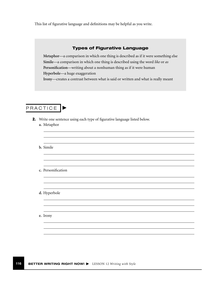This list of figurative language and definitions may be helpful as you write.

## **Types of Figurative Language**

**Metaphor**—a comparison in which one thing is described as if it were something else **Simile**—a comparison in which one thing is described using the word *like* or *as* **Personification**—writing about a nonhuman thing as if it were human **Hyperbole**—a huge exaggeration **Irony**—creates a contrast between what is said or written and what is really meant

#### PRACTICE  $\blacktriangleright$

- **2.** Write one sentence using each type of figurative language listed below.
	- **a.** Metaphor
	- **b.** Simile
	- **c.** Personification

**d.** Hyperbole

**e.** Irony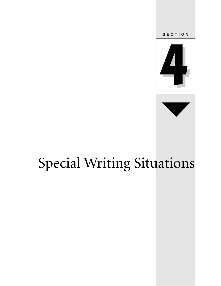**SECTION**



# Special Writing Situations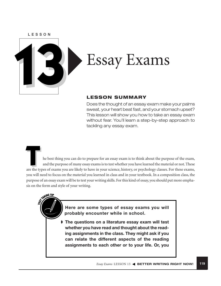**LESSON**



**NG TIP KI <sup>T</sup>A TSET**

# Essay Exams

## **LESSON SUMMARY**

Does the thought of an essay exam make your palms sweat, your heart beat fast, and your stomach upset? This lesson will show you how to take an essay exam without fear. You'll learn a step-by-step approach to tackling any essay exam.

he best thing you can do to prepare for an essay exam is to think about the purpose of the exam, and the purpose of many essay exams is to test whether you have learned the material or not. These are the types of exams you can do to prepare for an essay exam is to think about the purpose of the exam, and the purpose of many essay exams is to test whether you have learned the material or not. These are the types of you will need to focus on the material you learned in class and in your textbook. In a composition class, the purpose of an essay exam will be to test your writing skills. For this kind of essay, you should put more emphasis on the form and style of your writing.

> **Here are some types of essay exams you will probably encounter while in school.** ➧ **The questions on a literature essay exam will test** <u>I</u>

**whether you have read and thought about the reading assignments in the class. They might ask if you can relate the different aspects of the reading assignments to each other or to your life. Or, you**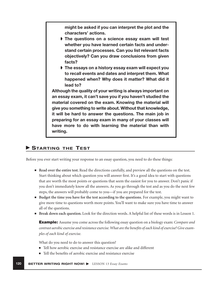**might be asked if you can interpret the plot and the characters' actions.**

- ➧ **The questions on a science essay exam will test whether you have learned certain facts and understand certain processes. Can you list relevant facts objectively? Can you draw conclusions from given facts?**
- ➧ **The essays on a history essay exam will expect you to recall events and dates and interpret them. What happened when? Why does it matter? What did it lead to?**

**Although the quality of your writing is always important on an essay exam, it can't save you if you haven't studied the material covered on the exam. Knowing the material will give you something to write about. Without that knowledge, it will be hard to answer the questions. The main job in preparing for an essay exam in many of your classes will have more to do with learning the material than with writing.**

## - **STARTING THE TEST**

Before you ever start writing your response to an essay question, you need to do these things:

- **Read over the entire test.** Read the directions carefully, and preview all the questions on the test. Start thinking about which question you will answer first. It's a good idea to start with questions that are worth the most points or questions that seem the easiest for you to answer. Don't panic if you don't immediately know all the answers. As you go through the test and as you do the next few steps, the answers will probably come to you—if you are prepared for the test.
- **Budget the time you have for the test according to the questions.** For example, you might want to give more time to questions worth more points. You'll want to make sure you have time to answer all of the questions.
- **Break down each question.** Look for the direction words. A helpful list of these words is in Lesson 1.

**Example:** Assume you come across the following essay question on a biology exam: *Compare and contrast aerobic exercise and resistance exercise. What are the benefits of each kind of exercise? Give examples of each kind of exercise.*

What do you need to do to answer this question?

- Tell how aerobic exercise and resistance exercise are alike and different
- Tell the benefits of aerobic exercise and resistance exercise

**120 BETTER WRITING RIGHT NOW!** LESSON 13 *Essay Exams*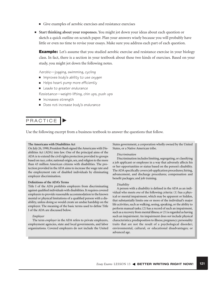- Give examples of aerobic exercises and resistance exercises
- **Start thinking about your responses.** You might jot down your ideas about each question or sketch a quick outline on scratch paper. Plan your answers wisely because you will probably have little or even no time to revise your essays. Make sure you address each part of each question.

**Example:** Let's assume that you studied aerobic exercise and resistance exercise in your biology class. In fact, there is a section in your textbook about these two kinds of exercises. Based on your study, you might jot down the following notes.

Aerobic—jogging, swimming, cycling

- Improves body's ability to use oxygen
- Helps heart pump more efficiently
- Leads to greater endurance
- Resistance—weight-lifting, chin ups, push ups
- Increases strength
- Does not increase body's endurance

# PRACTICE

Use the following excerpt from a business textbook to answer the questions that follow.

#### **The Americans with Disabilities Act**

On July 26, 1990, President Bush signed the Americans with Disabilities Act (ADA) into law. One of the principal aims of the ADA is to extend the civil rights protection provided to groups based on race, color, national origin, sex, and religion to the more than 43 million American citizens with disabilities. The protection provided in the ADA aims to increase the wage rate and the employment rate of disabled individuals by eliminating employer discrimination.

#### **Definitions of the ADA's Terms**

Title I of the ADA prohibits employers from discriminating against qualified individuals with disabilities. It requires covered employers to provide reasonable accommodation to the known mental or physical limitations of a qualified person with a disability, unless doing so would create an undue hardship on the employer. The meaning of the basic terms used to define Title I of the ADA are discussed below.

#### *Employer*

The term *employer* in the ADA refers to private employers, employment agencies, state and local governments, and labor organizations. Covered employers do not include the United

States government, a corporation wholly owned by the United States, or a Native American tribe.

### *Discrimination*

Discrimination includes limiting, segregating, or classifying a job applicant or employee in a way that adversely affects his or her opportunities or status based on the person's disability. The ADA specifically covers job application procedures; hiring, advancement, and discharge procedures; compensation and benefit packages; and job training.

#### *Disability*

A person with a disability is defined in the ADA as an individual who meets *one* of the following criteria: (1) has a physical or mental impairment, which may be apparent or hidden, that substantially limits one or more of the individual's major life activities, such as walking, seeing, speaking, or the ability to perform manual tasks; (2) has a record of such an impairment, such as a recovery from mental illness; *or* (3) is regarded as having such an impairment. An impairment does *not* include physical characteristics; predisposition to illness; pregnancy; personality traits that are not the result of a psychological disorder; environmental, cultural, or educational disadvantages; or advanced age.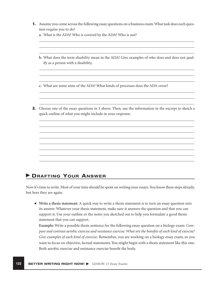**1.** Assume you come across the following essay questions on a business exam. What task does each question require you to do?

**a.** What is the ADA? Who is covered by the ADA? Who is not?

**b.** What does the term *disability* mean in the ADA? Give examples of who does and does not qualify as a person with a disability.

**c.** What are some aims of the ADA? What kinds of processes does the ADA cover?

**2.** Choose one of the essay questions in **1** above. Then, use the information in the excerpt to sketch a quick outline of what you might include in your response.

## - **DRAFTING YOUR ANSWER**

Now it's time to write. Most of your time should be spent on writing your essays.You know these steps already, but here they are again.

■ Write a thesis statement. A quick way to write a thesis statement is to turn an essay question into its answer. Whatever your thesis statement, make sure it answers the question and that you can support it. Use your outline or the notes you sketched out to help you formulate a good thesis statement that you can support.

**Example:** Write a possible thesis sentence for the following essay question on a biology exam: *Compare and contrast aerobic exercise and resistance exercise. What are the benefits of each kind of exercise? Give examples of each kind of exercise.* Remember, you are working on a biology essay exam, so you want to focus on objective, factual statements. You might begin with a thesis statement like this one: Both aerobic exercise and resistance exercise benefit the body.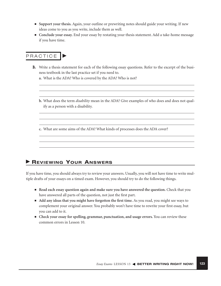- **Support your thesis.** Again, your outline or prewriting notes should guide your writing. If new ideas come to you as you write, include them as well.
- **Conclude your essay.** End your essay by restating your thesis statement. Add a take-home message if you have time.

# **PRACTICE**

- **3.** Write a thesis statement for each of the following essay questions. Refer to the excerpt of the business textbook in the last practice set if you need to.
	- **a.** What is the ADA? Who is covered by the ADA? Who is not?
	- **b.** What does the term *disability* mean in the ADA? Give examples of who does and does not qualify as a person with a disability.
	- **c.** What are some aims of the ADA? What kinds of processes does the ADA cover?

# - **REVIEWING YOUR ANSWERS**

If you have time, you should always try to review your answers. Usually, you will not have time to write multiple drafts of your essays on a timed exam. However, you should try to do the following things.

- **Read each essay question again and make sure you have answered the question.** Check that you have answered all parts of the question, not just the first part.
- **Add any ideas that you might have forgotten the first time.** As you read, you might see ways to complement your original answer. You probably won't have time to rewrite your first essay, but you can add to it.
- **Check your essay for spelling, grammar, punctuation, and usage errors.** You can review these common errors in Lesson 10.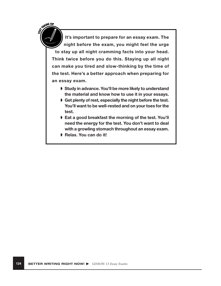**It's important to prepare for an essay exam. The night before the exam, you might feel the urge to stay up all night cramming facts into your head. Think twice before you do this. Staying up all night can make you tired and slow-thinking by the time of the test. Here's a better approach when preparing for an essay exam.** <u>I</u>

- ➧ **Study in advance. You'll be more likely to understand the material and know how to use it in your essays.**
- ➧ **Get plenty of rest, especially the night before the test. You'll want to be well-rested and on your toes for the test.**
- ➧ **Eat a good breakfast the morning of the test. You'll need the energy for the test. You don't want to deal with a growling stomach throughout an essay exam.**
- ➧ **Relax. You can do it!**

**C***A<b>MING TIP* 

**TSET**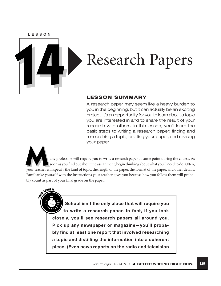**LESSON**



**<sup>O</sup>U<sup>T</sup> <sup>I</sup><sup>T</sup> <sup>B</sup><sup>A</sup> <sup>K</sup>**

**IN HT**

# Research Papers

## **LESSON SUMMARY**

A research paper may seem like a heavy burden to you in the beginning, but it can actually be an exciting project. It's an opportunity for you to learn about a topic you are interested in and to share the result of your research with others. In this lesson, you'll learn the basic steps to writing a research paper: finding and researching a topic, drafting your paper, and revising your paper.

any professors will require you to write a research paper at some point during the course. As soon as you find out about the assignment, begin thinking about what you'll need to do. Often, any professors will require you to write a research paper at some point during the course. As<br>soon as you find out about the assignment, begin thinking about what you'll need to do. Often,<br>your teacher will specify the kin Familiarize yourself with the instructions your teacher gives you because how you follow them will probably count as part of your final grade on the paper.

> **School isn't the only place that will require you to write a research paper. In fact, if you look closely, you'll see research papers all around you. Pick up any newspaper or magazine—you'll probably find at least one report that involved researching a topic and distilling the information into a coherent piece. (Even news reports on the radio and television**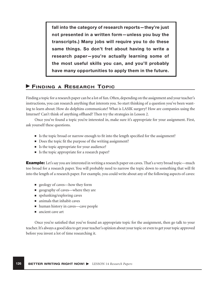**fall into the category of research reports—they're just not presented in a written form—unless you buy the transcripts.) Many jobs will require you to do these same things. So don't fret about having to write a research paper—you're actually learning some of the most useful skills you can, and you'll probably have many opportunities to apply them in the future.**

# - **FINDING A RESEARCH TOPIC**

Finding a topic for a research paper can be a lot of fun. Often, depending on the assignment and your teacher's instructions, you can research anything that interests you. So start thinking of a question you've been wanting to learn about: How do dolphins communicate? What is LASIK surgery? How are companies using the Internet? Can't think of anything offhand? Then try the strategies in Lesson 2.

Once you've found a topic you're interested in, make sure it's appropriate for your assignment. First, ask yourself these questions.

- Is the topic broad or narrow enough to fit into the length specified for the assignment?
- Does the topic fit the purpose of the writing assignment?
- Is the topic appropriate for your audience?
- Is the topic appropriate for a research paper?

**Example:** Let's say you are interested in writing a research paper on caves. That's a very broad topic—much too broad for a research paper. You will probably need to narrow the topic down to something that will fit into the length of a research paper. For example, you could write about any of the following aspects of caves:

- geology of caves—how they form
- geography of caves—where they are
- spelunking/exploring caves
- animals that inhabit caves
- human history in caves—cave people
- ancient cave art

Once you're satisfied that you've found an appropriate topic for the assignment, then go talk to your teacher. It's always a good idea to get your teacher's opinion about your topic or even to get your topic approved before you invest a lot of time researching it.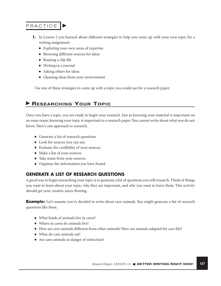#### PRACTICE  $\blacktriangleright$

- **1.** In Lesson 2 you learned about different strategies to help you come up with your own topic for a writing assignment:
	- Exploring your own areas of expertise
	- Browsing different sources for ideas
	- Keeping a clip file
	- Writing in a journal
	- Asking others for ideas
	- Gleaning ideas from your environment

Use one of these strategies to come up with a topic you could use for a research paper.

# - **RESEARCHING YOUR TOPIC**

Once you have a topic, you are ready to begin your research. Just as knowing your material is important on an essay exam, knowing your topic is important to a research paper. You cannot write about what you do not know. Here's one approach to research.

- Generate a list of research questions.
- Look for sources you can use.
- Evaluate the credibility of your sources.
- Make a list of your sources.
- Take notes from your sources.
- Organize the information you have found.

# **GENERATE A LIST OF RESEARCH QUESTIONS**

A good way to begin researching your topic is to generate a list of questions you will research. Think of things you want to learn about your topic, why they are important, and why you want to learn them. This activity should get your creative juices flowing.

**Example:** Let's assume you've decided to write about cave animals. You might generate a list of research questions like these.

- What kinds of animals live in caves?
- Where in caves do animals live?
- How are cave animals different from other animals? How are animals adapted for cave life?
- What do cave animals eat?
- Are cave animals in danger of extinction?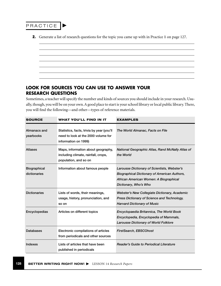

**2.** Generate a list of research questions for the topic you came up with in Practice **1** on page 127.



## **LOOK FOR SOURCES YOU CAN USE TO ANSWER YOUR RESEARCH QUESTIONS**

Sometimes, a teacher will specify the number and kinds of sources you should include in your research. Usually, though, you will be on your own. A good place to start is your school library or local public library. There, you will find the following—and other—types of reference materials.

| <b>SOURCE</b>                       | <b>WHAT YOU'LL FIND IN IT</b>                                                                            | <b>EXAMPLES</b>                                                                                                                                                 |
|-------------------------------------|----------------------------------------------------------------------------------------------------------|-----------------------------------------------------------------------------------------------------------------------------------------------------------------|
| Almanacs and<br>yearbooks           | Statistics, facts, trivia by year (you'll<br>need to look at the 2000 volume for<br>information on 1999) | The World Almanac, Facts on File                                                                                                                                |
| <b>Atlases</b>                      | Maps, information about geography,<br>including climate, rainfall, crops,<br>population, and so on       | National Geographic Atlas, Rand McNally Atlas of<br>the World                                                                                                   |
| <b>Biographical</b><br>dictionaries | Information about famous people                                                                          | Larousse Dictionary of Scientists, Webster's<br>Biographical Dictionary of American Authors,<br>African American Women: A Biographical<br>Dictionary, Who's Who |
| <b>Dictionaries</b>                 | Lists of words, their meanings,<br>usage, history, pronunciation, and<br>so on                           | <b>Webster's New Collegiate Dictionary, Academic</b><br>Press Dictionary of Science and Technology,<br><b>Harvard Dictionary of Music</b>                       |
| Encyclopedias                       | Articles on different topics                                                                             | Encyclopaedia Britannica, The World Book<br>Encyclopedia, Encyclopedia of Mammals,<br><b>Larousse Dictionary of World Folklore</b>                              |
| <b>Databases</b>                    | Electronic compilations of articles<br>from periodicals and other sources                                | FirstSearch, EBSCOhost                                                                                                                                          |
| <b>Indexes</b>                      | Lists of articles that have been<br>published in periodicals                                             | <b>Reader's Guide to Periodical Literature</b>                                                                                                                  |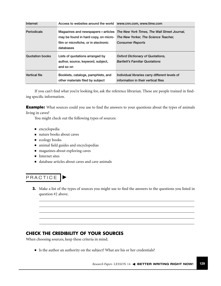| Internet           | Access to websites around the world                                                       | www.cnn.com, www.time.com                                                                                                                         |
|--------------------|-------------------------------------------------------------------------------------------|---------------------------------------------------------------------------------------------------------------------------------------------------|
| <b>Periodicals</b> | may be found in hard copy, on micro-<br>film or microfiche, or in electronic<br>databases | Magazines and newspapers—articles The New York Times, The Wall Street Journal,<br>The New Yorker, The Science Teacher,<br><b>Consumer Reports</b> |
| Quotation books    | Lists of quotations arranged by<br>author, source, keyword, subject,<br>and so on         | Oxford Dictionary of Quotations,<br><b>Bartlett's Familiar Quotations</b>                                                                         |
| Vertical file      | Booklets, catalogs, pamphlets, and<br>other materials filed by subject                    | Individual libraries carry different levels of<br>information in their vertical files                                                             |

If you can't find what you're looking for, ask the reference librarian. These are people trained in finding specific information.

**Example:** What sources could you use to find the answers to your questions about the types of animals living in caves?

You might check out the following types of sources:

- encyclopedia
- nature books about caves
- ecology books
- animal field guides and encyclopedias
- magazines about exploring caves
- Internet sites
- database articles about caves and cave animals

#### PRACTICE  $\blacktriangleright$

**3.** Make a list of the types of sources you might use to find the answers to the questions you listed in question #2 above.

## **CHECK THE CREDIBILITY OF YOUR SOURCES**

When choosing sources, keep these criteria in mind.

■ Is the author an authority on the subject? What are his or her credentials?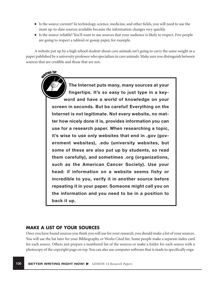- Is the source current? In technology, science, medicine, and other fields, you will need to use the most up-to-date sources available because the information changes very quickly.
- Is the source reliable? You'll want to use sources that your audience is likely to respect. Few people are going to respect a tabloid or gossip paper, for example.

A website put up by a high school student about cave animals isn't going to carry the same weight as a paper published by a university professor who specializes in cave animals. Make sure you distinguish between sources that are credible and those that are not.

> **The Internet puts many, many sources at your fingertips. It's so easy to just type in a keyword and have a world of knowledge on your screen in seconds. But be careful! Everything on the Internet is not legitimate. Not every website, no matter how nicely done it is, provides information you can use for a research paper. When researching a topic, it's wise to use only websites that end in .gov (government websites), .edu (university websites, but some of these are also put up by students, so read them carefully), and sometimes .org (organizations, such as the American Cancer Society). Use your head: if information on a website seems fishy or incredible to you, verify it in another source before repeating it in your paper. Someone might call you on the information and you need to be in a position to back it up.**

## **MAKE A LIST OF YOUR SOURCES**

**RITING TIP** 

**W**

Once you have found sources you think you will use for your research, you should make a list of your sources. You will use the list later for your Bibliography or Works Cited list. Some people make a separate index card for each source. Others just prepare a numbered list of the sources or make a folder for each source with a photocopy of the copyright page on top.You can also use computer software that is made to specifically orga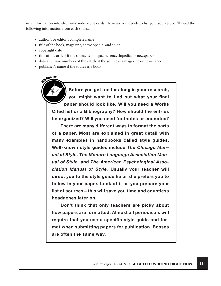nize information into electronic index-type cards. However you decide to list your sources, you'll need the following information from each source:

- author's or editor's complete name
- title of the book, magazine, encyclopedia, and so on
- copyright date

**NRITING TIP** 

- title of the article if the source is a magazine, encyclopedia, or newspaper
- data and page numbers of the article if the source is a magazine or newspaper
- publisher's name if the source is a book

**Before you get too far along in your research, you might want to find out what your final paper should look like. Will you need a Works Cited list or a Bibliography? How should the entries be organized? Will you need footnotes or endnotes?**

**There are many different ways to format the parts of a paper. Most are explained in great detail with many examples in handbooks called style guides. Well-known style guides include** *The Chicago Manual of Style, The Modern Language Association Manual of Style,* **and** *The American Psychological Association Manual of Style.* **Usually your teacher will direct you to the style guide he or she prefers you to follow in your paper. Look at it as you prepare your list of sources—this will save you time and countless headaches later on.**

**Don't think that only teachers are picky about how papers are formatted. Almost all periodicals will require that you use a specific style guide and format when submitting papers for publication. Bosses are often the same way.**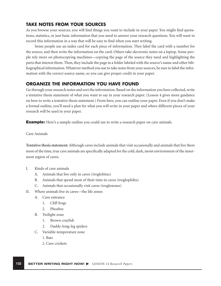## **TAKE NOTES FROM YOUR SOURCES**

As you browse your sources, you will find things you want to include in your paper. You might find quotations, statistics, or just basic information that you need to answer your research questions. You will want to record this information in a way that will be easy to find when you start writing.

Some people use an index card for each piece of information. They label the card with a number for the source, and then write the information on the card. Others take electronic notes on a laptop. Some people rely more on photocopying machines—copying the page of the source they need and highlighting the parts that interest them. Then, they include the page in a folder labeled with the source's name and other bibliographical information. Whatever method you use to take notes from your sources, be sure to label the information with the correct source name, so you can give proper credit in your paper.

## **ORGANIZE THE INFORMATION YOU HAVE FOUND**

Go through your research notes and sort the information. Based on the information you have collected, write a tentative thesis statement of what you want to say in your research paper. (Lesson 4 gives more guidance on how to write a tentative thesis statement.) From here, you can outline your paper. Even if you don't make a formal outline, you'll need a plan for what you will write in your paper and where different pieces of your research will be used in your paper.

**Example:** Here's a sample outline you could use to write a research paper on cave animals.

Cave Animals

**Tentative thesis statement:** Although caves include animals that visit occasionally and animals that live there most of the time, true cave animals are specifically adapted for the cold, dark, moist environment of the innermost region of caves.

- I. Kinds of cave animals
	- A. Animals that live only in caves (troglobites)
	- B. Animals that spend most of their time in caves (troglophiles)
	- C. Animals that occasionally visit caves (trogloxenes)
- II. Where animals live in caves—the life zones
	- A. Cave entrance
		- 1. Cliff frogs
		- 2. Phoebes
	- B. Twilight zone
		- 1. Brown crayfish
		- 2. Daddy-long-leg spiders
	- C. Variable-temperature zone
		- 1. Bats
		- 2. Cave crickets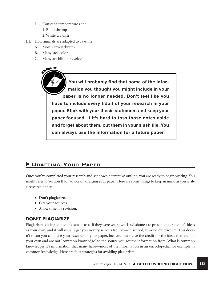- D. Constant-temperature zone
	- 1. Blind shrimp
	- 2. White crayfish
- III. How animals are adapted to cave life
	- A. Mostly invertebrates
	- B. Many lack color
	- C. Many are blind or eyeless

**You will probably find that some of the information you thought you might include in your paper is no longer needed. Don't feel like you have to include every tidbit of your research in your paper. Stick with your thesis statement and keep your paper focused. If it's hard to toss those notes aside and forget about them, put them in your slush file. You can always use the information for a future paper. NRITING TIP** 

# - **DRAFTING YOUR PAPER**

Once you've completed your research and set down a tentative outline, you are ready to begin writing. You might refer to Section II for advice on drafting your paper. Here are some things to keep in mind as you write a research paper.

- **Don't plagiarize.**
- **Cite your sources.**
- **Allow time for revision.**

# **DON'T PLAGIARIZE**

Plagiarism is using someone else's ideas as if they were your own. It's dishonest to present other people's ideas as your own, and it will usually get you in very serious trouble—in school, at work, everywhere. This doesn't mean you can't use your research in your paper, but you must give the credit for the ideas that are not your own and are not "common knowledge" to the source you got the information from. What is common knowledge? It's information that many have—most of the information in an encyclopedia, for example, is common knowledge. Here are four strategies for avoiding plagiarism.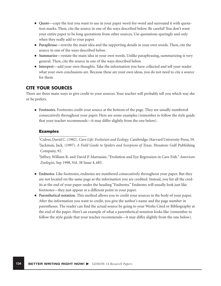- **Quote—copy the text you want to use in your paper word-for-word and surround it with quota**tion marks. Then, cite the source in one of the ways described below. Be careful! You don't want your entire paper to be long quotations from other sources. Use quotations sparingly and only when they really add to your paper.
- **Paraphrase—rewrite the main idea and the supporting details in your own words. Then, cite the** source in one of the ways described below.
- **Summarize**—restate the main idea in your own words. Unlike paraphrasing, summarizing is very general. Then, cite the source in one of the ways described below.
- **Interpret—add your own thoughts. Take the information you have collected and tell your reader** what your own conclusions are. Because these are your own ideas, you do not need to cite a source for them.

# **CITE YOUR SOURCES**

There are three main ways to give credit to your sources. Your teacher will probably tell you which way she or he prefers.

■ **Footnotes.** Footnotes credit your source at the bottom of the page. They are usually numbered consecutively throughout your paper. Here are some examples (remember to follow the style guide that your teacher recommends—it may differ slightly from the one below).

## **Examples**

1Culver, David C. (1982). *Cave Life: Evolution and Ecology.* Cambridge: Harvard University Press, 59. 2Jackman, Jack. (1997). *A Field Guide to Spiders and Scorpions of Texas.* Houston: Gulf Publishing Company, 92.

3Jeffrey, William R. and David P. Martasian. "Evolution and Eye Regression in Cave Fish." *American Zoologist*, Sep 1998, Vol. 38 Issue 4, 685.

- **Endnotes.** Like footnotes, endnotes are numbered consecutively throughout your paper. But they are not located on the same page as the information you are credited. Instead, you list all the credits at the end of your paper under the heading "Endnotes." Endnotes will usually look just like footnotes—they just appear at a different point in your paper.
- **Parenthetical notation.** This method allows you to credit your sources in the body of your paper. After the information you want to credit, you give the author's name and the page number in parentheses. The reader can find the actual source by going to your Works Cited or Bibliography at the end of the paper. Here's an example of what a parenthetical notation looks like (remember to follow the style guide that your teacher recommends—it may differ slightly from the one below).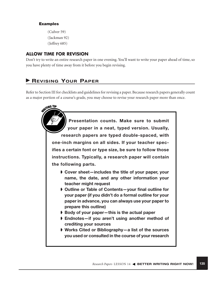#### **Examples**

(Culver 59) (Jackman 92) (Jeffrey 685)

#### **ALLOW TIME FOR REVISION**

Don't try to write an entire research paper in one evening. You'll want to write your paper ahead of time, so you have plenty of time away from it before you begin revising.

# - **REVISING YOUR PAPER**

Refer to Section III for checklists and guidelines for revising a paper. Because research papers generally count as a major portion of a course's grade, you may choose to revise your research paper more than once.

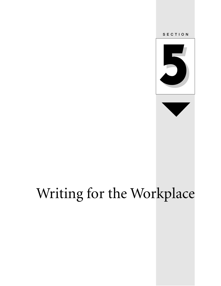**SECTION**



# Writing for the Workplace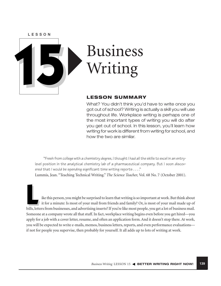**LESSON**



# Business Writing

#### **LESSON SUMMARY**

What? You didn't think you'd have to write once you got out of school? Writing is actually a skill you will use throughout life. Workplace writing is perhaps one of the most important types of writing you will do after you get out of school. In this lesson, you'll learn how writing for work is different from writing for school, and how the two are similar.

"Fresh from college with a chemistry degree, I thought I had all the skills to excel in an entrylevel position in the analytical chemistry lab of a pharmaceutical company. But I soon discovered that I would be spending significant time writing reports . . . ."

Lummis, Jean. "Teaching Technical Writing." *The Science Teacher,* Vol. 68 No. 7 (October 2001).

ike this person, you might be surprised to learn that writing is so important at work. But think about it for a minute: Is most of your mail from friends and family? Or, is most of your mail made up of ike this person, you might be surprised to learn that writing is so important at work. But think about<br>it for a minute: Is most of your mail from friends and family? Or, is most of your mail made up of<br>bills, letters from Someone at a company wrote all that stuff. In fact, workplace writing begins even before you get hired—you apply for a job with a cover letter, resume, and often an application form. And it doesn't stop there. At work, you will be expected to write e-mails, memos, business letters, reports, and even performance evaluations if not for people you supervise, then probably for yourself. It all adds up to lots of writing at work.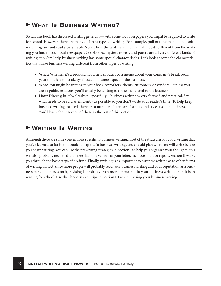# - **WHAT IS BUSINESS WRITING?**

So far, this book has discussed writing generally—with some focus on papers you might be required to write for school. However, there are many different types of writing. For example, pull out the manual to a software program and read a paragraph. Notice how the writing in the manual is quite different from the writing you find in your local newspaper. Cookbooks, mystery novels, and poetry are all very different kinds of writing, too. Similarly, business writing has some special characteristics. Let's look at some the characteristics that make business writing different from other types of writing.

- What? Whether it's a proposal for a new product or a memo about your company's break room, your topic is almost always focused on some aspect of the business.
- Who? You might be writing to your boss, coworkers, clients, customers, or vendors—unless you are in public relations, you'll usually be writing to someone related to the business.
- **How?** Directly, briefly, clearly, purposefully—business writing is very focused and practical. Say what needs to be said as efficiently as possible so you don't waste your reader's time! To help keep business writing focused, there are a number of standard formats and styles used in business. You'll learn about several of these in the rest of this section.

#### - **WRITING IS WRITING**

Although there are some conventions specific to business writing, most of the strategies for good writing that you've learned so far in this book still apply. In business writing, you should plan what you will write before you begin writing. You can use the prewriting strategies in Section I to help you organize your thoughts. You will also probably need to draft more than one version of your letter, memo, e-mail, or report. Section II walks you through the basic steps of drafting. Finally, revising is as important to business writing as to other forms of writing. In fact, since more people will probably read your business writing and your reputation as a business person depends on it, revising is probably even more important in your business writing than it is in writing for school. Use the checklists and tips in Section III when revising your business writing.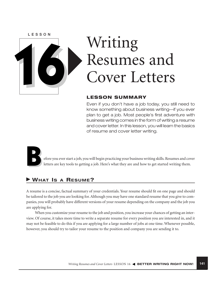**LESSON**



# Writing Resumes and Cover Letters

#### **LESSON SUMMARY**

Even if you don't have a job today, you still need to know something about business writing—if you ever plan to get a job. Most people's first adventure with business writing comes in the form of writing a resume and cover letter. In this lesson, you will learn the basics of resume and cover letter writing.

**B**

efore you ever start a job, you will begin practicing your business writing skills. Resumes and cover letters are key tools to getting a job. Here's what they are and how to get started writing them.

# - **WHAT IS A RESUME?**

A resume is a concise, factual summary of your credentials. Your resume should fit on one page and should be tailored to the job you are looking for. Although you may have one standard resume that you give to companies, you will probably have different versions of your resume depending on the company and the job you are applying for.

When you customize your resume to the job and position, you increase your chances of getting an interview. Of course, it takes more time to write a separate resume for every position you are interested in, and it may not be feasible to do this if you are applying for a large number of jobs at one time. Whenever possible, however, you should try to tailor your resume to the position and company you are sending it to.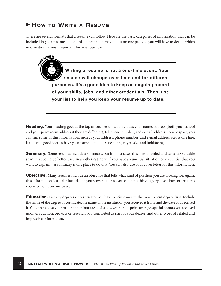### - **HOW TO WRITE A RESUME**

**<sup>O</sup>U<sup>T</sup> <sup>I</sup><sup>T</sup> <sup>B</sup><sup>A</sup> <sup>K</sup>**

**IN HT**

There are several formats that a resume can follow. Here are the basic categories of information that can be included in your resume—all of this information may not fit on one page, so you will have to decide which information is most important for your purpose.

> **Writing a resume is not a one-time event. Your resume will change over time and for different purposes. It's a good idea to keep an ongoing record of your skills, jobs, and other credentials. Then, use your list to help you keep your resume up to date.**

**Heading.** Your heading goes at the top of your resume. It includes your name, address (both your school and your permanent address if they are different), telephone number, and e-mail address. To save space, you can run some of this information, such as your address, phone number, and e-mail address across one line. It's often a good idea to have your name stand out: use a larger type size and boldfacing.

**Summary.** Some resumes include a summary, but in most cases this is not needed and takes up valuable space that could be better used in another category. If you have an unusual situation or credential that you want to explain—a summary is one place to do that. You can also use your cover letter for this information.

**Objective.** Many resumes include an objective that tells what kind of position you are looking for. Again, this information is usually included in your cover letter, so you can omit this category if you have other items you need to fit on one page.

**Education.** List any degrees or certificates you have received—with the most recent degree first. Include the name of the degree or certificate, the name of the institution you received it from, and the date you received it.You can also list your major and minor areas of study, your grade point average, special honors you received upon graduation, projects or research you completed as part of your degree, and other types of related and impressive information.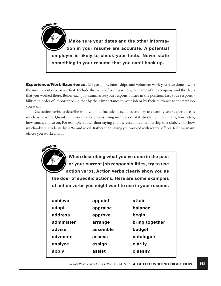

**Experience/Work Experience.** List past jobs, internships, and volunteer work you have done—with the most recent experience first. Include the name of your position, the name of the company, and the dates that you worked there. Below each job, summarize your responsibilities in the position. List your responsibilities in order of importance—either by their importance to your job or by their relevance to the new job you want.

Use action verbs to describe what you did. Include facts, dates, and try to quantify your experience as much as possible. Quantifying your experience is using numbers or statistics to tell how many, how often, how much, and so on. For example, rather than saying you increased the membership of a club, tell by how much—by 50 students, by 20%, and so on. Rather than saying you worked with several offices, tell how many offices you worked with.

| WRITING TIP |          |                                                                                                  |
|-------------|----------|--------------------------------------------------------------------------------------------------|
|             |          | When describing what you've done in the past<br>or your current job responsibilities, try to use |
|             |          | action verbs. Action verbs clearly show you as                                                   |
|             |          | the doer of specific actions. Here are some examples                                             |
|             |          | of action verbs you might want to use in your resume.                                            |
|             |          |                                                                                                  |
| achieve     | appoint  | attain                                                                                           |
| adapt       | appraise | balance                                                                                          |
| address     | approve  | begin                                                                                            |
| administer  | arrange  | bring together                                                                                   |
| advise      | assemble | budget                                                                                           |
| advocate    | assess   | catalogue                                                                                        |
| analyze     | assign   | clarify                                                                                          |
| apply       | assist   | classify                                                                                         |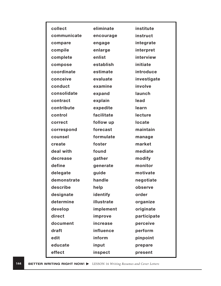| collect     | eliminate  | institute   |
|-------------|------------|-------------|
| communicate | encourage  | instruct    |
| compare     | engage     | integrate   |
| compile     | enlarge    | interpret   |
| complete    | enlist     | interview   |
| compose     | establish  | initiate    |
| coordinate  | estimate   | introduce   |
| conceive    | evaluate   | investigate |
| conduct     | examine    | involve     |
| consolidate | expand     | launch      |
| contract    | explain    | lead        |
| contribute  | expedite   | learn       |
| control     | facilitate | lecture     |
| correct     | follow up  | locate      |
| correspond  | forecast   | maintain    |
| counsel     | formulate  | manage      |
| create      | foster     | market      |
| deal with   | found      | mediate     |
| decrease    | gather     | modify      |
| define      | generate   | monitor     |
| delegate    | guide      | motivate    |
| demonstrate | handle     | negotiate   |
| describe    | help       | observe     |
| designate   | identify   | order       |
| determine   | illustrate | organize    |
| develop     | implement  | originate   |
| direct      | improve    | participate |
| document    | increase   | perceive    |
| draft       | influence  | perform     |
| edit        | inform     | pinpoint    |
| educate     | input      | prepare     |
| effect      | inspect    | present     |

**144 BETTER WRITING RIGHT NOW!** LESSON 16 *Writing Resumes and Cover Letters*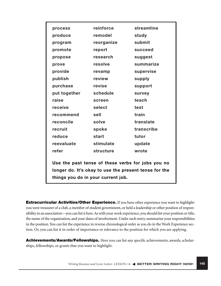| process                                                                                                                                          | reinforce  | streamline |
|--------------------------------------------------------------------------------------------------------------------------------------------------|------------|------------|
| produce                                                                                                                                          | remodel    | study      |
| program                                                                                                                                          | reorganize | submit     |
| promote                                                                                                                                          | report     | succeed    |
| propose                                                                                                                                          | research   | suggest    |
| prove                                                                                                                                            | resolve    | summarize  |
| provide                                                                                                                                          | revamp     | supervise  |
| publish                                                                                                                                          | review     | supply     |
| purchase                                                                                                                                         | revise     | support    |
| put together                                                                                                                                     | schedule   | survey     |
| raise                                                                                                                                            | screen     | teach      |
| receive                                                                                                                                          | select     | test       |
| recommend                                                                                                                                        | sell       | train      |
| reconcile                                                                                                                                        | solve      | translate  |
| recruit                                                                                                                                          | spoke      | transcribe |
| reduce                                                                                                                                           | start      | tutor      |
| reevaluate                                                                                                                                       | stimulate  | update     |
| refer                                                                                                                                            | structure  | wrote      |
| Use the past tense of these verbs for jobs you no<br>longer do. It's okay to use the present tense for the<br>things you do in your current job. |            |            |

**Extracurricular Activities/Other Experience.** If you have other experience you want to highlight: you were treasurer of a club, a member of student government, or held a leadership or other position of responsibility in an association—you can list it here. As with your work experience, you should list your position or title, the name of the organization, and your dates of involvement. Under each entry, summarize your responsibilities in the position. You can list the experience in reverse chronological order as you do in the Work Experience section. Or, you can list it in order of importance or relevance to the position for which you are applying.

**Achievements/Awards/Fellowships.** Here you can list any specific achievements, awards, scholarships, fellowships, or grants that you want to highlight.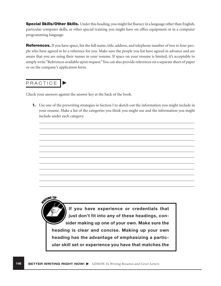**Special Skills/Other Skills.** Under this heading, you might list fluency in a language other than English, particular computer skills, or other special training you might have on office equipment or in a computer programming language.

**References.** If you have space, list the full name, title, address, and telephone number of two to four people who have agreed to be a reference for you. Make sure the people you list have agreed in advance and are aware that you are using their names in your resume. If space on your resume is limited, it's acceptable to simply write "References available upon request."You can also provide references on a separate sheet of paper or on the company's application form.

# **PRACTICE**

Check your answers against the answer key at the back of the book.

**1.** Use one of the prewriting strategies in Section I to sketch out the information you might include in your resume. Make a list of the categories you think you might use and the information you might include under each category.

**If you have experience or credentials that just don't fit into any of these headings, consider making up one of your own. Make sure the heading is clear and concise. Making up your own heading has the advantage of emphasizing a particular skill set or experience you have that matches the NRITING TIP**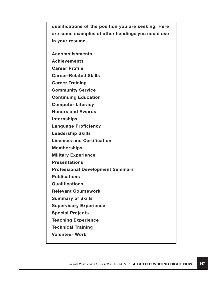**qualifications of the position you are seeking. Here are some examples of other headings you could use in your resume. Accomplishments Achievements Career Profile Career-Related Skills Career Training Community Service Continuing Education Computer Literacy Honors and Awards Internships Language Proficiency Leadership Skills Licenses and Certification Memberships Military Experience Presentations Professional Development Seminars Publications Qualifications Relevant Coursework Summary of Skills Supervisory Experience Special Projects Teaching Experience Technical Training Volunteer Work**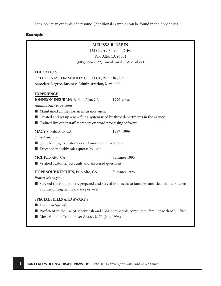Let's look at an example of a resume. (Additional examples can be found in the Appendix.)

#### **Example**

| <b>MELISSA R. RABIN</b>                                                                     |                                                                                          |  |
|---------------------------------------------------------------------------------------------|------------------------------------------------------------------------------------------|--|
| 123 Cherry Blossom Drive                                                                    |                                                                                          |  |
| Palo Alto, CA 94304                                                                         |                                                                                          |  |
|                                                                                             | (605) 555-7122, e-mail: mrabin@email.net                                                 |  |
| <b>EDUCATION</b>                                                                            |                                                                                          |  |
| CALIFORNIA COMMUNITY COLLEGE, Palo Alto, CA                                                 |                                                                                          |  |
| Associate Degree, Business Administration, May 1999                                         |                                                                                          |  |
| <b>EXPERIENCE</b>                                                                           |                                                                                          |  |
| <b>JOHNSON INSURANCE, Palo Alto, CA</b><br>Administrative Assistant                         | 1999-present                                                                             |  |
| Maintained all files for an insurance agency                                                |                                                                                          |  |
| ■ Created and set up a new filing system used by three departments in the agency            |                                                                                          |  |
| Trained five other staff members on word processing software                                |                                                                                          |  |
| MACY'S, Palo Alto, CA                                                                       | 1997-1999                                                                                |  |
| Sales Associate                                                                             |                                                                                          |  |
| Sold clothing to customers and monitored inventory                                          |                                                                                          |  |
| Exceeded monthly sales quotas by 12%                                                        |                                                                                          |  |
| MCI, Palo Alto, CA                                                                          | Summer 1996                                                                              |  |
| ■ Verified customer accounts and answered questions                                         |                                                                                          |  |
| HOPE SOUP KITCHEN, Palo Alto, CA                                                            | Summer 1996                                                                              |  |
| Project Manager                                                                             |                                                                                          |  |
| Stocked the food pantry, prepared and served hot meals to families, and cleaned the kitchen |                                                                                          |  |
| and the dining hall two days per week                                                       |                                                                                          |  |
| SPECIAL SKILLS AND AWARDS                                                                   |                                                                                          |  |
| Fluent in Spanish                                                                           |                                                                                          |  |
|                                                                                             | Proficient in the use of Macintosh and IBM-compatible computers; familiar with MS Office |  |
| Most Valuable Team Player Award, MCI (July 1996)                                            |                                                                                          |  |
|                                                                                             |                                                                                          |  |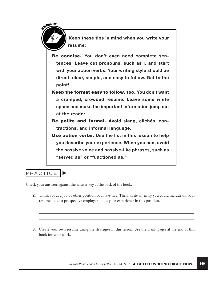

# PRACTICE

Check your answers against the answer key at the back of the book.

- **2.** Think about a job or other position you have had. Then, write an entry you could include on your resume to tell a prospective employer about your experience in this position.
- **3.** Create your own resume using the strategies in this lesson. Use the blank pages at the end of this book for your work.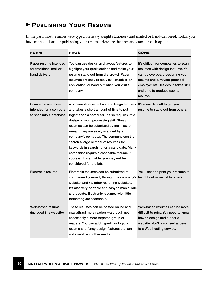In the past, most resumes were typed on heavy weight stationery and mailed or hand-delivered. Today, you have more options for publishing your resume. Here are the pros and cons for each option.

| <b>FORM</b>                                                       | <b>PROS</b>                                                                                                                                                                                                                                                                                                                                                                                                                                                                                                                                                                        | <b>CONS</b>                                                                                                                                                                                                                      |
|-------------------------------------------------------------------|------------------------------------------------------------------------------------------------------------------------------------------------------------------------------------------------------------------------------------------------------------------------------------------------------------------------------------------------------------------------------------------------------------------------------------------------------------------------------------------------------------------------------------------------------------------------------------|----------------------------------------------------------------------------------------------------------------------------------------------------------------------------------------------------------------------------------|
| Paper resume intended<br>for traditional mail or<br>hand delivery | You can use design and layout features to<br>highlight your qualifications and make your<br>resume stand out from the crowd. Paper<br>resumes are easy to mail, fax, attach to an<br>application, or hand out when you visit a<br>company.                                                                                                                                                                                                                                                                                                                                         | It's difficult for companies to scan<br>resumes with design features. You<br>can go overboard designing your<br>resume and turn your potential<br>employer off. Besides, it takes skill<br>and time to produce such a<br>resume. |
| Scannable resume-<br>to scan into a database                      | A scannable resume has few design features It's more difficult to get your<br>intended for a computer and takes a short amount of time to put<br>together on a computer. It also requires little<br>design or word processing skill. These<br>resumes can be submitted by mail, fax, or<br>e-mail. They are easily scanned by a<br>company's computer. The company can then<br>search a large number of resumes for<br>keywords in searching for a candidate. Many<br>companies require a scannable resume. If<br>yours isn't scannable, you may not be<br>considered for the job. | resume to stand out from others.                                                                                                                                                                                                 |
| Electronic resume                                                 | Electronic resumes can be submitted to<br>companies by e-mail, through the company's hand it out or mail it to others.<br>website, and via other recruiting websites.<br>It's also very portable and easy to manipulate<br>and update. Electronic resumes with little<br>formatting are scannable.                                                                                                                                                                                                                                                                                 | You'll need to print your resume to                                                                                                                                                                                              |
| Web-based resume<br>(included in a website)                       | These resumes can be posted online and<br>may attract more readers - although not<br>necessarily a more targeted group of<br>readers. You can add hyperlinks to your<br>resume and fancy design features that are<br>not available in other media.                                                                                                                                                                                                                                                                                                                                 | Web-based resumes can be more<br>difficult to print. You need to know<br>how to design and author a<br>website. You'll also need access<br>to a Web hosting service.                                                             |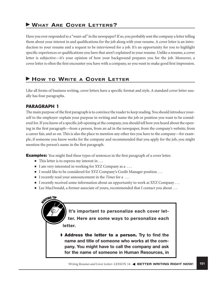# **EXAMPLE OF STATE IN EXAMPLE PROPER THE PROPER STATE**

Have you ever responded to a "want-ad"in the newspaper? If so, you probably sent the company a letter telling them about your interest in and qualifications for the job along with your resume. A cover letter is an introduction to your resume and a request to be interviewed for a job. It's an opportunity for you to highlight specific experiences or qualifications you have that aren't explained in your resume. Unlike a resume, a cover letter is subjective—it's your opinion of how your background prepares you for the job. Moreover, a cover letter is often the first encounter you have with a company, so you want to make good first impression.

### - **HOW TO WRITE A COVER LETTER**

Like all forms of business writing, cover letters have a specific format and style. A standard cover letter usually has four paragraphs.

#### **PARAGRAPH 1**

The main purpose of the first paragraph is to convince the reader to keep reading.You should introduce yourself to the employer: explain your purpose in writing and name the job or position you want to be considered for. If you know of a specific job opening at the company, you should tell how you heard about the opening in the first paragraph—from a person, from an ad in the newspaper, from the company's website, from a career fair, and so on. This is also the place to mention any other ties you have to the company—for example, if someone you know works for the company and recommended that you apply for the job, you might mention the person's name in the first paragraph.

**Examples:** You might find these types of sentences in the first paragraph of a cover letter.

- This letter is to express my interest in . . .
- I am very interested in working for XYZ Company as a ...
- I would like to be considered for XYZ Company's Credit Manager position . . .
- I recently read your announcement in the *Times* for a ...
- I recently received some information about an opportunity to work at XYZ Company . . .
- Lee MacDonald, a former associate of yours, recommended that I contact you about . . .

**It's important to personalize each cover letter. Here are some ways to personalize each letter.** ➧ **Address the letter to a person. Try to find the name and title of someone who works at the company. You might have to call the company and ask for the name of someone in Human Resources, in NRITING TIP**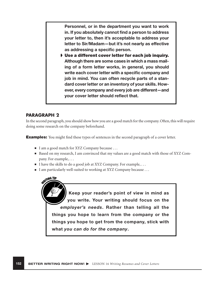**Personnel, or in the department you want to work in. If you absolutely cannot find a person to address your letter to, then it's acceptable to address your letter to Sir/Madam—but it's not nearly as effective as addressing a specific person.**

➧ **Use a different cover letter for each job inquiry. Although there are some cases in which a mass mailing of a form letter works, in general, you should write each cover letter with a specific company and job in mind. You can often recycle parts of a standard cover letter or an inventory of your skills. However, every company and every job are different—and your cover letter should reflect that.**

#### **PARAGRAPH 2**

In the second paragraph, you should show how you are a good match for the company. Often, this will require doing some research on the company beforehand.

**Examples:** You might find these types of sentences in the second paragraph of a cover letter.

- I am a good match for XYZ Company because . . .
- Based on my research, I am convinced that my values are a good match with those of XYZ Company. For example,...
- I have the skills to do a good job at XYZ Company. For example,  $\dots$
- I am particularly well-suited to working at XYZ Company because . . .

### **RITING TIP**

**W**

**Keep your reader's point of view in mind as you write. Your writing should focus on the** *employer's needs***. Rather than telling all the things you hope to learn from the company or the things you hope to get from the company, stick with what** *you can do for the company***.**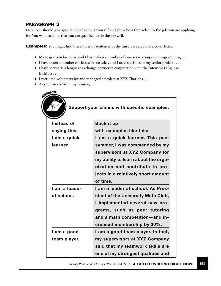#### **PARAGRAPH 3**

Here, you should give specific details about yourself and show how they relate to the job you are applying for. You want to show that you are qualified to do the job well.

**Examples:** You might find these types of sentences in the third paragraph of a cover letter.

- My major is in business, and I have taken a number of courses in computer programming . . .
- I have taken a number of classes in statistics, and I used statistics in my senior project . . .
- I have served as a language exchange partner in conjunction with the Intensive Language Institute . . .
- I recruited volunteers for and managed a project at XYZ Charities . . .
- As you can see from my resume, . . .

| WRITING TIP                                 |                                     |  |  |
|---------------------------------------------|-------------------------------------|--|--|
| Support your claims with specific examples. |                                     |  |  |
| <b>Instead of</b>                           | <b>Back it up</b>                   |  |  |
| saying this:                                | with examples like this:            |  |  |
| I am a quick                                | I am a quick learner. This past     |  |  |
| learner.                                    | summer, I was commended by my       |  |  |
|                                             | supervisors at XYZ Company for      |  |  |
|                                             | my ability to learn about the orga- |  |  |
|                                             | nization and contribute to pro-     |  |  |
|                                             | jects in a relatively short amount  |  |  |
|                                             | of time.                            |  |  |
| I am a leader                               | I am a leader at school. As Pres-   |  |  |
| at school.                                  | ident of the University Math Club,  |  |  |
|                                             | I implemented several new pro-      |  |  |
|                                             | grams, such as peer tutoring        |  |  |
|                                             | and a math competition-and in-      |  |  |
|                                             | creased membership by 30%.          |  |  |
| I am a good                                 | I am a good team player. In fact,   |  |  |
| team player.                                | my supervisors at XYZ Company       |  |  |
|                                             | said that my teamwork skills are    |  |  |
|                                             | one of my strongest qualities and   |  |  |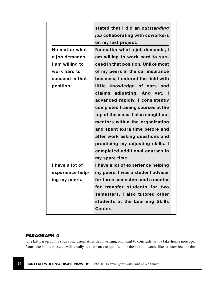|                  | stated that I did an outstanding<br>job collaborating with coworkers<br>on my last project. |
|------------------|---------------------------------------------------------------------------------------------|
|                  |                                                                                             |
| No matter what   | No matter what a job demands, I                                                             |
| a job demands,   | am willing to work hard to suc-                                                             |
| I am willing to  | ceed in that position. Unlike most                                                          |
| work hard to     | of my peers in the car insurance                                                            |
| succeed in that  | business, I entered the field with                                                          |
| position.        | little knowledge of cars and                                                                |
|                  | claims adjusting. And yet, I                                                                |
|                  | advanced rapidly. I consistently                                                            |
|                  | completed training courses at the                                                           |
|                  | top of the class. I also sought out                                                         |
|                  | mentors within the organization                                                             |
|                  | and spent extra time before and                                                             |
|                  | after work asking questions and                                                             |
|                  | practicing my adjusting skills. I                                                           |
|                  |                                                                                             |
|                  | completed additional courses in                                                             |
|                  | my spare time.                                                                              |
| I have a lot of  | I have a lot of experience helping                                                          |
| experience help- | my peers. I was a student adviser                                                           |
| ing my peers.    | for three semesters and a mentor                                                            |
|                  | for transfer students for two                                                               |
|                  | semesters. I also tutored other                                                             |
|                  | students at the Learning Skills                                                             |
|                  | Center.                                                                                     |

#### **PARAGRAPH 4**

The last paragraph is your conclusion. As with all writing, you want to conclude with a take-home message. Your take-home message will usually be that you are qualified for the job and would like to interview for the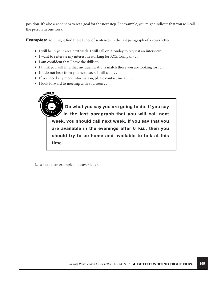position. It's also a good idea to set a goal for the next step. For example, you might indicate that you will call the person in one week.

**Examples:** You might find these types of sentences in the last paragraph of a cover letter.

- I will be in your area next week. I will call on Monday to request an interview . . .
- I want to reiterate my interest in working for XYZ Company . . .
- I am confident that I have the skills to . . .
- $\blacksquare$  I think you will find that my qualifications match those you are looking for ...
- If I do not hear from you next week, I will call . . .
- If you need any more information, please contact me at . . .
- I look forward to meeting with you soon . . .

**<sup>O</sup>U<sup>T</sup> <sup>I</sup><sup>T</sup> <sup>B</sup><sup>A</sup> <sup>K</sup>**

**IN HT**

**Do what you say you are going to do. If you say in the last paragraph that you will call next week, you should call next week. If you say that you are available in the evenings after 6 P.M., then you should try to be home and available to talk at this time.**

Let's look at an example of a cover letter.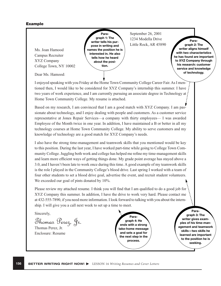#### **Example**

Ms. Joan Hamood Campus Recruiter XYZ Company College Town, NY 10002

Dear Ms. Hamood:

**Paragraph 1: The writer tells his purpose in writing and names the position he is interested in. He also tells how he heard about the position.** 

September 26, 2001 1234 Modella Drive Little Rock, AR 45890

**Paragraph 2: The writer aligns himself with two characteristics he has found are important to XYZ Company through his research: customer service and knowledge of technology.**

I enjoyed speaking with you Friday at the Home Town Community College Career Fair. As I mentioned then, I would like to be considered for XYZ Company's internship this summer. I have two years of work experience, and I am currently pursuing an associate degree in Technology at: Home Town Community College. My resume is attached.

Based on my research, I am convinced that I am a good match with XYZ Company. I am passionate about technology, and I enjoy dealing with people and customers. As a customer service representative at Jones Repair Services—a company with thirty employees— I was awarded Employee of the Month twice in one year. In addition, I have maintained a B or better in all my technology courses at Home Town Community College. My ability to serve customers and my knowledge of technology are a good match for XYZ Company's needs.

I also have the strong time-management and teamwork skills that you mentioned would be key to this position. During the last year, I have worked part-time while going to College Town Community College. Juggling both work and college has helped me refine my time-management skills and learn more efficient ways of getting things done. My grade point average has stayed above a 3.0, and I haven't been late to work once during this time. A good example of my teamwork skills is the role I played in the Community College's blood drive. Last spring I worked with a team of four other students to set a blood drive goal, advertise the event, and recruit student volunteers. We exceeded our goal of pints donated by  $10\%$ .

Please review my attached resume. I think you will find that I am qualified to do a good job for XYZ Company this summer. In addition, I have the drive to work very hard. Please contact me at 432-555-7890, if you need more information. I look forward to talking with you about the internship. I will give you a call next week to set up a time to meet.

Sincerely,

Thomas Perez, Jr.

Thomas Perez, Jr. Enclosure: Resume

**Paragraph 4: He ends with a strong take-home message and sets a goal for the next step in the process.**

**Paragraph 3: The writer gives examples of his time-management and teamwork skills—two skills he learned are important to the position he is seeking.**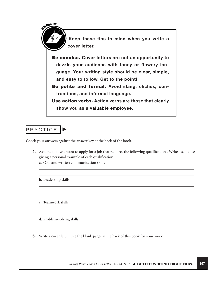

# PRACTICE

Check your answers against the answer key at the back of the book.

- **4.** Assume that you want to apply for a job that requires the following qualifications. Write a sentence giving a personal example of each qualification.
	- **a.** Oral and written communication skills
	- **b.** Leadership skills
	- **c.** Teamwork skills
	- **d.** Problem-solving skills
- **5.** Write a cover letter. Use the blank pages at the back of this book for your work.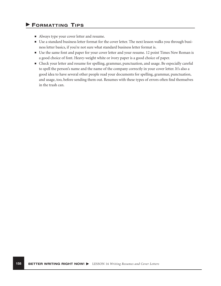#### - **FORMATTING TIPS**

- Always type your cover letter and resume.
- Use a standard business letter format for the cover letter. The next lesson walks you through business letter basics, if you're not sure what standard business letter format is.
- Use the same font and paper for your cover letter and your resume. 12 point Times New Roman is a good choice of font. Heavy-weight white or ivory paper is a good choice of paper.
- Check your letter and resume for spelling, grammar, punctuation, and usage. Be especially careful to spell the person's name and the name of the company correctly in your cover letter. It's also a good idea to have several other people read your documents for spelling, grammar, punctuation, and usage, too, before sending them out. Resumes with these types of errors often find themselves in the trash can.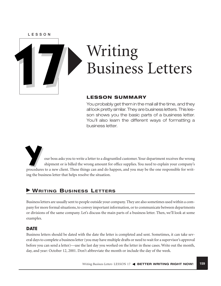**LESSON**



# Writing Business Letters

#### **LESSON SUMMARY**

You probably get them in the mail all the time, and they all look pretty similar. They are business letters. This lesson shows you the basic parts of a business letter. You'll also learn the different ways of formatting a business letter.

our boss asks you to write a letter to a disgruntled customer. Your department receives the wrong shipment or is billed the wrong amount for office supplies. You need to explain your company's procedures to a new client. These things can and do happen, and you may be the one responsible for writ-<br> **Procedures** to a new client. These things can and do happen, and you may be the one responsible for writing the business letter that helps resolve the situation.

# - **WRITING BUSINESS LETTERS**

Business letters are usually sent to people outside your company. They are also sometimes used within a company for more formal situations, to convey important information, or to communicate between departments or divisions of the same company. Let's discuss the main parts of a business letter. Then, we'll look at some examples.

#### **DATE**

Business letters should be dated with the date the letter is completed and sent. Sometimes, it can take several days to complete a business letter (you may have multiple drafts or need to wait for a supervisor's approval before you can send a letter)—use the last day you worked on the letter in these cases. Write out the month, day, and year: October 12, 2001. Don't abbreviate the month or include the day of the week.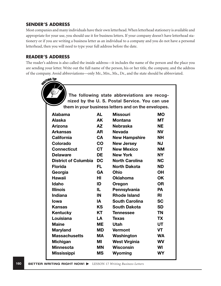#### **SENDER'S ADDRESS**

Most companies and many individuals have their own letterhead. When letterhead stationery is available and appropriate for your use, you should use it for business letters. If your company doesn't have letterhead stationery or if you are writing a business letter as an individual to a company and you do not have a personal letterhead, then you will need to type your full address before the date.

#### **READER'S ADDRESS**

The reader's address is also called the inside address—it includes the name of the person and the place you are sending your letter. Write out the full name of the person, his or her title, the company, and the address of the company. Avoid abbreviations—only Mr., Mrs., Ms., Dr., and the state should be abbreviated.

| WRITING IIP<br>The following state abbreviations are recog-<br>nized by the U. S. Postal Service. You can use<br>them in your business letters and on the envelopes. |           |                       |           |
|----------------------------------------------------------------------------------------------------------------------------------------------------------------------|-----------|-----------------------|-----------|
| <b>Alabama</b>                                                                                                                                                       | <b>AL</b> | <b>Missouri</b>       | <b>MO</b> |
| <b>Alaska</b>                                                                                                                                                        | <b>AK</b> | <b>Montana</b>        | <b>MT</b> |
| <b>Arizona</b>                                                                                                                                                       | <b>AZ</b> | <b>Nebraska</b>       | <b>NE</b> |
| <b>Arkansas</b>                                                                                                                                                      | <b>AR</b> | <b>Nevada</b>         | <b>NV</b> |
| California                                                                                                                                                           | <b>CA</b> | <b>New Hampshire</b>  | <b>NH</b> |
| Colorado                                                                                                                                                             | CO        | <b>New Jersey</b>     | <b>NJ</b> |
| <b>Connecticut</b>                                                                                                                                                   | <b>CT</b> | <b>New Mexico</b>     | <b>NM</b> |
| <b>Delaware</b>                                                                                                                                                      | <b>DE</b> | <b>New York</b>       | <b>NY</b> |
| <b>District of Columbia</b>                                                                                                                                          | <b>DC</b> | <b>North Carolina</b> | <b>NC</b> |
| <b>Florida</b>                                                                                                                                                       | FL.       | <b>North Dakota</b>   | <b>ND</b> |
| Georgia                                                                                                                                                              | <b>GA</b> | <b>Ohio</b>           | <b>OH</b> |
| <b>Hawaii</b>                                                                                                                                                        | HI        | <b>Oklahoma</b>       | <b>OK</b> |
| <b>Idaho</b>                                                                                                                                                         | ID        | Oregon                | <b>OR</b> |
| <b>Illinois</b>                                                                                                                                                      | IL.       | Pennsylvania          | <b>PA</b> |
| <b>Indiana</b>                                                                                                                                                       | <b>IN</b> | <b>Rhode Island</b>   | <b>RI</b> |
| lowa                                                                                                                                                                 | IA        | <b>South Carolina</b> | <b>SC</b> |
| <b>Kansas</b>                                                                                                                                                        | <b>KS</b> | <b>South Dakota</b>   | <b>SD</b> |
| <b>Kentucky</b>                                                                                                                                                      | <b>KT</b> | <b>Tennessee</b>      | <b>TN</b> |
| Louisiana                                                                                                                                                            | LA        | <b>Texas</b>          | <b>TX</b> |
| <b>Maine</b>                                                                                                                                                         | <b>ME</b> | <b>Utah</b>           | <b>UT</b> |
| <b>Maryland</b>                                                                                                                                                      | <b>MD</b> | <b>Vermont</b>        | <b>VT</b> |
| <b>Massachusetts</b>                                                                                                                                                 | <b>MA</b> | Washington            | <b>WA</b> |
| <b>Michigan</b>                                                                                                                                                      | ΜI        | <b>West Virginia</b>  | <b>WV</b> |
| <b>Minnesota</b>                                                                                                                                                     | <b>MN</b> | <b>Wisconsin</b>      | WI        |
| <b>Mississippi</b>                                                                                                                                                   | <b>MS</b> | Wyoming               | <b>WY</b> |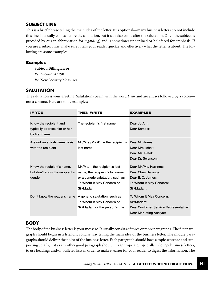#### **SUBJECT LINE**

This is a brief phrase telling the main idea of the letter. It is optional—many business letters do not include this line. It usually comes before the salutation, but it can also come after the salutation. Often the subject is preceded by *re:* (an abbreviation for *regarding*) and is sometimes underlined or boldfaced for emphasis. If you use a subject line, make sure it tells your reader quickly and effectively what the letter is about. The following are some examples.

#### **Examples**

**Subject: Billing Error**

*Re:* Account #3290

*Re:* New Security Measures

#### **SALUTATION**

The salutation is your greeting. Salutations begin with the word *Dear* and are always followed by a colon not a comma. Here are some examples:

| <b>IF YOU</b>                  | THEN WRITE                         | <b>EXAMPLES</b>                       |
|--------------------------------|------------------------------------|---------------------------------------|
| Know the recipient and         | The recipient's first name         | Dear Jo Ann:                          |
| typically address him or her   |                                    | Dear Sameer:                          |
| by first name                  |                                    |                                       |
| Are not on a first-name basis  | $Mr.Mrs.Ms.JDr. +$ the recipient's | Dear Mr. Jones:                       |
| with the recipient             | last name                          | Dear Mrs. Ishak:                      |
|                                |                                    | Dear Ms. Patel:                       |
|                                |                                    | Dear Dr. Swenson:                     |
| Know the recipient's name,     | Mr./Ms. + the recipient's last     | Dear Mr./Ms. Harrings:                |
| but don't know the recipient's | name, the recipient's full name,   | Dear Chris Harrings:                  |
| gender                         | or a generic salutation, such as   | Dear E. C. James:                     |
|                                | To Whom It May Concern or          | To Whom It May Concern:               |
|                                | Sir/Madam                          | Sir/Madam:                            |
| Don't know the reader's name   | A generic salutation, such as      | To Whom It May Concern:               |
|                                | To Whom It May Concern or          | Sir/Madam:                            |
|                                | Sir/Madam or the person's title    | Dear Customer Service Representative: |
|                                |                                    | Dear Marketing Analyst:               |

#### **BODY**

The body of the business letter is your message. It usually consists of three or more paragraphs. The first paragraph should begin in a friendly, concise way telling the main idea of the business letter. The middle paragraphs should deliver the point of the business letter. Each paragraph should have a topic sentence and supporting details, just as any other good paragraph should. It's appropriate, especially in longer business letters, to use headings and/or bulleted lists in order to make it easier for your reader to digest the information. The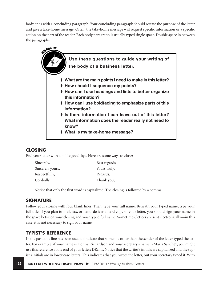body ends with a concluding paragraph. Your concluding paragraph should restate the purpose of the letter and give a take-home message. Often, the take-home message will request specific information or a specific action on the part of the reader. Each body paragraph is usually typed single space. Double space in between the paragraphs.



#### **CLOSING**

End your letter with a polite good-bye. Here are some ways to close:

| Sincerely,       | Best regards, |
|------------------|---------------|
| Sincerely yours, | Yours truly,  |
| Respectfully,    | Regards,      |
| Cordially,       | Thank you,    |

Notice that only the first word is capitalized. The closing is followed by a comma.

#### **SIGNATURE**

Follow your closing with four blank lines. Then, type your full name. Beneath your typed name, type your full title. If you plan to mail, fax, or hand-deliver a hard copy of your letter, you should sign your name in the space between your closing and your typed full name. Sometimes, letters are sent electronically—in this case, it is not necessary to sign your name.

#### **TYPIST'S REFERENCE**

In the past, this line has been used to indicate that someone other than the sender of the letter typed the letter. For example, if your name is Donna Richardson and your secretary's name is Maria Sanchez, you might use this reference at the end of your letter: DR/ms. Notice that the writer's initials are capitalized and the typist's initials are in lower case letters. This indicates that you wrote the letter, but your secretary typed it. With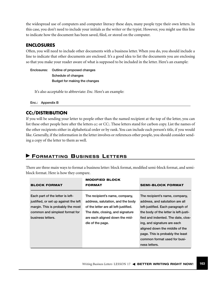the widespread use of computers and computer literacy these days, many people type their own letters. In this case, you don't need to include your initials as the writer or the typist. However, you might use this line to indicate how the document has been saved, filed, or stored on the computer.

#### **ENCLOSURES**

Often, you will need to include other documents with a business letter. When you do, you should include a line to indicate that other documents are enclosed. It's a good idea to list the documents you are enclosing so that you make your reader aware of what is supposed to be included in the letter. Here's an example:

**Enclosures: Outline of proposed changes Schedule of changes Budget for making the changes**

It's also acceptable to abbreviate: *Enc.* Here's an example:

**Enc.: Appendix B**

#### **CC:/DISTRIBUTION**

If you will be sending your letter to people other than the named recipient at the top of the letter, you can list these other people here after the letters cc: or CC:. These letters stand for carbon copy. List the names of the other recipients either in alphabetical order or by rank. You can include each person's title, if you would like. Generally, if the information in the letter involves or references other people, you should consider sending a copy of the letter to them as well.

#### - **FORMATTING BUSINESS LETTERS**

There are three main ways to format a business letter: block format, modified semi-block format, and semiblock format. Here is how they compare.

|                                                                                                                                                                       | <b>MODIFIED BLOCK</b>                                                                                                                                                                                  |                                                                                                                                                                                                                                                        |
|-----------------------------------------------------------------------------------------------------------------------------------------------------------------------|--------------------------------------------------------------------------------------------------------------------------------------------------------------------------------------------------------|--------------------------------------------------------------------------------------------------------------------------------------------------------------------------------------------------------------------------------------------------------|
| <b>BLOCK FORMAT</b>                                                                                                                                                   | <b>FORMAT</b>                                                                                                                                                                                          | <b>SEMI-BLOCK FORMAT</b>                                                                                                                                                                                                                               |
| Each part of the letter is left-<br>justified, or set up against the left<br>margin. This is probably the most<br>common and simplest format for<br>business letters. | The recipient's name, company,<br>address, salutation, and the body<br>of the letter are all left-justified.<br>The date, closing, and signature<br>are each aligned down the mid-<br>dle of the page. | The recipient's name, company,<br>address, and salutation are all<br>left-justified. Each paragraph of<br>the body of the letter is left-justi-<br>fied and indented. The date, clos-<br>ing, and signature are each<br>aligned down the middle of the |
|                                                                                                                                                                       |                                                                                                                                                                                                        | page. This is probably the least<br>common format used for busi-                                                                                                                                                                                       |
|                                                                                                                                                                       |                                                                                                                                                                                                        | ness letters.                                                                                                                                                                                                                                          |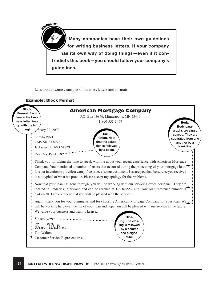

Let's look at some examples of business letters and formats.

#### **Example: Block Format**

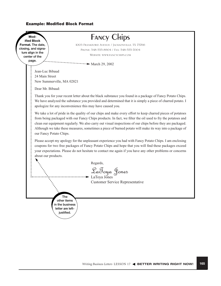#### **Example: Modified Block Format**

Fancy Chips 1003 Frankford Avenue / Jacksonville, TX 75766 Phone: 548-555-8904 / Fax: 548-555-7004 Website: www.fancychips.com  $\cdots$  March 29, 2002 Jean-Luc Bibaud 24 Main Street New Summerville, MA 02821 Dear Mr. Bibaud: Thank you for your recent letter about the black substance you found in a package of Fancy Potato Chips. We have analyzed the substance you provided and determined that it is simply a piece of charred potato. I apologize for any inconvenience this may have caused you. We take a lot of pride in the quality of our chips and make every effort to keep charred pieces of potatoes from being packaged with our Fancy Chips products. In fact, we filter the oil used to fry the potatoes and clean our equipment regularly. We also carry out visual inspections of our chips before they are packaged. Although we take these measures, sometimes a piece of burned potato will make its way into a package of our Fancy Potato Chips. Please accept my apology for the unpleasant experience you had with Fancy Potato Chips. I am enclosing coupons for two free packages of Fancy Potato Chips and hope that you will find these packages exceed your expectations. Please do not hesitate to contact me again if you have any other problems or concerns about our products. Regards, LaToya Jones LaToya Jones Customer Service Representative **Modified Block Format. The date, closing, and signature align in the center of the page. The other items in the business letter are leftjustified.**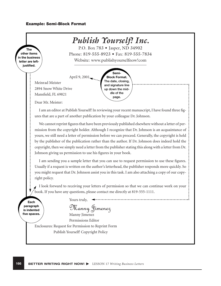#### **Example: Semi-Block Format**

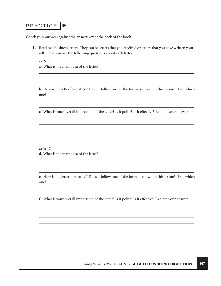#### PRACTICE  $\blacktriangleright$

Check your answers against the answer key at the back of the book.

**1.** Read two business letters. They can be letters that you received or letters that you have written yourself. Then, answer the following questions about each letter.

*Letter 1* **a.** What is the main idea of the letter?

**b.** How is the letter formatted? Does it follow one of the formats shown in this lesson? If so, which one?

**c.** What is your overall impression of the letter? Is it polite? Is it effective? Explain your answer.

*Letter 2* **d.** What is the main idea of the letter?

**e.** How is the letter formatted? Does it follow one of the formats shown in this lesson? If so, which one?

**f.** What is your overall impression of the letter? Is it polite? Is it effective? Explain your answer.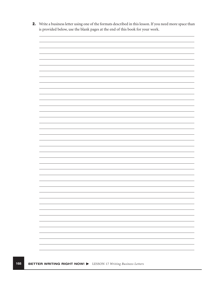**2.** Write a business letter using one of the formats described in this lesson. If you need more space than is provided below, use the blank pages at the end of this book for your work.

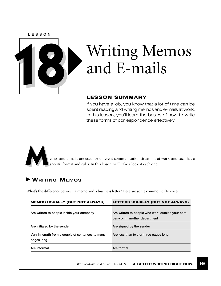**LESSON**



# Writing Memos and E-mails

#### **LESSON SUMMARY**

If you have a job, you know that a lot of time can be spent reading and writing memos and e-mails at work. In this lesson, you'll learn the basics of how to write these forms of correspondence effectively.



emos and e-mails are used for different communication situations at work, and each has a specific format and rules. In this lesson, we'll take a look at each one.

# - **WRITING MEMOS**

What's the difference between a memo and a business letter? Here are some common differences:

| <b>MEMOS USUALLY (BUT NOT ALWAYS)</b>                           | LETTERS USUALLY (BUT NOT ALWAYS)                                                  |
|-----------------------------------------------------------------|-----------------------------------------------------------------------------------|
| Are written to people inside your company                       | Are written to people who work outside your com-<br>pany or in another department |
| Are initialed by the sender                                     | Are signed by the sender                                                          |
| Vary in length from a couple of sentences to many<br>pages long | Are less than two or three pages long                                             |
| Are informal                                                    | Are formal                                                                        |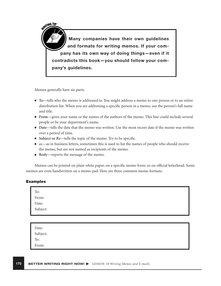

Memos generally have six parts.

- **To—tells** who the memo is addressed to. You might address a memo to one person or to an entire distribution list. When you are addressing a specific person in a memo, use the person's full name and title.
- **From—gives your name or the names of the authors of the memo. This line could include several** people or be your department's name.
- **Date**—tells the date that the memo was written. Use the most recent date if the memo was written over a period of time.
- **Subject or** *Re***—tells** the topic of the memo. Try to be specific.
- **cc—as** in business letters, sometimes this is used to list the names of people who should receive the memo, but are not named as recipients of the memo.
- **Body—reports the message of the memo.**

Memos can be printed on plain white paper, on a specific memo form, or on official letterhead. Some memos are even handwritten on a memo pad. Here are three common memo formats.

#### **Examples**

| To:      |  |  |  |
|----------|--|--|--|
| From:    |  |  |  |
| Date:    |  |  |  |
| Subject: |  |  |  |
|          |  |  |  |

| Date:    |  |  |
|----------|--|--|
| Subject: |  |  |
| To:      |  |  |
| From:    |  |  |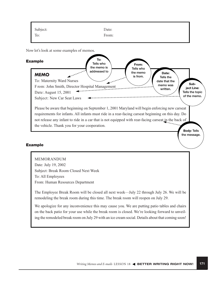| Subject: | Date: |
|----------|-------|
| To:      | From: |
|          |       |

Now let's look at some examples of memos.



## **Example**

## MEMORANDUM

Date: July 19, 2002 Subject: Break Room Closed Next Week To: All Employees From: Human Resources Department

The Employee Break Room will be closed all next week—July 22 through July 26. We will be remodeling the break room during this time. The break room will reopen on July 29.

We apologize for any inconvenience this may cause you. We are putting patio tables and chairs on the back patio for your use while the break room is closed. We're looking forward to unveiling the remodeled break room on July 29 with an ice cream social. Details about that coming soon!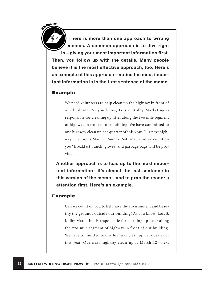**There is more than one approach to writing memos. A common approach is to dive right in—giving your most important information first. Then, you follow up with the details. Many people believe it is the most effective approach, too. Here's an example of this approach—notice the most important information is in the first sentence of the memo.**

#### **Example**

**NRITING TIP** 

We need volunteers to help clean up the highway in front of our building. As you know, Lois & Kolby Marketing is responsible for cleaning up litter along the two mile segment of highway in front of our building. We have committed to one highway clean up per quarter of this year. Our next highway clean up is March 12—next Saturday. Can we count on you? Breakfast, lunch, gloves, and garbage bags will be provided.

**Another approach is to lead up to the most important information—it's almost the last sentence in this version of the memo—and to grab the reader's attention first. Here's an example.**

#### **Example**

Can we count on you to help save the environment and beautify the grounds outside our building? As you know, Lois & Kolby Marketing is responsible for cleaning up litter along the two-mile segment of highway in front of our building. We have committed to one highway clean up per quarter of this year. Our next highway clean up is March 12—next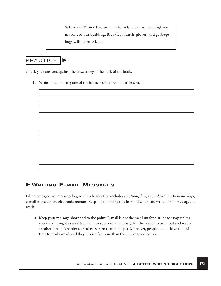Saturday. We need volunteers to help clean up the highway in front of our building. Breakfast, lunch, gloves, and garbage bags will be provided.

## PRACTICE P

Check your answers against the answer key at the back of the book.

**1.** Write a memo using one of the formats described in this lesson.

## - **WRITING E-MAIL MESSAGES**

Like memos, e-mail messages begin with a header that includes a *to, from, date,* and *subject* line. In many ways, e-mail messages are electronic memos. Keep the following tips in mind when you write e-mail messages at work.

■ **Keep your message short and to the point.** E-mail is not the medium for a 10-page essay, unless you are sending it as an attachment to your e-mail message for the reader to print out and read at another time. It's harder to read on screen than on paper. Moreover, people do not have a lot of time to read e-mail, and they receive far more than they'd like to every day.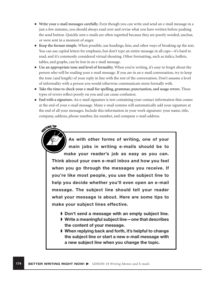- **Write your e-mail messages carefully.** Even though you can write and send an e-mail message in a just a few minutes, you should always read over and revise what you have written before pushing the send button. Quickly sent e-mails are often regretted because they are poorly worded, unclear, or were sent in a moment of anger.
- **Keep the format simple.** When possible, use headings, lists, and other ways of breaking up the text. You can use capital letters for emphasis, but don't type an entire message in all caps—it's hard to read, and it's commonly considered virtual shouting. Other formatting, such as italics, bullets, tables, and graphs, can be lost in an e-mail message.
- **Use an appropriate tone and level of formality.** When you're writing, it's easy to forget about the person who will be reading your e-mail message. If you are in an e-mail conversation, try to keep the tone (and length) of your reply in line with the rest of the conversation. Don't assume a level of informality with a person you would otherwise communicate more formally with.
- **Take the time to check your e-mail for spelling, grammar, punctuation, and usage errors.** These types of errors reflect poorly on you and can cause confusion.
- **End with a signature.** An e-mail signature is text containing your contact information that comes at the end of your e-mail message. Many e-mail systems will automatically add your signature at the end of all your messages. Include this information in your work signature: your name, title, company, address, phone number, fax number, and company e-mail address.

**As with other forms of writing, one of your main jobs in writing e-mails should be to make your reader's job as easy as you can. Think about your own e-mail inbox and how you feel when you go through the messages you receive. If you're like most people, you use the subject line to help you decide whether you'll even open an e-mail message. The subject line should tell your reader what your message is about. Here are some tips to make your subject lines effective. NRITING TIP** 

- ➧ **Don't send a message with an empty subject line.**
- ➧ **Write a meaningful subject line—one that describes the content of your message.**
- ➧ **When replying back and forth, it's helpful to change the subject line or start a new e-mail message with a new subject line when you change the topic.**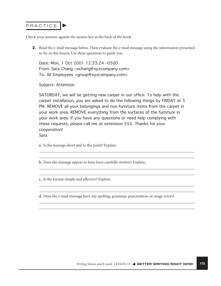## PRACTICE

Check your answers against the answer key at the back of the book.

**2.** Read the e-mail message below. Then evaluate the e-mail message using the information presented so far in this lesson. Use these questions to guide you.

Date: Mon, 1 Oct 2001 12:33:24 –0500 From: Sara Chang <schang@xyzcompany.com> To: All Employees <group@xyzcompany.com>

Subject: Attention

SATURDAY, we will be getting new carpet in our office. To help with the carpet installation, you are asked to do the following things by FRIDAY at 5 PM. REMOVE all your belongings and non-furniture items from the carpet in your work area. REMOVE everything from the surfaces of the furniture in your work area. If you have any questions or need help complying with these requests, please call me at extension 555. Thanks for your cooperation!

Sara

**a.** Is the message short and to the point? Explain.

**b.** Does the message appear to have been carefully written? Explain.

**c.** Is the format simple and effective? Explain.

**d.** Does the e-mail message have any spelling, grammar, punctuation, or usage errors?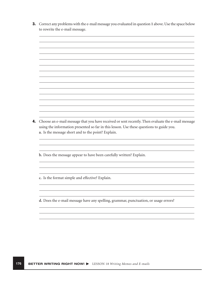**3.** Correct any problems with the e-mail message you evaluated in question **1** above. Use the space below to rewrite the e-mail message.



**d.** Does the e-mail message have any spelling, grammar, punctuation, or usage errors?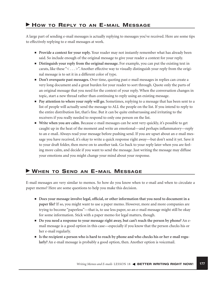## - **HOW TO REPLY TO AN E-MAIL MESSAGE**

A large part of sending e-mail messages is actually replying to messages you've received. Here are some tips to effectively replying to e-mail messages at work.

- **Provide a context for your reply.** Your reader may not instantly remember what has already been said. So include enough of the original message to give your reader a context for your reply.
- **Distinguish your reply from the original message.** For example, you can put the existing text in carats, like these " $\langle \ldots \rangle$ ". Another effective way to visually distinguish your reply from the original message is to set it in a different color of type.
- **Don't overquote past messages.** Over time, quoting past e-mail messages in replies can create a very long document and a great burden for your reader to sort through. Quote only the parts of an original message that you need for the context of your reply. When the conversation changes in topic, start a new thread rather than continuing to reply using an existing message.
- **Pay attention to where your reply will go.** Sometimes, replying to a message that has been sent to a list of people will actually send the message to ALL the people on the list. If you intend to reply to the entire distribution list, that's fine. But it can be quite embarrassing and irritating to the receivers if you really needed to respond to only one person on the list.
- Write when you are calm. Because e-mail messages can be sent very quickly, it's possible to get caught up in the heat of the moment and write an emotional—and perhaps inflammatory—reply to an e-mail. Always read your message before pushing send. If you are upset about an e-mail message you have received, it's okay to write a quick response right away—but don't send it yet. Save it to your draft folder, then move on to another task. Go back to your reply later when you are feeling more calm, and decide if you want to send the message. Just writing the message may diffuse your emotions and you might change your mind about your response.

## - **WHEN TO SEND AN E-MAIL MESSAGE**

E-mail messages are very similar to memos. So how do you know when to e-mail and when to circulate a paper memo? Here are some questions to help you make this decision.

- **Does your message involve legal, official, or other information that you need to document in a paper file?** If so, you might want to use a paper memo. However, more and more companies are trying to become "paperless"—that is, to use less paper, so an e-mail message might still be okay for some information. Stick with a paper memo for legal matters, though.
- **Do you need a response to your message right away, but can't reach the person by phone?** An email message is a good option in this case—especially if you know that the person checks his or her e-mail regularly.
- Is the recipient a person who is hard to reach by phone and who checks his or her e-mail regu**larly?** An e-mail message is probably a good option, then. Another option is voicemail.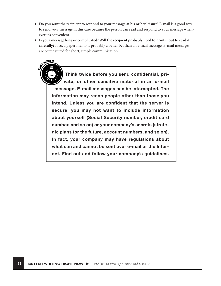- **Do you want the recipient to respond to your message at his or her leisure?** E-mail is a good way to send your message in this case because the person can read and respond to your message whenever it's convenient.
- **Is your message long or complicated? Will the recipient probably need to print it out to read it carefully?** If so, a paper memo is probably a better bet than an e-mail message. E-mail messages are better suited for short, simple communication.

**<sup>O</sup>U<sup>T</sup> <sup>I</sup><sup>T</sup> <sup>B</sup><sup>A</sup> <sup>K</sup>**

**IN HT**

**Think twice before you send confidential, private, or other sensitive material in an e-mail message. E-mail messages can be intercepted. The information may reach people other than those you intend. Unless you are confident that the server is secure, you may not want to include information about yourself (Social Security number, credit card number, and so on) or your company's secrets (strategic plans for the future, account numbers, and so on). In fact, your company may have regulations about what can and cannot be sent over e-mail or the Internet. Find out and follow your company's guidelines.**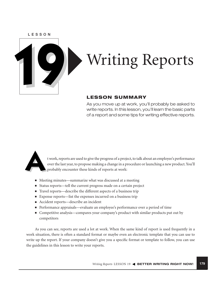

# Writing Reports

## **LESSON SUMMARY**

As you move up at work, you'll probably be asked to write reports. In this lesson, you'll learn the basic parts of a report and some tips for writing effective reports.



t work, reports are used to give the progress of a project, to talk about an employee's performance over the last year, to propose making a change in a procedure or launching a new product.You'll probably encounter these kinds of reports at work:

- Meeting minutes—summarize what was discussed at a meeting
- Status reports—tell the current progress made on a certain project
- Travel reports—describe the different aspects of a business trip
- Expense reports—list the expenses incurred on a business trip
- Accident reports—describe an incident
- Performance appraisals—evaluate an employee's performance over a period of time
- Competitive analysis—compares your company's product with similar products put out by competitors

As you can see, reports are used a lot at work. When the same kind of report is used frequently in a work situation, there is often a standard format or maybe even an electronic template that you can use to write up the report. If your company doesn't give you a specific format or template to follow, you can use the guidelines in this lesson to write your reports.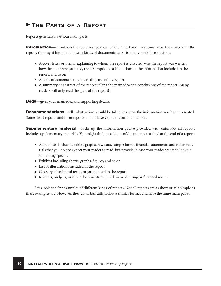## **FIGURE PARTS OF A REPORT**

Reports generally have four main parts:

**Introduction**—introduces the topic and purpose of the report and may summarize the material in the report. You might find the following kinds of documents as parts of a report's introduction.

- A cover letter or memo explaining to whom the report is directed, why the report was written, how the data were gathered, the assumptions or limitations of the information included in the report, and so on
- A table of contents listing the main parts of the report
- A summary or abstract of the report telling the main idea and conclusions of the report (many readers will only read this part of the report!)

**Body**—gives your main idea and supporting details.

**Recommendations**—tells what action should be taken based on the information you have presented. Some short reports and form reports do not have explicit recommendations.

**Supplementary material**—backs up the information you've provided with data. Not all reports include supplementary materials. You might find these kinds of documents attached at the end of a report.

- Appendices including tables, graphs, raw data, sample forms, financial statements, and other materials that you do not expect your reader to read, but provide in case your reader wants to look up something specific
- Exhibits including charts, graphs, figures, and so on
- List of illustrations included in the report
- Glossary of technical terms or jargon used in the report
- Receipts, budgets, or other documents required for accounting or financial review

Let's look at a few examples of different kinds of reports. Not all reports are as short or as a simple as these examples are. However, they do all basically follow a similar format and have the same main parts.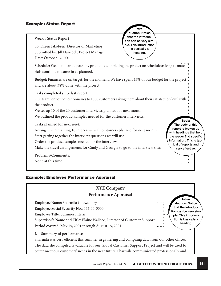## **Example: Status Report**



## **Example: Employee Performance Appraisal**

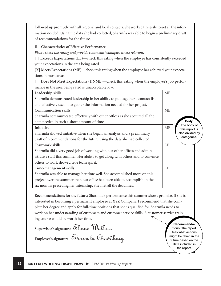followed up promptly with all regional and local contacts. She worked tirelessly to get all the information needed. Using the data she had collected, Sharmila was able to begin a preliminary draft of recommendations for the future.

## **II. Characteristics of Effective Performance**

*Please check the rating and provide comments/examples where relevant.*

**[ ] Exceeds Expectations (EE)**—check this rating when the employee has consistently exceeded your expectations in the area being rated.

**[X] Meets Expectations (ME)**—check this rating when the employee has achieved your expectations in most areas.

**[ ] Does Not Meet Expectations (DNME)**—check this rating when the employee's job performance in the area being rated is unacceptably low.

| Leadership skills                                                                 | <b>ME</b> |                               |
|-----------------------------------------------------------------------------------|-----------|-------------------------------|
| Sharmila demonstrated leadership in her ability to put together a contact list    |           |                               |
| and effectively used it to gather the information needed for her project.         |           |                               |
| <b>Communication skills</b>                                                       | ME        |                               |
| Sharmila communicated effectively with other offices as she acquired all the      |           |                               |
| data needed in such a short amount of time.                                       |           | Body:                         |
| Initiative                                                                        | ME        | The body of<br>this report is |
| Sharmila showed initiative when she began an analysis and a preliminary           |           | also divided by               |
| draft of recommendations for the future using the data she had collected.         |           | categories.                   |
| Teamwork skills                                                                   | EE        |                               |
| Sharmila did a very good job of working with our other offices and admin-         |           |                               |
| istrative staff this summer. Her ability to get along with others and to convince |           |                               |
| others to work showed true team spirit.                                           |           |                               |
| Time-management skills                                                            | EE        |                               |
| Sharmila was able to manage her time well. She accomplished more on this          |           |                               |
| project over the summer than our office had been able to accomplish in the        |           |                               |
| six months preceding her internship. She met all the deadlines.                   |           |                               |

**Recommendations for the future:** Sharmila's performance this summer shows promise. If she is interested in becoming a permanent employee at XYZ Company, I recommend that she complete her degree and apply for full-time positions that she is qualified for. Sharmila needs to work on her understanding of customers and customer service skills. A customer service training course would be worth her time.

**Supervisor's signature:** Elaine Wallace

**Employee's signature:** Sharmila Chowdhury

**Recommendations: The report tells what actions might be taken in the future based on the data included in the report.**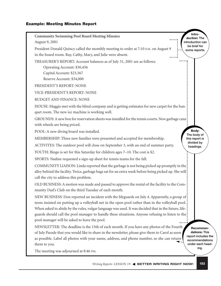## **Example: Meeting Minutes Report**

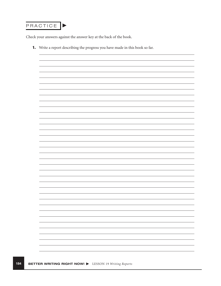## PRACTICE P

Check your answers against the answer key at the back of the book.

**1.** Write a report describing the progress you have made in this book so far.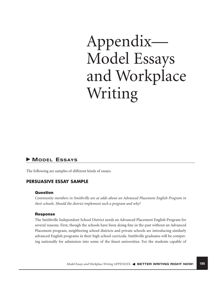Appendix— Model Essays and Workplace Writing

## - **MODEL ESSAYS**

The following are samples of different kinds of essays.

## **PERSUASIVE ESSAY SAMPLE**

#### **Question**

*Community members in Smithville are at odds about an Advanced Placement English Program in their schools. Should the district implement such a program and why?*

#### **Response**

The Smithville Independent School District needs an Advanced Placement English Program for several reasons. First, though the schools have been doing fine in the past without an Advanced Placement program, neighboring school districts and private schools are introducing similarly advanced English programs in their high school curricula. Smithville graduates will be competing nationally for admission into some of the finest universities. For the students capable of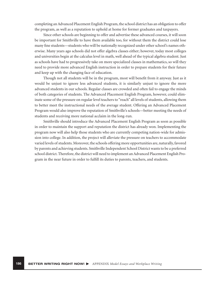completing an Advanced Placement English Program, the school district has an obligation to offer the program, as well as a reputation to uphold at home for former graduates and taxpayers.

Since other schools are beginning to offer and advertise these advanced courses, it will soon be important for Smithville to have them available too, for without them the district could lose many fine students—students who will be nationally recognized under other school's names otherwise. Many years ago schools did not offer algebra classes either; however, today most colleges and universities begin at the calculus level in math, well ahead of the typical algebra student. Just as schools have had to progressively take on more specialized classes in mathematics, so will they need to provide more advanced English instruction in order to prepare students for their future and keep up with the changing face of education.

Though not all students will be in the program, most will benefit from it anyway. Just as it would be unjust to ignore less advanced students, it is similarly unjust to ignore the more advanced students in our schools. Regular classes are crowded and often fail to engage the minds of both categories of students. The Advanced Placement English Program, however, could eliminate some of the pressure on regular level teachers to "reach" all levels of students, allowing them to better meet the instructional needs of the average student. Offering an Advanced Placement Program would also improve the reputation of Smithville's schools—better meeting the needs of students and receiving more national acclaim in the long-run.

Smithville should introduce the Advanced Placement English Program as soon as possible in order to maintain the support and reputation the district has already won. Implementing the program now will also help those students who are currently competing nation-wide for admission into college. In addition, the project will alleviate the pressure on teachers to accommodate varied levels of students. Moreover, the schools offering more opportunities are, naturally, favored by parents and achieving students. Smithville Independent School District wants to be a preferred school district. Therefore, the district will need to implement an Advanced Placement English Program in the near future in order to fulfill its duties to parents, teachers, and students.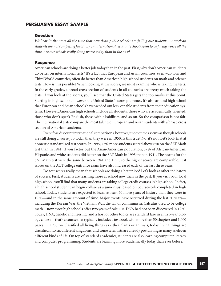## **PERSUASIVE ESSAY SAMPLE**

#### **Question**

*We hear in the news all the time that American public schools are failing our students—American students are not competing favorably on international tests and schools seem to be faring worse all the time. Are our schools really doing worse today than in the past?* 

#### **Response**

American schools are doing a better job today than in the past. First, why don't American students do better on international tests? It's a fact that European and Asian countries, even war-torn and Third World countries, often do better than American high school students on math and science tests. How is this possible? When looking at the scores, we must examine who is taking the tests. In the early grades, a broad cross section of students in all countries are pretty much taking the tests. If you look at the scores, you'll see that the United States gets the top marks at this point. Starting in high school, however, the United States' scores plummet. It's also around high school that European and Asian schools have weeded out less-capable students from their education systems. However, American high schools include all students: those who are academically talented, those who don't speak English, those with disabilities, and so on. So the comparison is not fair. The international tests compare the most talented European and Asian students with a broad cross section of American students.

Even if we discount international comparisons, however, it sometimes seems as though schools are still doing a worse job today than they were in 1950. Is this true? No, it's not. Let's look first at domestic standardized test scores. In 1995, 75% more students scored above 650 on the SAT Math test than in 1941. If you factor out the Asian-American population, 57% of African-American, Hispanic, and white students did better on the SAT Math in 1995 than in 1941. The norms for the SAT Math test were the same between 1941 and 1995, so the higher scores are comparable. Test scores on the ACT college entrance exam have also increased each of the last three years.

Do test scores really mean that schools are doing a better job? Let's look at other indicators of success. First, students are learning more at school now than in the past. If you visit your local high school, you'll find that many students are taking college credit courses in high school. In fact, a high school student can begin college as a junior just based on coursework completed in high school. Today, students are expected to learn at least 50 more years of history than they were in 1950—and in the same amount of time. Major events have occurred during the last 50 years including the Korean War, the Vietnam War, the fall of communism. Calculus used to be college math—now most high schools offer two years of calculus. DNA had not been discovered in 1950. Today, DNA, genetic engineering, and a host of other topics are standard fare in a first-year biology course—that's a course that typically includes a textbook with more than 50 chapters and 1,000 pages. In 1950, we classified all living things as either plants or animals; today, living things are classified into six different kingdoms, and some scientists are already postulating as many as eleven different kinds of life. On top of standard academics, students are also learning computer literacy and computer programming. Students are learning more academically today than ever before.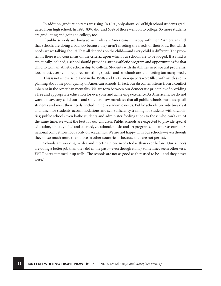In addition, graduation rates are rising. In 1870, only about 3% of high school students graduated from high school. In 1995, 83% did, and 60% of those went on to college. So more students are graduating and going to college, too.

If public schools are doing so well, why are Americans unhappy with them? Americans feel that schools are doing a bad job because they aren't meeting the needs of their kids. But which needs are we talking about? That all depends on the child—and every child is different. The problem is there is no consensus on the criteria upon which our schools are to be judged. If a child is athletically inclined, a school should provide a strong athletic program and opportunities for that child to gain an athletic scholarship to college. Students with disabilities need special programs, too. In fact, every child requires something special, and so schools are left meeting too many needs.

This is not a new issue. Even in the 1950s and 1960s, newspapers were filled with articles complaining about the poor quality of American schools. In fact, our discontent stems from a conflict inherent in the American mentality. We are torn between our democratic principles of providing a free and appropriate education for everyone and achieving excellence. As Americans, we do not want to leave any child out—and so federal law mandates that all public schools must accept all students and meet their needs, including non-academic needs. Public schools provide breakfast and lunch for students, accommodations and self-sufficiency training for students with disabilities; public schools even bathe students and administer feeding tubes to those who can't eat. At the same time, we want the best for our children. Public schools are expected to provide special education, athletic, gifted and talented, vocational, music, and art programs, too, whereas our international competitors focus only on academics. We are not happy with our schools—even though they do so much more than those in other countries—because they are not perfect.

Schools are working harder and meeting more needs today than ever before. Our schools are doing a better job than they did in the past—even though it may sometimes seem otherwise. Will Rogers summed it up well: "The schools are not as good as they used to be—and they never were."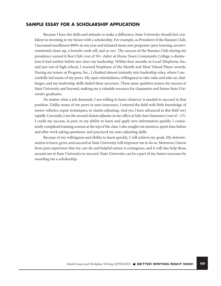## **SAMPLE ESSAY FOR A SCHOLARSHIP APPLICATION**

Because I have the skills and attitude to make a difference, State University should feel confident in investing in my future with a scholarship. For example, as President of the Russian Club, I increased enrollment 400% in one year and initiated many new programs (peer tutoring, an environmental clean-up, a borscht cook-off, and so on). The success of the Russian Club during my presidency earned it Best Club (out of 50+ clubs) at Home Town Community College; a distinction it had neither before nor since my leadership. Within four months at Local Telephone, Inc. and just out of high school, I received Employee of the Month and Most Valued Player awards. During my tenure at Progress, Inc., I climbed almost instantly into leadership roles, where I successfully led teams of my peers. My open-mindedness, willingness to take risks and take on challenges, and my leadership skills fueled these successes. These same qualities ensure my success at State University and beyond, making me a valuable resource for classmates and future State University graduates.

No matter what a job demands, I am willing to learn whatever is needed to succeed in that position. Unlike many of my peers in auto insurance, I entered the field with little knowledge of motor vehicles, repair techniques, or claims adjusting. And yet, I have advanced in this field very rapidly. Currently, I am the second-fastest adjuster in my office at Safe Auto Insurance (out of  $\sim$  15). I credit my success, in part, to my ability to learn and apply new information quickly. I consistently completed training courses at the top of the class. I also sought out mentors, spent time before and after work asking questions, and practiced my auto adjusting skills.

Because of my willingness and ability to learn quickly, I will achieve my goals. My determination to learn, grow, and succeed at State University will empower me to do so. Moreover, I know from past experience that my can-do and helpful nature is contagious, and it will also help those around me at State University to succeed. State University can be a part of my future successes by awarding me a scholarship.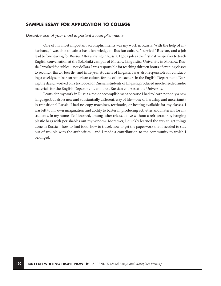## **SAMPLE ESSAY FOR APPLICATION TO COLLEGE**

#### *Describe one of your most important accomplishments.*

One of my most important accomplishments was my work in Russia. With the help of my husband, I was able to gain a basic knowledge of Russian culture, "survival" Russian, and a job lead before leaving for Russia. After arriving in Russia, I got a job as the first native speaker to teach English conversation at the Sokolniki campus of Moscow Linguistics University in Moscow, Russia. I worked for rubles—not dollars. I was responsible for teaching thirteen hours of evening classes to second-, third-, fourth-, and fifth-year students of English. I was also responsible for conducting a weekly seminar on American culture for the other teachers in the English Department. During the days, I worked on a textbook for Russian students of English, produced much-needed audio materials for the English Department, and took Russian courses at the University.

I consider my work in Russia a major accomplishment because I had to learn not only a new language, but also a new and substantially different, way of life—one of hardship and uncertainty in transitional Russia. I had no copy machines, textbooks, or heating available for my classes. I was left to my own imagination and ability to barter in producing activities and materials for my students. In my home life, I learned, among other tricks, to live without a refrigerator by hanging plastic bags with perishables out my window. Moreover, I quickly learned the way to get things done in Russia—how to find food, how to travel, how to get the paperwork that I needed to stay out of trouble with the authorities—and I made a contribution to the community to which I belonged.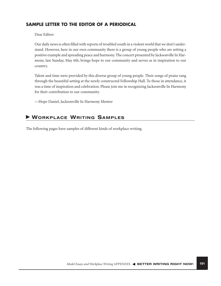## **SAMPLE LETTER TO THE EDITOR OF A PERIODICAL**

Dear Editor:

Our daily news is often filled with reports of troubled youth in a violent world that we don't understand. However, here in our own community there is a group of young people who are setting a positive example and spreading peace and harmony. The concert presented by Jacksonville In Harmony, last Sunday, May 6th, brings hope to our community and serves as in inspiration to our country.

Talent and time were provided by this diverse group of young people. Their songs of praise rang through the beautiful setting at the newly constructed Fellowship Hall. To those in attendance, it was a time of inspiration and celebration. Please join me in recognizing Jacksonville In Harmony for their contribution to our community.

—Hope Daniel, Jacksonville In Harmony Mentor

## - **WORKPLACE WRITING SAMPLES**

The following pages have samples of different kinds of workplace writing.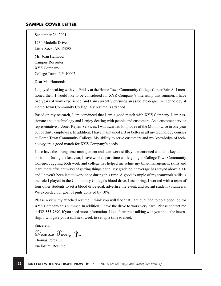## **SAMPLE COVER LETTER**

September 26, 2001

1234 Modella Drive Little Rock, AR 45890

Ms. Joan Hamood Campus Recruiter XYZ Company College Town, NY 10002

Dear Ms. Hamood:

I enjoyed speaking with you Friday at the Home Town Community College Career Fair. As I mentioned then, I would like to be considered for XYZ Company's internship this summer. I have two years of work experience, and I am currently pursuing an associate degree in Technology at Home Town Community College. My resume is attached.

Based on my research, I am convinced that I am a good match with XYZ Company. I am passionate about technology and I enjoy dealing with people and customers. As a customer service representative at Jones Repair Services, I was awarded Employee of the Month twice in one year out of thirty employees. In addition, I have maintained a B or better in all my technology courses at Home Town Community College. My ability to serve customers and my knowledge of technology are a good match for XYZ Company's needs.

I also have the strong time-management and teamwork skills you mentioned would be key to this position. During the last year, I have worked part-time while going to College Town Community College. Juggling both work and college has helped me refine my time-management skills and learn more efficient ways of getting things done. My grade point average has stayed above a 3.0 and I haven't been late to work once during this time. A good example of my teamwork skills is the role I played in the Community College's blood drive. Last spring, I worked with a team of four other students to set a blood drive goal, advertise the event, and recruit student volunteers. We exceeded our goal of pints donated by 10%.

Please review my attached resume. I think you will find that I am qualified to do a good job for XYZ Company this summer. In addition, I have the drive to work very hard. Please contact me at 432-555-7890, if you need more information. I look forward to talking with you about the internship. I will give you a call next week to set up a time to meet.

Sincerely,

Thomas Perez, Jr. Thomas Perez, Jr. Enclosure: Resume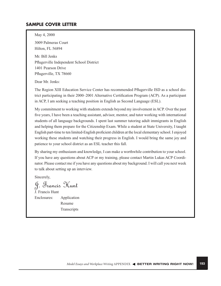## **SAMPLE COVER LETTER**

#### May 4, 2000

3009 Palmeras Court Hilton, FL 56894

Mr. Bill Jenks Pflugerville Independent School District 1401 Pearson Drive Pflugerville, TX 78660

Dear Mr. Jenks:

The Region XIII Education Service Center has recommended Pflugerville ISD as a school district participating in their 2000–2001 Alternative Certification Program (ACP). As a participant in ACP, I am seeking a teaching position in English as Second Language (ESL).

My commitment to working with students extends beyond my involvement in ACP. Over the past five years, I have been a teaching assistant, advisor, mentor, and tutor working with international students of all language backgrounds. I spent last summer tutoring adult immigrants in English and helping them prepare for the Citizenship Exam. While a student at State University, I taught English part-time to ten limited-English proficient children at the local elementary school. I enjoyed working these students and watching their progress in English. I would bring the same joy and patience to your school district as an ESL teacher this fall.

By sharing my enthusiasm and knowledge, I can make a worthwhile contribution to your school. If you have any questions about ACP or my training, please contact Martin Lukas ACP Coordinator. Please contact me if you have any questions about my background. I will call you next week to talk about setting up an interview.

Sincerely,

J. Francis Hunt

J. Francis Hunt Enclosures: Application Resume **Transcripts**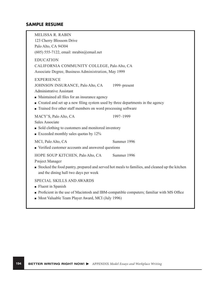## **SAMPLE RESUME**

| MELISSA R. RABIN<br>123 Cherry Blossom Drive<br>Palo Alto, CA 94304<br>$(605)$ 555-7122, email: mrabin@email.net                                                                                                                                                                               |              |
|------------------------------------------------------------------------------------------------------------------------------------------------------------------------------------------------------------------------------------------------------------------------------------------------|--------------|
| <b>EDUCATION</b><br>CALIFORNIA COMMUNITY COLLEGE, Palo Alto, CA<br>Associate Degree, Business Administration, May 1999                                                                                                                                                                         |              |
| <b>EXPERIENCE</b><br>JOHNSON INSURANCE, Palo Alto, CA<br><b>Administrative Assistant</b><br>• Maintained all files for an insurance agency<br>• Created and set up a new filing system used by three departments in the agency<br>Trained five other staff members on word processing software | 1999–present |
| MACY'S, Palo Alto, CA<br><b>Sales Associate</b><br>• Sold clothing to customers and monitored inventory<br>$\blacksquare$ Exceeded monthly sales quotas by 12%                                                                                                                                 | 1997-1999    |
| MCI, Palo Alto, CA<br>• Verified customer accounts and answered questions                                                                                                                                                                                                                      | Summer 1996  |
| HOPE SOUP KITCHEN, Palo Alto, CA<br>Project Manager<br>■ Stocked the food pantry, prepared and served hot meals to families, and cleaned up the kitchen<br>and the dining hall two days per week                                                                                               | Summer 1996  |
| <b>SPECIAL SKILLS AND AWARDS</b><br>■ Fluent in Spanish<br>• Proficient in the use of Macintosh and IBM-compatible computers; familiar with MS Office<br>Most Valuable Team Player Award, MCI (July 1996)                                                                                      |              |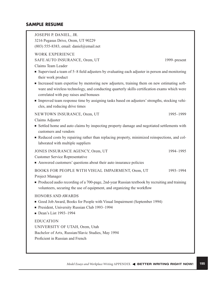## **SAMPLE RESUME**

| JOSEPH P. DANIEL, JR.<br>3216 Pegasus Drive, Orem, UT 90229<br>$(803)$ 555-8383, email: daniel@email.net                                                                                                                             |              |
|--------------------------------------------------------------------------------------------------------------------------------------------------------------------------------------------------------------------------------------|--------------|
| <b>WORK EXPERIENCE</b><br>SAFE AUTO INSURANCE, Orem, UT<br>Claims Team Leader                                                                                                                                                        | 1999–present |
| ■ Supervised a team of 5–8 field adjusters by evaluating each adjuster in person and monitoring<br>their work product                                                                                                                |              |
| Increased team expertise by mentoring new adjusters, training them on new estimating soft-<br>ware and wireless technology, and conducting quarterly skills certification exams which were<br>correlated with pay raises and bonuses |              |
| Improved team response time by assigning tasks based on adjusters' strengths, stocking vehi-<br>cles, and reducing drive times                                                                                                       |              |
| NEWTOWN INSURANCE, Orem, UT<br>Claims Adjuster                                                                                                                                                                                       | 1995-1999    |
| Executed home and auto claims by inspecting property damage and negotiated settlements with<br>customers and vendors                                                                                                                 |              |
| • Reduced costs by repairing rather than replacing property, minimized reinspections, and col-<br>laborated with multiple suppliers                                                                                                  |              |
| JONES INSURANCE AGENCY, Orem, UT<br><b>Customer Service Representative</b>                                                                                                                                                           | 1994-1995    |
| Answered customers' questions about their auto insurance policies<br>BOOKS FOR PEOPLE WITH VISUAL IMPAIRMENT, Orem, UT<br>Project Manager                                                                                            | 1993-1994    |
| • Produced audio recording of a 700-page, 2nd-year Russian textbook by recruiting and training<br>volunteers, securing the use of equipment, and organizing the workflow                                                             |              |
| <b>HONORS AND AWARDS</b><br>Good Job Award, Books for People with Visual Impairment (September 1994)<br>President, University Russian Club 1993-1994<br>Dean's List 1993-1994                                                        |              |
| <b>EDUCATION</b><br>UNIVERSITY OF UTAH, Orem, Utah<br>Bachelor of Arts, Russian/Slavic Studies, May 1994<br>Proficient in Russian and French                                                                                         |              |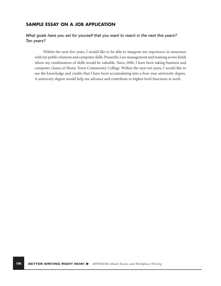## **SAMPLE ESSAY ON A JOB APPLICATION**

## *What goals have you set for yourself that you want to reach in the next five years? Ten years?*

Within the next five years, I would like to be able to integrate my experience in insurance with my public relations and computer skills. Presently, I see management and training as two fields where my combination of skills would be valuable. Since 2000, I have been taking business and computer classes at Home Town Community College. Within the next ten years, I would like to use the knowledge and credits that I have been accumulating into a four-year university degree. A university degree would help me advance and contribute to higher-level functions at work.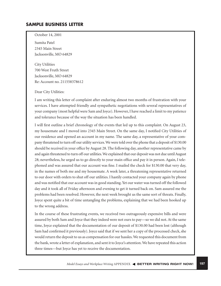#### October 14, 2001

Sumita Patel 2345 Main Street Jacksonville, MO 64829

City Utilities 700 West Fruth Street Jacksonville, MO 64829 Re: Account no. 211558378612

Dear City Utilities:

I am writing this letter of complaint after enduring almost two months of frustration with your services. I have attempted friendly and sympathetic negotiations with several representatives of your company (most helpful were Sam and Joyce). However, I have reached a limit to my patience and tolerance because of the way the situation has been handled.

I will first outline a brief chronology of the events that led up to this complaint. On August 23, my housemate and I moved into 2345 Main Street. On the same day, I notified City Utilities of our residence and opened an account in my name. The same day, a representative of your company threatened to turn off our utility services.We were told over the phone that a deposit of \$130.00 should be received in your office by August 28. The following day, another representative came by and again threatened to turn off our utilities.We explained that our deposit was not due until August 28; nevertheless, he urged us to go directly to your main office and pay it in person. Again, I telephoned and was assured that our account was fine. I mailed the check for \$130.00 that very day, in the names of both me and my housemate. A week later, a threatening representative returned to our door with orders to shut off our utilities. I hastily contacted your company again by phone and was notified that our account was in good standing. Yet our water was turned off the followed day and it took all of Friday afternoon and evening to get it turned back on. Sam assured me the problems had been resolved. However, the next week brought us the same sort of threats. Finally, Joyce spent quite a bit of time untangling the problems, explaining that we had been hooked up to the wrong address.

In the course of these frustrating events, we received two outrageously expensive bills and were assured by both Sam and Joyce that they indeed were not ours to pay—so we did not. At the same time, Joyce explained that the documentation of our deposit of \$130.00 had been lost (although Sam had confirmed it previously). Joyce said that if we sent her a copy of the processed check, she would return the deposit to us as compensation for our hassles. We requested this document from the bank, wrote a letter of explanation, and sent it to Joyce's attention. We have repeated this action three times—but Joyce has yet to receive the documentation.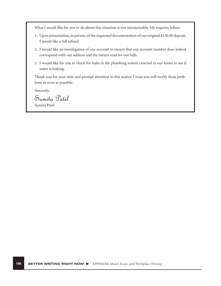What I would like for you to do about this situation is not unreasonable. My requests follow:

- 1. Upon presentation, in person, of the requested documentation of our original \$130.00 deposit, I would like a full refund.
- 2. I would like an investigation of our account to ensure that our account number does indeed correspond with our address and the meters read for our bills.
- 3. I would like for you to check for leaks in the plumbing system external to our home to see if water is leaking.

Thank you for your time and prompt attention to this matter. I trust you will rectify these problems as soon as possible.

Sincerely,

Sumita Patel Sumita Patel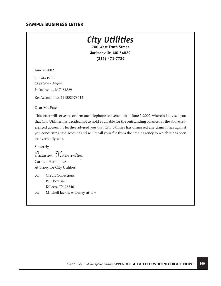# *City Utilities*

**700 West Fruth Street Jacksonville, MO 64829 (216) 471-7789**

June 2, 2002

Sumita Patel 2345 Main Street Jacksonville, MO 64829

Re: Account no. 211558378612

Dear Ms. Patel:

This letter will serve to confirm our telephone conversation of June 2, 2002, wherein I advised you that City Utilities has decided not to hold you liable for the outstanding balance for the above referenced account. I further advised you that City Utilities has dismissed any claim it has against you concerning said account and will recall your file from the credit agency to which it has been inadvertently sent.

Sincerely,

Carmen Hernandez Carmen Hernandez Attorney for City Utilities

cc: Credit Collections P.O. Box 347 Killeen, TX 76540

cc: Mitchell Jaekle, Attorney-at-law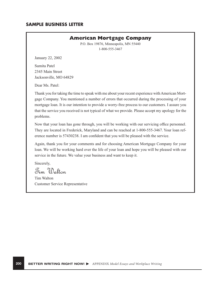## **American Mortgage Company** P.O. Box 19876, Minneapolis, MN 55440 1-800-555-3467 January 22, 2002 Sumita Patel 2345 Main Street Jacksonville, MO 64829 Dear Ms. Patel: Thank you for taking the time to speak with me about your recent experience with American Mortgage Company. You mentioned a number of errors that occurred during the processing of your mortgage loan. It is our intention to provide a worry-free process to our customers. I assure you that the service you received is not typical of what we provide. Please accept my apology for the problems. Now that your loan has gone through, you will be working with our servicing office personnel. They are located in Frederick, Maryland and can be reached at 1-800-555-3467. Your loan reference number is 57430238. I am confident that you will be pleased with the service. Again, thank you for your comments and for choosing American Mortgage Company for your loan. We will be working hard over the life of your loan and hope you will be pleased with our service in the future. We value your business and want to keep it. Sincerely, Tim Walton Tim Walton Customer Service Representative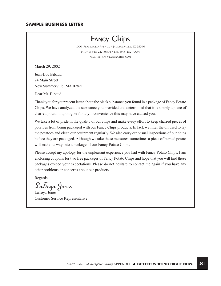# Fancy Chips

1003 Frankford Avenue / Jacksonville, TX 75766 Phone: 548-222-8904 / Fax: 548-282-7004 Website: www.fancychips.com

March 29, 2002

Jean-Luc Bibaud 24 Main Street New Summerville, MA 02821

Dear Mr. Bibaud:

Thank you for your recent letter about the black substance you found in a package of Fancy Potato Chips. We have analyzed the substance you provided and determined that it is simply a piece of charred potato. I apologize for any inconvenience this may have caused you.

We take a lot of pride in the quality of our chips and make every effort to keep charred pieces of potatoes from being packaged with our Fancy Chips products. In fact, we filter the oil used to fry the potatoes and clean our equipment regularly. We also carry out visual inspections of our chips before they are packaged. Although we take these measures, sometimes a piece of burned potato will make its way into a package of our Fancy Potato Chips.

Please accept my apology for the unpleasant experience you had with Fancy Potato Chips. I am enclosing coupons for two free packages of Fancy Potato Chips and hope that you will find these packages exceed your expectations. Please do not hesitate to contact me again if you have any other problems or concerns about our products.

Regards,

LaToya Jones

LaToya Jones Customer Service Representative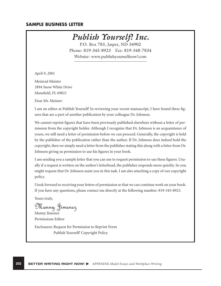# *Publish Yourself! Inc.*

P.O. Box 783, Jasper, ND 34902 Phone: 819-345-8923 Fax: 819-348-7834 Website: www.publishyourselfnow!com

April 9, 2001

Meinrad Meister 2894 Snow White Drive Mansfield, FL 69821

Dear Mr. Meister:

I am an editor at Publish Yourself! In reviewing your recent manuscript, I have found three figures that are a part of another publication by your colleague Dr. Johnson.

We cannot reprint figures that have been previously published elsewhere without a letter of permission from the copyright holder. Although I recognize that Dr. Johnson is an acquaintance of yours, we still need a letter of permission before we can proceed. Generally, the copyright is held by the publisher of the publication rather than the author. If Dr. Johnson does indeed hold the copyright, then we simply need a letter from the publisher stating this along with a letter from Dr. Johnson giving us permission to use his figures in your book.

I am sending you a sample letter that you can use to request permission to use these figures. Usually if a request is written on the author's letterhead, the publisher responds more quickly. So you might request that Dr. Johnson assist you in this task. I am also attaching a copy of our copyright policy.

I look forward to receiving your letters of permission so that we can continue work on your book. If you have any questions, please contact me directly at the following number: 819-345-8923.

Yours truly,

Manny Jimenez Manny Jimenez

Permissions Editor

Enclosures: Request for Permission to Reprint Form Publish Yourself! Copyright Policy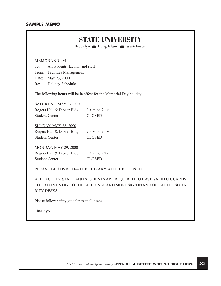## STATE UNIVERSITY

Brooklyn **in** Long Island **in** Westchester

#### MEMORANDUM

To: All students, faculty, and staff From: Facilities Management Date: May 23, 2000 Re: Holiday Schedule

The following hours will be in effect for the Memorial Day holiday.

SATURDAY, MAY 27, 2000

| Rogers Hall & Dibner Bldg. | 9 A.M. to 9 P.M. |
|----------------------------|------------------|
| <b>Student Center</b>      | <b>CLOSED</b>    |

| <b>SUNDAY, MAY 28, 2000</b>       |                                     |
|-----------------------------------|-------------------------------------|
| Rogers Hall & Dibner Bldg.        | 9 A.M. to 9 P.M.                    |
| $\alpha$ , 1, $\alpha$ , $\alpha$ | $\alpha$ $\alpha$ $\alpha$ $\alpha$ |

Student Center CLOSED

| <b>MONDAY, MAY 29, 2000</b> |                  |
|-----------------------------|------------------|
| Rogers Hall & Dibner Bldg.  | 9 A.M. to 9 P.M. |
| <b>Student Center</b>       | <b>CLOSED</b>    |

PLEASE BE ADVISED—THE LIBRARY WILL BE CLOSED.

ALL FACULTY, STAFF, AND STUDENTS ARE REQUIRED TO HAVE VALID I.D. CARDS TO OBTAIN ENTRY TO THE BUILDINGS AND MUST SIGN IN AND OUT AT THE SECU-RITY DESKS.

Please follow safety guidelines at all times.

Thank you.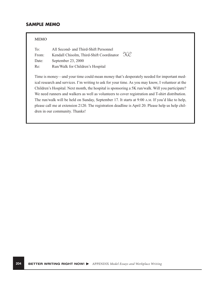## **SAMPLE MEMO**

#### **MEMO**

| To:   | All Second- and Third-Shift Personnel    |    |
|-------|------------------------------------------|----|
| From: | Kendall Chisolm, Third-Shift Coordinator | KC |
| Date: | September 23, 2000                       |    |
| Re:   | Run/Walk for Children's Hospital         |    |

Time is money—and your time could mean money that's desperately needed for important medical research and services. I'm writing to ask for your time. As you may know, I volunteer at the Children's Hospital. Next month, the hospital is sponsoring a 5K run/walk. Will you participate? We need runners and walkers as well as volunteers to cover registration and T-shirt distribution. The run/walk will be held on Sunday, September 17. It starts at 9:00 A.M. If you'd like to help, please call me at extension 2120. The registration deadline is April 20. Please help us help children in our community. Thanks!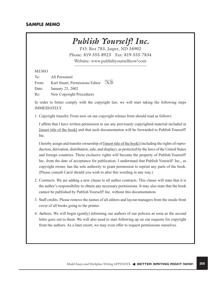# *Publish Yourself! Inc.*

P.O. Box 783, Jasper, ND 34902 Phone: 819-555-8923 Fax: 819-555-7834 Website: www.publishyourselfnow!com

#### MEMO

| To:   | All Personnel                      |  |
|-------|------------------------------------|--|
| From: | Karl Stuart, Permissions Editor XS |  |
| Date: | January 23, 2002                   |  |
| Re:   | New Copyright Procedures           |  |

In order to better comply with the copyright law, we will start taking the following steps IMMEDIATELY.

1. Copyright transfer. From now on our copyright release form should read as follows:

I affirm that I have written permission to use any previously copyrighted material included in [insert title of the book] and that such documentation will be forwarded to Publish Yourself! Inc.

I hereby assign and transfer ownership of [insert title of the book] (including the rights of reproduction, derivation, distribution, sale, and display), as protected by the laws of the United States and foreign countries. These exclusive rights will become the property of Publish Yourself! Inc. from the date of acceptance for publication. I understand that Publish Yourself! Inc., as copyright owner, has the sole authority to grant permission to reprint any parts of the book. (Please consult Carol should you wish to alter this wording in any way.)

- 2. Contracts. We are adding a new clause to all author contracts. This clause will state that it is the author's responsibility to obtain any necessary permissions. It may also state that the book cannot be published by Publish Yourself! Inc. without this documentation.
- 3. Staff credits. Please remove the names of all editors and layout managers from the inside front cover of all books going to the printer.
- 4. Authors. We will begin (gently) informing our authors of our policies as soon as the second letter goes out to them. We will also need to start following up on our requests for copyright from the authors. As a later resort, we may even offer to request permissions ourselves.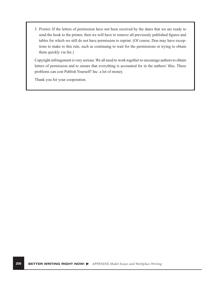5. Printer. If the letters of permission have not been received by the dates that we are ready to send the book to the printer, then we will have to remove all previously published figures and tables for which we still do not have permission to reprint. (Of course, Don may have exceptions to make to this rule, such as continuing to wait for the permissions or trying to obtain them quickly via fax.)

Copyright infringement is very serious. We all need to work together to encourage authors to obtain letters of permission and to ensure that everything is accounted for in the authors' files. These problems can cost Publish Yourself! Inc. a lot of money.

Thank you for your cooperation.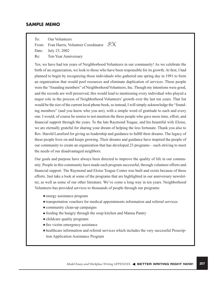#### **SAMPLE MEMO**

To: Our Volunteers

From: Fran Harris, Volunteer Coordinator  $\mathcal{F}\mathcal{H}$ 

Date: July 23, 2002

Re: Ten-Year Anniversary

Yes, we have had ten years of Neighborhood Volunteers in our community! As we celebrate the birth of an organization, we look to those who have been responsible for its growth. At first, I had planned to begin by recognizing those individuals who gathered one spring day in 1991 to form an organization that would pool resources and eliminate duplication of services. These people were the "founding members" of Neighborhood Volunteers, Inc. Though my intentions were good, and the records are well preserved, this would lead to mentioning every individual who played a major role in the process of Neighborhood Volunteers' growth over the last ten years. That list would be the size of the current local phone book, so instead, I will simply acknowledge the "founding members" (and you know who you are), with a simple word of gratitude to each and every one. I would, of course be remiss to not mention the three people who gave more time, effort, and financial support through the years. To the late Raymond Teague, and his beautiful wife Eloise, we are eternally grateful for sharing your dream of helping the less fortunate. Thank you also to Rev. Harold Lansford for giving us leadership and guidance to fulfill their dreams. The legacy of these people lives on and keeps growing. Their dreams and guidance have inspired the people of our community to create an organization that has developed 23 programs—each striving to meet the needs of our disadvantaged neighbors.

Our goals and purpose have always been directed to improve the quality of life in our community. People in this community have made each program successful, through volunteer efforts and financial support. The Raymond and Eloise Teague Center was built and exists because of these efforts. Just take a look at some of the programs that are highlighted in our anniversary newsletter, as well as some of our other literature. We've come a long way in ten years. Neighborhood Volunteers has provided services to thousands of people through our programs:

- energy assistance program
- transportation vouchers for medical appointments information and referral services
- community clean-up campaigns
- feeding the hungry through the soup kitchen and Manna Pantry
- childcare quality programs
- fire victim emergency assistance
- healthcare information and referral services which includes the very successful Prescription Application Assistance Program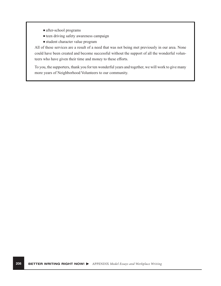- after-school programs
- teen driving safety awareness campaign
- student character value program

All of these services are a result of a need that was not being met previously in our area. None could have been created and become successful without the support of all the wonderful volunteers who have given their time and money to these efforts.

To you, the supporters, thank you for ten wonderful years and together, we will work to give many more years of Neighborhood Volunteers to our community.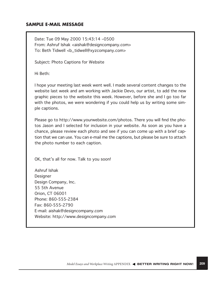#### **SAMPLE E-MAIL MESSAGE**

Date: Tue 09 May 2000 15:43:14 –0500 From: Ashruf Ishak <aishak@designcompany.com> To: Beth Tidwell <b\_tidwell@xyzcompany.com>

Subject: Photo Captions for Website

Hi Beth:

I hope your meeting last week went well. I made several content changes to the website last week and am working with Jackie Devo, our artist, to add the new graphic pieces to the website this week. However, before she and I go too far with the photos, we were wondering if you could help us by writing some simple captions.

Please go to http://www.yourwebsite.com/photos. There you will find the photos Jason and I selected for inclusion in your website. As soon as you have a chance, please review each photo and see if you can come up with a brief caption that we can use. You can e-mail me the captions, but please be sure to attach the photo number to each caption.

OK, that's all for now. Talk to you soon!

Ashruf Ishak Designer Design Company, Inc. 55 5th Avenue Orion, CT 06001 Phone: 860-555-2384 Fax: 860-555-2790 E-mail: aishak@designcompany.com Website: http://www.designcompany.com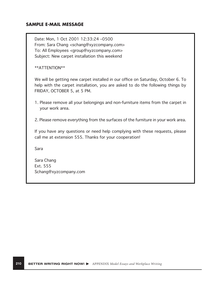#### **SAMPLE E-MAIL MESSAGE**

Date: Mon, 1 Oct 2001 12:33:24 –0500 From: Sara Chang <schang@xyzcompany.com> To: All Employees <group@xyzcompany.com> Subject: New carpet installation this weekend

\*\*ATTENTION\*\*

We will be getting new carpet installed in our office on Saturday, October 6. To help with the carpet installation, you are asked to do the following things by FRIDAY, OCTOBER 5, at 5 PM.

1. Please remove all your belongings and non-furniture items from the carpet in your work area.

2. Please remove everything from the surfaces of the furniture in your work area.

If you have any questions or need help complying with these requests, please call me at extension 555. Thanks for your cooperation!

Sara

Sara Chang Ext. 555 Schang@xyzcompany.com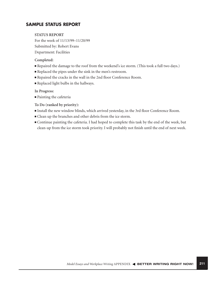# **SAMPLE STATUS REPORT**

#### **STATUS REPORT**

For the week of 11/13/99–11/20/99 Submitted by: Robert Evans Department: Facilities

#### **Completed:**

- Repaired the damage to the roof from the weekend's ice storm. (This took a full two days.)
- Replaced the pipes under the sink in the men's restroom.
- Repaired the cracks in the wall in the 2nd floor Conference Room.
- Replaced light bulbs in the hallways.

#### **In Progress:**

- Painting the cafeteria
- **To Do (ranked by priority):**
- Install the new window blinds, which arrived yesterday, in the 3rd floor Conference Room.
- Clean up the branches and other debris from the ice storm.
- Continue painting the cafeteria. I had hoped to complete this task by the end of the week, but clean-up from the ice storm took priority. I will probably not finish until the end of next week.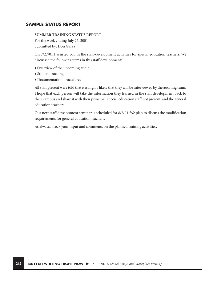## **SAMPLE STATUS REPORT**

#### **SUMMER TRAINING STATUS REPORT**

For the week ending July 27, 2001 Submitted by: Don Garza

On 7/27/01 I assisted you in the staff-development activities for special education teachers. We discussed the following items in this staff development:

- Overview of the upcoming audit
- Student tracking
- Documentation procedures

All staff present were told that it is highly likely that they will be interviewed by the auditing team. I hope that each person will take the information they learned in the staff development back to their campus and share it with their principal, special education staff not present, and the general education teachers.

Our next staff development seminar is scheduled for 8/7/01. We plan to discuss the modification requirements for general education teachers.

As always, I seek your input and comments on the planned training activities.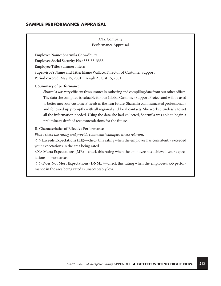#### **SAMPLE PERFORMANCE APPRAISAL**

#### **XYZ Company Performance Appraisal**

**Employee Name:** Sharmila Chowdhury **Employee Social Security No**.: 333-33-3333 **Employee Title:** Summer Intern **Supervisor's Name and Title:** Elaine Wallace, Director of Customer Support **Period covered:** May 15, 2001 through August 15, 2001

**I. Summary of performance**

Sharmila was very efficient this summer in gathering and compiling data from our other offices. The data she compiled is valuable for our Global Customer Support Project and will be used to better meet our customers' needs in the near future. Sharmila communicated professionally and followed up promptly with all regional and local contacts. She worked tirelessly to get all the information needed. Using the data she had collected, Sharmila was able to begin a preliminary draft of recommendations for the future.

#### **II. Characteristics of Effective Performance**

*Please check the rating and provide comments/examples where relevant.*

**< > Exceeds Expectations (EE)**—check this rating when the employee has consistently exceeded your expectations in the area being rated.

**<X> Meets Expectations (ME)**—check this rating when the employee has achieved your expectations in most areas.

**< > Does Not Meet Expectations (DNME)**—check this rating when the employee's job performance in the area being rated is unacceptably low.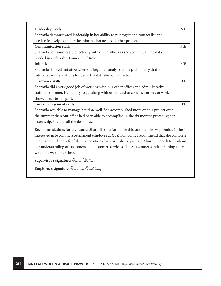| Leadership skills                                                                                                                                                                                    | <b>ME</b> |  |
|------------------------------------------------------------------------------------------------------------------------------------------------------------------------------------------------------|-----------|--|
| Sharmila demonstrated leadership in her ability to put together a contact list and                                                                                                                   |           |  |
| use it effectively to gather the information needed for her project.                                                                                                                                 |           |  |
| <b>Communication skills</b>                                                                                                                                                                          | <b>ME</b> |  |
| Sharmila communicated effectively with other offices as she acquired all the data                                                                                                                    |           |  |
| needed in such a short amount of time.                                                                                                                                                               |           |  |
| Initiative                                                                                                                                                                                           | <b>ME</b> |  |
| Sharmila showed initiative when she began an analysis and a preliminary draft of                                                                                                                     |           |  |
| future recommendations for using the data she had collected.                                                                                                                                         |           |  |
| <b>Teamwork skills</b>                                                                                                                                                                               | EE        |  |
| Sharmila did a very good job of working with our other offices and administrative                                                                                                                    |           |  |
| staff this summer. Her ability to get along with others and to convince others to work                                                                                                               |           |  |
| showed true team spirit.                                                                                                                                                                             |           |  |
| Time-management skills                                                                                                                                                                               | EE        |  |
| Sharmila was able to manage her time well. She accomplished more on this project over                                                                                                                |           |  |
| the summer than our office had been able to accomplish in the six months preceding her                                                                                                               |           |  |
| internship. She met all the deadlines.                                                                                                                                                               |           |  |
| Recommendations for the future: Sharmila's performance this summer shows promise. If she is                                                                                                          |           |  |
| interested in becoming a permanent employee at XYZ Company, I recommend that she complete                                                                                                            |           |  |
| her degree and apply for full-time positions for which she is qualified. Sharmila needs to work on<br>her understanding of customers and customer service skills. A customer service training course |           |  |
|                                                                                                                                                                                                      |           |  |

**Supervisor's signature:** Elaine Wallace

**Employee's signature:** Sharmila Chowdhury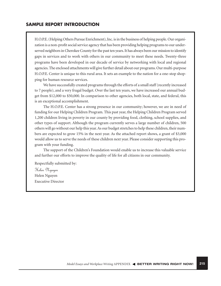#### **SAMPLE REPORT INTRODUCTION**

H.O.P.E. (Helping Others Pursue Enrichment), Inc. is in the business of helping people. Our organization is a non-profit social service agency that has been providing helping programs to our underserved neighbors in Cherokee County for the past ten years. It has always been our mission to identify gaps in services and to work with others in our community to meet these needs. Twenty-three programs have been developed in our decade of service by networking with local and regional agencies. The enclosed attachments will give further detail about our programs. Our multi-purpose H.O.P.E. Center is unique to this rural area. It sets an example to the nation for a one-stop shopping for human resource services.

We have successfully created programs through the efforts of a small staff (recently increased to 7 people), and a very frugal budget. Over the last ten years, we have increased our annual budget from \$12,000 to \$50,000. In comparison to other agencies, both local, state, and federal, this is an exceptional accomplishment.

The H.O.P.E. Center has a strong presence in our community; however, we are in need of funding for our Helping Children Program. This past year, the Helping Children Program served 1,200 children living in poverty in our county by providing food, clothing, school supplies, and other types of support. Although the program currently serves a large number of children, 500 others will go without our help this year. As our budget stretches to help these children, their numbers are expected to grow 15% in the next year. As the attached report shows, a grant of \$3,000 would allow us to serve the needs of these children next year. Please consider supporting this program with your funding.

The support of the Children's Foundation would enable us to increase this valuable service and further our efforts to improve the quality of life for all citizens in our community.

Respectfully submitted by:

Helen Nguyen Helen Nguyen Executive Director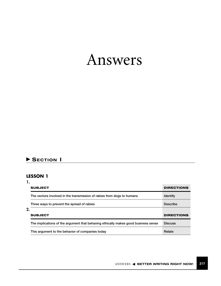# Answers

# - **SECTION I**

# **LESSON 1**

**1.**

| . . |                                                                                    |                   |
|-----|------------------------------------------------------------------------------------|-------------------|
|     | <b>SUBJECT</b>                                                                     | <b>DIRECTIONS</b> |
|     | The vectors involved in the transmission of rabies from dogs to humans             | <b>Identify</b>   |
|     | Three ways to prevent the spread of rabies                                         | <b>Describe</b>   |
| 2.  |                                                                                    |                   |
|     | <b>SUBJECT</b>                                                                     | <b>DIRECTIONS</b> |
|     | The implications of the argument that behaving ethically makes good business sense | <b>Discuss</b>    |
|     | This argument to the behavior of companies today                                   | Relate            |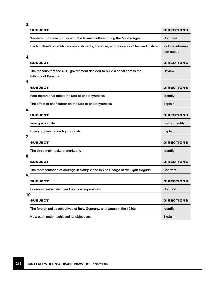| ۰,     |   |
|--------|---|
|        |   |
| I<br>ł | I |

| 3.       |                                                                                                      |                                |
|----------|------------------------------------------------------------------------------------------------------|--------------------------------|
|          | <b>SUBJECT</b>                                                                                       | <b>DIRECTIONS</b>              |
|          | Western European culture with the Islamic culture during the Middle Ages                             | Compare                        |
|          | Each culture's scientific accomplishments, literature, and concepts of law and justice               | Include informa-<br>tion about |
| 4.       | <b>SUBJECT</b>                                                                                       | <b>DIRECTIONS</b>              |
|          | The reasons that the U.S. government decided to build a canal across the<br><b>Isthmus of Panama</b> | Review                         |
| 5.       | <b>SUBJECT</b>                                                                                       | <b>DIRECTIONS</b>              |
|          | Four factors that affect the rate of photosynthesis                                                  | Identify                       |
|          | The effect of each factor on the rate of photosynthesis                                              | Explain                        |
| 6.       | <b>SUBJECT</b>                                                                                       | <b>DIRECTIONS</b>              |
|          | Your goals in life                                                                                   | List or identify               |
|          | How you plan to reach your goals                                                                     | Explain                        |
| 7.       | SUBJECT                                                                                              | <b>DIRECTIONS</b>              |
| 8.<br>9. | The three main tasks of marketing                                                                    | <b>Identify</b>                |
|          | <b>SUBJECT</b>                                                                                       | <b>DIRECTIONS</b>              |
|          | The representation of courage in Henry V and in The Charge of the Light Brigade                      | Contrast                       |
|          | <b>SUBJECT</b>                                                                                       | <b>DIRECTIONS</b>              |
|          | Economic imperialism and political imperialism                                                       | Contrast                       |
| 10.      | <b>SUBJECT</b>                                                                                       | <b>DIRECTIONS</b>              |
|          | The foreign policy objectives of Italy, Germany, and Japan in the 1930s                              | <b>Identify</b>                |
|          | How each nation achieved its objectives                                                              | Explain                        |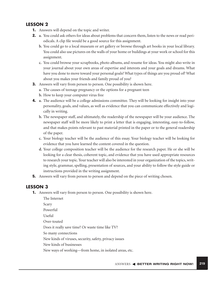- **1.** Answers will depend on the topic and writer.
- **2. a.** You could ask others for ideas about problems that concern them, listen to the news or read periodicals. A clip file would be a good source for this assignment.
	- **b.** You could go to a local museum or art gallery or browse through art books in your local library. You could also use pictures on the walls of your home or buildings at your work or school for this assignment.
	- **c.** You could browse your scrapbooks, photo albums, and resume for ideas. You might also write in your journal about your own areas of expertise and interests and your goals and dreams. What have you done to move toward your personal goals? What types of things are you proud of? What about you makes your friends and family proud of you?
- **3.** Answers will vary from person to person. One possibility is shown here.
	- **a.** The causes of teenage pregnancy or the options for a pregnant teen
	- **b.** How to keep your computer virus free
- **4. a.** The audience will be a college admissions committee. They will be looking for insight into your personality, goals, and values, as well as evidence that you can communicate effectively and logically in writing.
	- **b.** The newspaper staff, and ultimately, the readership of the newspaper will be your audience. The newspaper staff will be more likely to print a letter that is engaging, interesting, easy-to-follow, and that makes points relevant to past material printed in the paper or to the general readership of the paper.
	- **c.** Your biology teacher will be the audience of this essay. Your biology teacher will be looking for evidence that you have learned the content covered in the question.
	- **d.** Your college composition teacher will be the audience for the research paper. He or she will be looking for a clear thesis, coherent topic, and evidence that you have used appropriate resources to research your topic. Your teacher will also be interested in your organization of the topics, writing style, grammar, spelling, presentation of sources, and your ability to follow the style guide or instructions provided in the writing assignment.
- **5.** Answers will vary from person to person and depend on the piece of writing chosen.

# **LESSON 3**

**1.** Answers will vary from person to person. One possibility is shown here.

The Internet Scary Powerful Useful Over-touted Does it really save time? Or waste time like TV? So many connections New kinds of viruses, security, safety, privacy issues New kinds of businesses New ways of working—from home, in isolated areas, etc.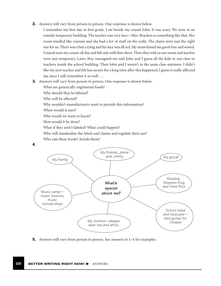**2.** Answers will vary from person to person. One response is shown below.

I remember my first day in first grade. I sat beside my cousin John. It was scary. We were in an outside temporary building. The teacher was very nice—Mrs. Bracken or something like that. Her room smelled like crayons and she had a lot of stuff on the walls. The chairs were just the right size for us. There was a boy crying and his face was all red. My mom kissed me good-bye and waved. I stayed near my cousin all day and felt safe with him there. Then they told us our room and teacher were just temporary. Later, they reassigned me and John and I guess all the kids in our class to teachers inside the school building. Then John and I weren't in the same class anymore. I didn't like my new teacher and felt less secure for a long time after this happened. I guess it really affected me since I still remember it so well . . .

**3.** Answers will vary from person to person. One response is shown below.

What are genetically engineered foods?

Why should they be labeled?

Who will be affected?

Why wouldn't manufacturers want to provide this information?

When would it start?

Why would we want to know?

How would it be done?

What if they aren't labeled? What could happen?

Who will standardize the labels and claims and regulate their use?

Who eats these foods? Avoids them?



**5.** Answers will vary from person to person. See answers to 1–4 for examples.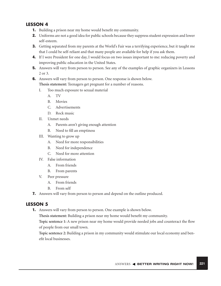- **1.** Building a prison near my home would benefit my community.
- **2.** Uniforms are not a good idea for public schools because they suppress student expression and lower self-esteem.
- **3.** Getting separated from my parents at the World's Fair was a terrifying experience, but it taught me that I could be self-reliant and that many people are available for help if you ask them.
- **4.** If I were President for one day, I would focus on two issues important to me: reducing poverty and improving public education in the United States.
- **5.** Answers will vary from person to person. See any of the examples of graphic organizers in Lessons 2 or 3.
- **6.** Answers will vary from person to person. One response is shown below.

**Thesis statement:** Teenagers get pregnant for a number of reasons.

- I. Too much exposure to sexual material
	- A. TV
	- B. Movies
	- C. Advertisements
	- D. Rock music
- II. Unmet needs
	- A. Parents aren't giving enough attention
	- B. Need to fill an emptiness
- III. Wanting to grow up
	- A. Need for more responsibilities
	- B. Need for independence
	- C. Need for more attention
- IV. False information
	- A. From friends
	- B. From parents
- V. Peer pressure
	- A. From friends
	- B. From self
- **7.** Answers will vary from person to person and depend on the outline produced.

# **LESSON 5**

**1.** Answers will vary from person to person. One example is shown below.

**Thesis statement:** Building a prison near my home would benefit my community.

**Topic sentence 1:** A new prison near my home would provide needed jobs and counteract the flow of people from our small town.

**Topic sentence 2:** Building a prison in my community would stimulate our local economy and benefit local businesses.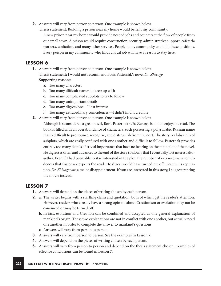**2.** Answers will vary from person to person. One example is shown below.

**Thesis statement:** Building a prison near my home would benefit my community.

A new prison near my home would provide needed jobs and counteract the flow of people from our small town. A prison would require construction, security, administrative support, cafeteria workers, sanitation, and many other services. People in my community could fill these positions. Every person in my community who finds a local job will have a reason to stay here.

#### **LESSON 6**

- **1.** Answers will vary from person to person. One example is shown below. **Thesis statement:** I would not recommend Boris Pasternak's novel *Dr. Zhivago.* **Supporting reasons:**
	- **a.** Too many characters
	- **b.** Too many difficult names to keep up with
	- **c.** Too many complicated subplots to try to follow
	- **d.** Too many unimportant details
	- **e.** Too many digressions—I lost interest
	- **f.** Too many extraordinary coincidences—I didn't find it credible
- **2.** Answers will vary from person to person. One example is shown below.
	- Although it's considered a great novel, Boris Pasternak's *Dr. Zhivago* is not an enjoyable read. The book is filled with an overabundance of characters, each possessing a polysyllabic Russian name that is difficult to pronounce, recognize, and distinguish from the next. The story is a labyrinth of subplots, which are easily confused with one another and difficult to follow. Pasternak provides entirely too many details of trivial importance that have no bearing on the main plot of the novel. He digresses often and advances to the end of the story so slowly that I eventually lost interest altogether. Even if I had been able to stay interested in the plot, the number of extraordinary coincidences that Pasternak expects the reader to digest would have turned me off. Despite its reputation, *Dr. Zhivago* was a major disappointment. If you are interested in this story, I suggest renting the movie instead.

## **LESSON 7**

- **1.** Answers will depend on the pieces of writing chosen by each person.
- **2. a.** The writer begins with a startling claim and quotation, both of which get the reader's attention. However, readers who already have a strong opinion about Creationism or evolution may not be convinced or may be turned off.
	- **b.** In fact, evolution and Creation can be combined and accepted as one general explanation of mankind's origin. These two explanations are not in conflict with one another, but actually need one another in order to complete the answer to mankind's questions.
	- **c.** Answers will vary from person to person.
- **3.** Answers will vary from person to person. See the examples in Lesson 7.
- **4.** Answers will depend on the pieces of writing chosen by each person.
- **5.** Answers will vary from person to person and depend on the thesis statement chosen. Examples of effective conclusions can be found in Lesson 7.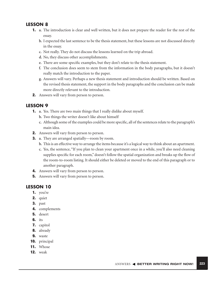- **1. a.** The introduction is clear and well written, but it does not prepare the reader for the rest of the essay.
	- **b.** I expected the last sentence to be the thesis statement, but these lessons are not discussed directly in the essay.
	- **c.** Not really. They do not discuss the lessons learned on the trip abroad.
	- **d.** No, they discuss other accomplishments.
	- **e.** There are some specific examples, but they don't relate to the thesis statement.
	- **f.** The conclusion does seem to stem from the information in the body paragraphs, but it doesn't really match the introduction to the paper.
	- **g.** Answers will vary. Perhaps a new thesis statement and introduction should be written. Based on the revised thesis statement, the support in the body paragraphs and the conclusion can be made more directly relevant to the introduction.
- **2.** Answers will vary from person to person.

# **LESSON 9**

- **1. a.** Yes. There are two main things that I really dislike about myself.
	- **b.** Two things the writer doesn't like about himself
	- **c.** Although some of the examples could be more specific, all of the sentences relate to the paragraph's main idea.
- **2.** Answers will vary from person to person.
- **3. a.** They are arranged spatially—room by room.
	- **b.** This is an effective way to arrange the items because it's a logical way to think about an apartment.
	- **c.** Yes, the sentence, "If you plan to clean your apartment once in a while, you'll also need cleaning supplies specific for each room," doesn't follow the spatial organization and breaks up the flow of the room-to-room listing. It should either be deleted or moved to the end of this paragraph or to another paragraph.
- **4.** Answers will vary from person to person.
- **5.** Answers will vary from person to person.

# **LESSON 10**

- **1.** you're
- **2.** quiet
- **3.** past
- **4.** complements
- **5.** desert
- **6.** its
- **7.** capitol
- **8.** already
- **9.** waste
- **10.** principal
- **11.** Whose
- **12.** weak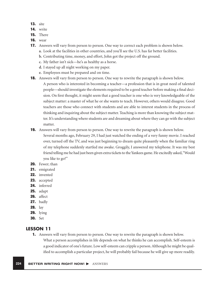- **13.** site
- **14.** write
- **15.** There
- **16.** wear
- **17.** Answers will vary from person to person. One way to correct each problem is shown below.
	- **a.** Look at the facilities in other countries, and you'll see the U.S. has far better facilities.
	- **b.** Contributing time, money, and effort, John got the project off the ground.
	- **c.** My father isn't sick—he's as healthy as a horse.
	- **d.** I stayed up all night working on my paper.
	- **e.** Employees must be prepared and on time.
- **18.** Answers will vary from person to person. One way to rewrite the paragraph is shown below.

A person who is interested in becoming a teacher—a profession that is in great need of talented people—should investigate the elements required to be a good teacher before making a final decision. On first thought, it might seem that a good teacher is one who is very knowledgeable of the subject matter: a master of what he or she wants to teach. However, others would disagree. Good teachers are those who connect with students and are able to interest students in the process of thinking and inquiring about the subject matter. Teaching is more than knowing the subject matter. It's understanding where students are and dreaming about where they can go with the subject matter.

**19.** Answers will vary from person to person. One way to rewrite the paragraph is shown below.

Several months ago, February 29, I had just watched the ending of a very funny movie. I reached over, turned off the TV, and was just beginning to dream quite pleasantly when the familiar ring of my telephone suddenly startled me awake. Groggily, I answered my telephone. It was my best friend telling me he had just been given extra tickets to the Yankees game. He excitedly asked,"Would you like to go?"

- **20.** Fewer; than
- **21.** emigrated
- **22.** invented
- **23.** accepted
- **24.** inferred
- **25.** adapt
- **26.** affect
- **27.** badly
- **28.** lay
- **29.** lying
- **30.** Set

## **LESSON 11**

**1.** Answers will vary from person to person. One way to rewrite the paragraph is shown below. What a person accomplishes in life depends on what he thinks he can accomplish. Self-esteem is a good indicator of one's future. Low self-esteem can cripple a person. Although he might be qualified to accomplish a particular project, he will probably fail because he will give up more readily.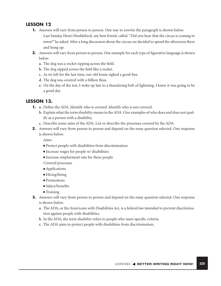- **1.** Answers will vary from person to person. One way to rewrite the paragraph is shown below. Last Sunday Henri Henklebeck, my best friend, called. "Did you hear that the circus is coming to town?" he asked. After a long discussion about the circus, we decided to spend the afternoon there and hung up.
- **2.** Answers will vary from person to person. One example for each type of figurative language is shown below.
	- **a.** The dog was a rocket zipping across the field.
	- **b.** The dog zipped across the field like a rocket.
	- **c.** As we left for the last time, our old home sighed a good-bye.
	- **d.** The dog was covered with a billion fleas.
	- **e.** On the day of the test, I woke up late to a thundering bolt of lightning. I knew it was going to be a good day.

## **LESSON 13.**

- **1. a.** Define the ADA. Identify who is covered. Identify who is not covered.
	- **b.** Explain what the term *disability* means in the ADA. Give examples of who does and does not qualify as a person with a disability.
	- **c.** Describe some aims of the ADA. List or describe the processes covered by the ADA.
- **2.** Answers will vary from person to person and depend on the essay question selected. One response is shown below.

Aims

- Protect people with disabilities from discrimination
- Increase wages for people w/ disabilities
- Increase employment rate for these people

Covered processes

- Applications
- Hiring/firing
- Promotions
- Salary/benefits
- Training
- **3.** Answers will vary from person to person and depend on the essay question selected. One response is shown below.
	- **a.** The ADA, or the Americans with Disabilities Act, is a federal law intended to prevent discrimination against people with disabilities.
	- **b.** In the ADA, the term *disability* refers to people who meet specific criteria.
	- **c.** The ADA aims to protect people with disabilities from discrimination.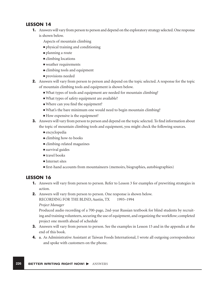- **1.** Answers will vary from person to person and depend on the exploratory strategy selected. One response is shown below.
	- Aspects of mountain climbing
	- physical training and conditioning
	- planning a route
	- climbing locations
	- weather requirements
	- climbing tools and equipment
	- provisions needed
- **2.** Answers will vary from person to person and depend on the topic selected. A response for the topic of mountain climbing tools and equipment is shown below.
	- What types of tools and equipment are needed for mountain climbing?
	- What types of safety equipment are available?
	- Where can you find the equipment?
	- What's the bare minimum one would need to begin mountain climbing?
	- How expensive is the equipment?
- **3.** Answers will vary from person to person and depend on the topic selected. To find information about the topic of mountain climbing tools and equipment, you might check the following sources.
	- encyclopedia
	- climbing how-to books
	- climbing-related magazines
	- survival guides
	- travel books
	- Internet sites
	- first-hand accounts from mountaineers (memoirs, biographies, autobiographies)

# **LESSON 16**

- **1.** Answers will vary from person to person. Refer to Lesson 3 for examples of prewriting strategies in action.
- **2.** Answers will vary from person to person. One response is shown below. RECORDING FOR THE BLIND, Austin, TX 1993–1994

*Project Manager*

Produced audio recording of a 700-page, 2nd-year Russian textbook for blind students by recruiting and training volunteers, securing the use of equipment, and organizing the workflow; completed project one month ahead of schedule

- **3.** Answers will vary from person to person. See the examples in Lesson 15 and in the appendix at the end of this book.
- **4. a.** As Administrative Assistant at Taiwan Foods International, I wrote all outgoing correspondence and spoke with customers on the phone.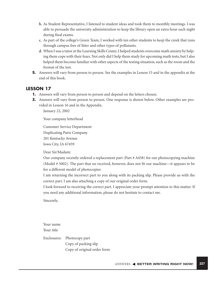- **b.** As Student Representative, I listened to student ideas and took them to monthly meetings. I was able to persuade the university administration to keep the library open an extra hour each night during final exams.
- **c.** As part of the college's Green Team, I worked with ten other students to keep the creek that runs through campus free of litter and other types of pollutants.
- **d.** When I was a tutor at the Learning Skills Center, I helped students overcome math anxiety by helping them cope with their fears. Not only did I help them study for upcoming math tests, but I also helped them become familiar with other aspects of the testing situation, such as the room and the format of the test.
- **5.** Answers will vary from person to person. See the examples in Lesson 15 and in the appendix at the end of this book.

- **1.** Answers will vary from person to person and depend on the letters chosen.
- **2.** Answers will vary from person to person. One response is shown below. Other examples are provided in Lesson 16 and in the Appendix.

January 22, 2002

Your company letterhead

Customer Service Department Duplicating Parts Company 201 Kentucky Avenue Iowa City, IA 67459

Dear Sir/Madam:

Our company recently ordered a replacement part (Part # A458) for our photocopying machine (Model # 5002). The part that we received, however, does not fit our machine—it appears to be for a different model of photocopier.

I am returning the incorrect part to you along with its packing slip. Please provide us with the correct part. I am also attaching a copy of our original order form.

I look forward to receiving the correct part. I appreciate your prompt attention to this matter. If you need any additional information, please do not hesitate to contact me.

Sincerely,

Your name Your title

Enclosures: Photocopy part Copy of packing slip Copy of original order form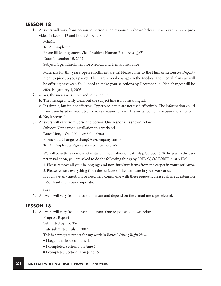**1.** Answers will vary from person to person. One response is shown below. Other examples are provided in Lesson 17 and in the Appendix.

**MEMO** 

To: All Employees From: Jill Montgomery, Vice President Human Resources \$90 Date: November 15, 2002 Subject: Open Enrollment for Medical and Dental Insurance

Materials for this year's open enrollment are in! Please come to the Human Resources Department to pick up your packet. There are several changes in the Medical and Dental plans we will be offering next year. You'll need to make your selections by December 15. Plan changes will be effective January 1, 2003.

- **2. a.** Yes, the message is short and to the point.
	- **b.** The message is fairly clear, but the subject line is not meaningful.
	- **c.** It's simple, but it's not effective. Uppercase letters are not used effectively. The information could have been listed or separated to make it easier to read. The writer could have been more polite.
	- **d.** No, it seems fine.
- **3.** Answers will vary from person to person. One response is shown below.

Subject: New carpet installation this weekend

Date: Mon, 1 Oct 2001 12:33:24 –0500

From: Sara Change <schang@xyzcompany.com>

To: All Employees <group@xyzcompany.com>

We will be getting new carpet installed in our office on Saturday, October 6. To help with the carpet installation, you are asked to do the following things by FRIDAY, OCTOBER 5, at 5 PM.

- 1. Please remove all your belongings and non-furniture items from the carpet in your work area.
- 2. Please remove everything from the surfaces of the furniture in your work area.

If you have any questions or need help complying with these requests, please call me at extension 555. Thanks for your cooperation!

Sara

**4.** Answers will vary from person to person and depend on the e-mail message selected.

# **LESSON 18**

**1.** Answers will vary from person to person. One response is shown below.

**Progress Report** Submitted by: Joy Tan Date submitted: July 5, 2002 This is a progress report for my work in *Better Writing Right Now.*

- I began this book on June 1.
- I completed Section I on June 5.
- I completed Section II on June 15.

**228 BETTER WRITING RIGHT NOW! > ANSWERS**